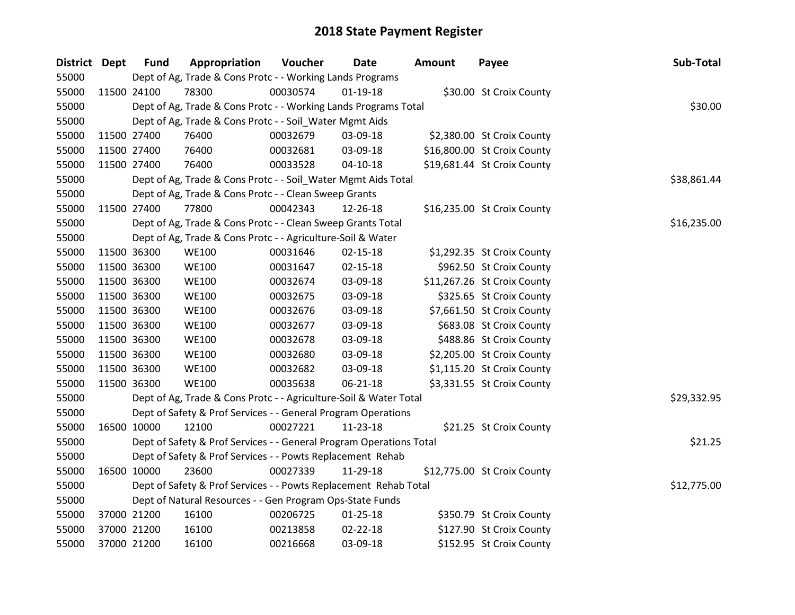| District Dept |             | <b>Fund</b> | Appropriation                                                       | Voucher  | Date           | <b>Amount</b> | Payee                       | Sub-Total   |
|---------------|-------------|-------------|---------------------------------------------------------------------|----------|----------------|---------------|-----------------------------|-------------|
| 55000         |             |             | Dept of Ag, Trade & Cons Protc - - Working Lands Programs           |          |                |               |                             |             |
| 55000         | 11500 24100 |             | 78300                                                               | 00030574 | $01 - 19 - 18$ |               | \$30.00 St Croix County     |             |
| 55000         |             |             | Dept of Ag, Trade & Cons Protc - - Working Lands Programs Total     |          |                |               |                             | \$30.00     |
| 55000         |             |             | Dept of Ag, Trade & Cons Protc - - Soil_Water Mgmt Aids             |          |                |               |                             |             |
| 55000         | 11500 27400 |             | 76400                                                               | 00032679 | 03-09-18       |               | \$2,380.00 St Croix County  |             |
| 55000         |             | 11500 27400 | 76400                                                               | 00032681 | 03-09-18       |               | \$16,800.00 St Croix County |             |
| 55000         | 11500 27400 |             | 76400                                                               | 00033528 | $04-10-18$     |               | \$19,681.44 St Croix County |             |
| 55000         |             |             | Dept of Ag, Trade & Cons Protc - - Soil_Water Mgmt Aids Total       |          |                |               |                             | \$38,861.44 |
| 55000         |             |             | Dept of Ag, Trade & Cons Protc - - Clean Sweep Grants               |          |                |               |                             |             |
| 55000         | 11500 27400 |             | 77800                                                               | 00042343 | 12-26-18       |               | \$16,235.00 St Croix County |             |
| 55000         |             |             | Dept of Ag, Trade & Cons Protc - - Clean Sweep Grants Total         |          |                |               |                             | \$16,235.00 |
| 55000         |             |             | Dept of Ag, Trade & Cons Protc - - Agriculture-Soil & Water         |          |                |               |                             |             |
| 55000         | 11500 36300 |             | <b>WE100</b>                                                        | 00031646 | 02-15-18       |               | \$1,292.35 St Croix County  |             |
| 55000         | 11500 36300 |             | <b>WE100</b>                                                        | 00031647 | 02-15-18       |               | \$962.50 St Croix County    |             |
| 55000         | 11500 36300 |             | <b>WE100</b>                                                        | 00032674 | 03-09-18       |               | \$11,267.26 St Croix County |             |
| 55000         | 11500 36300 |             | <b>WE100</b>                                                        | 00032675 | 03-09-18       |               | \$325.65 St Croix County    |             |
| 55000         | 11500 36300 |             | <b>WE100</b>                                                        | 00032676 | 03-09-18       |               | \$7,661.50 St Croix County  |             |
| 55000         | 11500 36300 |             | <b>WE100</b>                                                        | 00032677 | 03-09-18       |               | \$683.08 St Croix County    |             |
| 55000         | 11500 36300 |             | <b>WE100</b>                                                        | 00032678 | 03-09-18       |               | \$488.86 St Croix County    |             |
| 55000         | 11500 36300 |             | <b>WE100</b>                                                        | 00032680 | 03-09-18       |               | \$2,205.00 St Croix County  |             |
| 55000         | 11500 36300 |             | <b>WE100</b>                                                        | 00032682 | 03-09-18       |               | \$1,115.20 St Croix County  |             |
| 55000         | 11500 36300 |             | <b>WE100</b>                                                        | 00035638 | $06 - 21 - 18$ |               | \$3,331.55 St Croix County  |             |
| 55000         |             |             | Dept of Ag, Trade & Cons Protc - - Agriculture-Soil & Water Total   |          |                |               |                             | \$29,332.95 |
| 55000         |             |             | Dept of Safety & Prof Services - - General Program Operations       |          |                |               |                             |             |
| 55000         | 16500 10000 |             | 12100                                                               | 00027221 | 11-23-18       |               | \$21.25 St Croix County     |             |
| 55000         |             |             | Dept of Safety & Prof Services - - General Program Operations Total |          |                |               |                             | \$21.25     |
| 55000         |             |             | Dept of Safety & Prof Services - - Powts Replacement Rehab          |          |                |               |                             |             |
| 55000         | 16500 10000 |             | 23600                                                               | 00027339 | 11-29-18       |               | \$12,775.00 St Croix County |             |
| 55000         |             |             | Dept of Safety & Prof Services - - Powts Replacement Rehab Total    |          |                |               |                             | \$12,775.00 |
| 55000         |             |             | Dept of Natural Resources - - Gen Program Ops-State Funds           |          |                |               |                             |             |
| 55000         | 37000 21200 |             | 16100                                                               | 00206725 | $01 - 25 - 18$ |               | \$350.79 St Croix County    |             |
| 55000         | 37000 21200 |             | 16100                                                               | 00213858 | 02-22-18       |               | \$127.90 St Croix County    |             |
| 55000         | 37000 21200 |             | 16100                                                               | 00216668 | 03-09-18       |               | \$152.95 St Croix County    |             |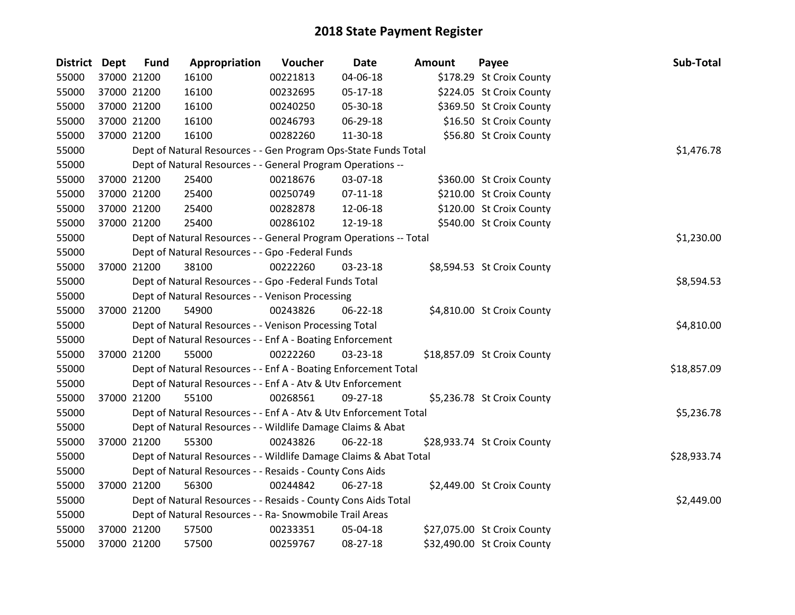| District Dept |             | <b>Fund</b> | Appropriation                                                     | Voucher  | <b>Date</b>    | <b>Amount</b> | Payee                       | Sub-Total   |
|---------------|-------------|-------------|-------------------------------------------------------------------|----------|----------------|---------------|-----------------------------|-------------|
| 55000         |             | 37000 21200 | 16100                                                             | 00221813 | 04-06-18       |               | \$178.29 St Croix County    |             |
| 55000         |             | 37000 21200 | 16100                                                             | 00232695 | 05-17-18       |               | \$224.05 St Croix County    |             |
| 55000         | 37000 21200 |             | 16100                                                             | 00240250 | 05-30-18       |               | \$369.50 St Croix County    |             |
| 55000         | 37000 21200 |             | 16100                                                             | 00246793 | 06-29-18       |               | \$16.50 St Croix County     |             |
| 55000         | 37000 21200 |             | 16100                                                             | 00282260 | 11-30-18       |               | \$56.80 St Croix County     |             |
| 55000         |             |             | Dept of Natural Resources - - Gen Program Ops-State Funds Total   |          |                |               |                             | \$1,476.78  |
| 55000         |             |             | Dept of Natural Resources - - General Program Operations --       |          |                |               |                             |             |
| 55000         |             | 37000 21200 | 25400                                                             | 00218676 | 03-07-18       |               | \$360.00 St Croix County    |             |
| 55000         |             | 37000 21200 | 25400                                                             | 00250749 | $07 - 11 - 18$ |               | \$210.00 St Croix County    |             |
| 55000         |             | 37000 21200 | 25400                                                             | 00282878 | 12-06-18       |               | \$120.00 St Croix County    |             |
| 55000         |             | 37000 21200 | 25400                                                             | 00286102 | 12-19-18       |               | \$540.00 St Croix County    |             |
| 55000         |             |             | Dept of Natural Resources - - General Program Operations -- Total |          |                |               |                             | \$1,230.00  |
| 55000         |             |             | Dept of Natural Resources - - Gpo -Federal Funds                  |          |                |               |                             |             |
| 55000         |             | 37000 21200 | 38100                                                             | 00222260 | 03-23-18       |               | \$8,594.53 St Croix County  |             |
| 55000         |             |             | Dept of Natural Resources - - Gpo -Federal Funds Total            |          |                |               |                             | \$8,594.53  |
| 55000         |             |             | Dept of Natural Resources - - Venison Processing                  |          |                |               |                             |             |
| 55000         |             | 37000 21200 | 54900                                                             | 00243826 | 06-22-18       |               | \$4,810.00 St Croix County  |             |
| 55000         |             |             | Dept of Natural Resources - - Venison Processing Total            |          |                |               |                             | \$4,810.00  |
| 55000         |             |             | Dept of Natural Resources - - Enf A - Boating Enforcement         |          |                |               |                             |             |
| 55000         |             | 37000 21200 | 55000                                                             | 00222260 | 03-23-18       |               | \$18,857.09 St Croix County |             |
| 55000         |             |             | Dept of Natural Resources - - Enf A - Boating Enforcement Total   |          |                |               |                             | \$18,857.09 |
| 55000         |             |             | Dept of Natural Resources - - Enf A - Atv & Utv Enforcement       |          |                |               |                             |             |
| 55000         |             | 37000 21200 | 55100                                                             | 00268561 | 09-27-18       |               | \$5,236.78 St Croix County  |             |
| 55000         |             |             | Dept of Natural Resources - - Enf A - Atv & Utv Enforcement Total |          |                |               |                             | \$5,236.78  |
| 55000         |             |             | Dept of Natural Resources - - Wildlife Damage Claims & Abat       |          |                |               |                             |             |
| 55000         |             | 37000 21200 | 55300                                                             | 00243826 | $06 - 22 - 18$ |               | \$28,933.74 St Croix County |             |
| 55000         |             |             | Dept of Natural Resources - - Wildlife Damage Claims & Abat Total |          |                |               |                             | \$28,933.74 |
| 55000         |             |             | Dept of Natural Resources - - Resaids - County Cons Aids          |          |                |               |                             |             |
| 55000         |             | 37000 21200 | 56300                                                             | 00244842 | $06 - 27 - 18$ |               | \$2,449.00 St Croix County  |             |
| 55000         |             |             | Dept of Natural Resources - - Resaids - County Cons Aids Total    |          |                |               |                             | \$2,449.00  |
| 55000         |             |             | Dept of Natural Resources - - Ra- Snowmobile Trail Areas          |          |                |               |                             |             |
| 55000         |             | 37000 21200 | 57500                                                             | 00233351 | 05-04-18       |               | \$27,075.00 St Croix County |             |
| 55000         | 37000 21200 |             | 57500                                                             | 00259767 | 08-27-18       |               | \$32,490.00 St Croix County |             |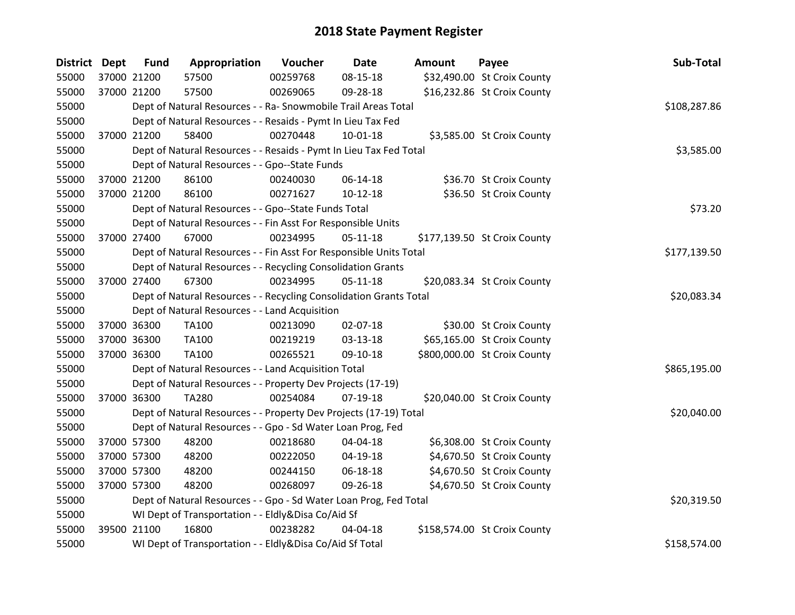| District Dept | <b>Fund</b> | Appropriation                                                      | Voucher      | <b>Date</b>    | <b>Amount</b> | Payee                        | Sub-Total    |
|---------------|-------------|--------------------------------------------------------------------|--------------|----------------|---------------|------------------------------|--------------|
| 55000         | 37000 21200 | 57500                                                              | 00259768     | 08-15-18       |               | \$32,490.00 St Croix County  |              |
| 55000         | 37000 21200 | 57500                                                              | 00269065     | 09-28-18       |               | \$16,232.86 St Croix County  |              |
| 55000         |             | Dept of Natural Resources - - Ra- Snowmobile Trail Areas Total     | \$108,287.86 |                |               |                              |              |
| 55000         |             | Dept of Natural Resources - - Resaids - Pymt In Lieu Tax Fed       |              |                |               |                              |              |
| 55000         | 37000 21200 | 58400                                                              | 00270448     | $10 - 01 - 18$ |               | \$3,585.00 St Croix County   |              |
| 55000         |             | Dept of Natural Resources - - Resaids - Pymt In Lieu Tax Fed Total |              |                |               |                              | \$3,585.00   |
| 55000         |             | Dept of Natural Resources - - Gpo--State Funds                     |              |                |               |                              |              |
| 55000         | 37000 21200 | 86100                                                              | 00240030     | 06-14-18       |               | \$36.70 St Croix County      |              |
| 55000         | 37000 21200 | 86100                                                              | 00271627     | $10-12-18$     |               | \$36.50 St Croix County      |              |
| 55000         |             | Dept of Natural Resources - - Gpo--State Funds Total               |              |                |               |                              | \$73.20      |
| 55000         |             | Dept of Natural Resources - - Fin Asst For Responsible Units       |              |                |               |                              |              |
| 55000         | 37000 27400 | 67000                                                              | 00234995     | $05-11-18$     |               | \$177,139.50 St Croix County |              |
| 55000         |             | Dept of Natural Resources - - Fin Asst For Responsible Units Total |              |                |               |                              | \$177,139.50 |
| 55000         |             | Dept of Natural Resources - - Recycling Consolidation Grants       |              |                |               |                              |              |
| 55000         | 37000 27400 | 67300                                                              | 00234995     | $05-11-18$     |               | \$20,083.34 St Croix County  |              |
| 55000         |             | Dept of Natural Resources - - Recycling Consolidation Grants Total |              |                |               |                              | \$20,083.34  |
| 55000         |             | Dept of Natural Resources - - Land Acquisition                     |              |                |               |                              |              |
| 55000         | 37000 36300 | TA100                                                              | 00213090     | 02-07-18       |               | \$30.00 St Croix County      |              |
| 55000         | 37000 36300 | TA100                                                              | 00219219     | 03-13-18       |               | \$65,165.00 St Croix County  |              |
| 55000         | 37000 36300 | TA100                                                              | 00265521     | 09-10-18       |               | \$800,000.00 St Croix County |              |
| 55000         |             | Dept of Natural Resources - - Land Acquisition Total               |              |                |               |                              | \$865,195.00 |
| 55000         |             | Dept of Natural Resources - - Property Dev Projects (17-19)        |              |                |               |                              |              |
| 55000         | 37000 36300 | <b>TA280</b>                                                       | 00254084     | 07-19-18       |               | \$20,040.00 St Croix County  |              |
| 55000         |             | Dept of Natural Resources - - Property Dev Projects (17-19) Total  |              |                |               |                              | \$20,040.00  |
| 55000         |             | Dept of Natural Resources - - Gpo - Sd Water Loan Prog, Fed        |              |                |               |                              |              |
| 55000         | 37000 57300 | 48200                                                              | 00218680     | 04-04-18       |               | \$6,308.00 St Croix County   |              |
| 55000         | 37000 57300 | 48200                                                              | 00222050     | 04-19-18       |               | \$4,670.50 St Croix County   |              |
| 55000         | 37000 57300 | 48200                                                              | 00244150     | 06-18-18       |               | \$4,670.50 St Croix County   |              |
| 55000         | 37000 57300 | 48200                                                              | 00268097     | 09-26-18       |               | \$4,670.50 St Croix County   |              |
| 55000         |             | Dept of Natural Resources - - Gpo - Sd Water Loan Prog, Fed Total  |              |                |               |                              | \$20,319.50  |
| 55000         |             | WI Dept of Transportation - - Eldly&Disa Co/Aid Sf                 |              |                |               |                              |              |
| 55000         | 39500 21100 | 16800                                                              | 00238282     | 04-04-18       |               | \$158,574.00 St Croix County |              |
| 55000         |             | WI Dept of Transportation - - Eldly&Disa Co/Aid Sf Total           |              |                |               |                              | \$158,574.00 |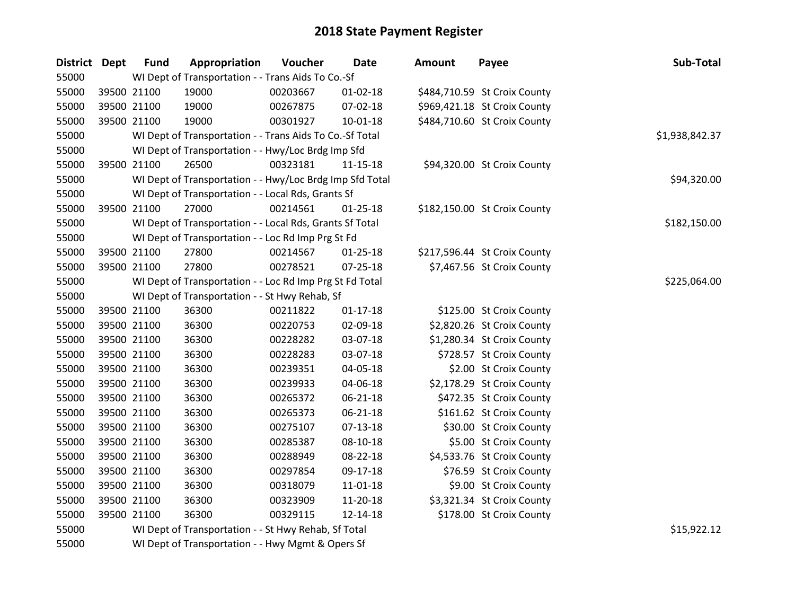| District Dept | <b>Fund</b> | Appropriation                                            | Voucher  | <b>Date</b>    | <b>Amount</b> | Payee                        | Sub-Total      |  |  |  |
|---------------|-------------|----------------------------------------------------------|----------|----------------|---------------|------------------------------|----------------|--|--|--|
| 55000         |             | WI Dept of Transportation - - Trans Aids To Co.-Sf       |          |                |               |                              |                |  |  |  |
| 55000         | 39500 21100 | 19000                                                    | 00203667 | 01-02-18       |               | \$484,710.59 St Croix County |                |  |  |  |
| 55000         | 39500 21100 | 19000                                                    | 00267875 | 07-02-18       |               | \$969,421.18 St Croix County |                |  |  |  |
| 55000         | 39500 21100 | 19000                                                    | 00301927 | $10 - 01 - 18$ |               | \$484,710.60 St Croix County |                |  |  |  |
| 55000         |             | WI Dept of Transportation - - Trans Aids To Co.-Sf Total |          |                |               |                              | \$1,938,842.37 |  |  |  |
| 55000         |             | WI Dept of Transportation - - Hwy/Loc Brdg Imp Sfd       |          |                |               |                              |                |  |  |  |
| 55000         | 39500 21100 | 26500                                                    | 00323181 | $11 - 15 - 18$ |               | \$94,320.00 St Croix County  |                |  |  |  |
| 55000         |             | WI Dept of Transportation - - Hwy/Loc Brdg Imp Sfd Total |          |                |               |                              | \$94,320.00    |  |  |  |
| 55000         |             | WI Dept of Transportation - - Local Rds, Grants Sf       |          |                |               |                              |                |  |  |  |
| 55000         | 39500 21100 | 27000                                                    | 00214561 | $01 - 25 - 18$ |               | \$182,150.00 St Croix County |                |  |  |  |
| 55000         |             | WI Dept of Transportation - - Local Rds, Grants Sf Total |          |                |               |                              | \$182,150.00   |  |  |  |
| 55000         |             | WI Dept of Transportation - - Loc Rd Imp Prg St Fd       |          |                |               |                              |                |  |  |  |
| 55000         | 39500 21100 | 27800                                                    | 00214567 | $01 - 25 - 18$ |               | \$217,596.44 St Croix County |                |  |  |  |
| 55000         | 39500 21100 | 27800                                                    | 00278521 | 07-25-18       |               | \$7,467.56 St Croix County   |                |  |  |  |
| 55000         |             | WI Dept of Transportation - - Loc Rd Imp Prg St Fd Total |          |                |               |                              | \$225,064.00   |  |  |  |
| 55000         |             | WI Dept of Transportation - - St Hwy Rehab, Sf           |          |                |               |                              |                |  |  |  |
| 55000         | 39500 21100 | 36300                                                    | 00211822 | $01 - 17 - 18$ |               | \$125.00 St Croix County     |                |  |  |  |
| 55000         | 39500 21100 | 36300                                                    | 00220753 | 02-09-18       |               | \$2,820.26 St Croix County   |                |  |  |  |
| 55000         | 39500 21100 | 36300                                                    | 00228282 | 03-07-18       |               | \$1,280.34 St Croix County   |                |  |  |  |
| 55000         | 39500 21100 | 36300                                                    | 00228283 | 03-07-18       |               | \$728.57 St Croix County     |                |  |  |  |
| 55000         | 39500 21100 | 36300                                                    | 00239351 | 04-05-18       |               | \$2.00 St Croix County       |                |  |  |  |
| 55000         | 39500 21100 | 36300                                                    | 00239933 | 04-06-18       |               | \$2,178.29 St Croix County   |                |  |  |  |
| 55000         | 39500 21100 | 36300                                                    | 00265372 | 06-21-18       |               | \$472.35 St Croix County     |                |  |  |  |
| 55000         | 39500 21100 | 36300                                                    | 00265373 | 06-21-18       |               | \$161.62 St Croix County     |                |  |  |  |
| 55000         | 39500 21100 | 36300                                                    | 00275107 | 07-13-18       |               | \$30.00 St Croix County      |                |  |  |  |
| 55000         | 39500 21100 | 36300                                                    | 00285387 | 08-10-18       |               | \$5.00 St Croix County       |                |  |  |  |
| 55000         | 39500 21100 | 36300                                                    | 00288949 | 08-22-18       |               | \$4,533.76 St Croix County   |                |  |  |  |
| 55000         | 39500 21100 | 36300                                                    | 00297854 | 09-17-18       |               | \$76.59 St Croix County      |                |  |  |  |
| 55000         | 39500 21100 | 36300                                                    | 00318079 | 11-01-18       |               | \$9.00 St Croix County       |                |  |  |  |
| 55000         | 39500 21100 | 36300                                                    | 00323909 | 11-20-18       |               | \$3,321.34 St Croix County   |                |  |  |  |
| 55000         | 39500 21100 | 36300                                                    | 00329115 | 12-14-18       |               | \$178.00 St Croix County     |                |  |  |  |
| 55000         |             | WI Dept of Transportation - - St Hwy Rehab, Sf Total     |          |                |               |                              | \$15,922.12    |  |  |  |
| 55000         |             | WI Dept of Transportation - - Hwy Mgmt & Opers Sf        |          |                |               |                              |                |  |  |  |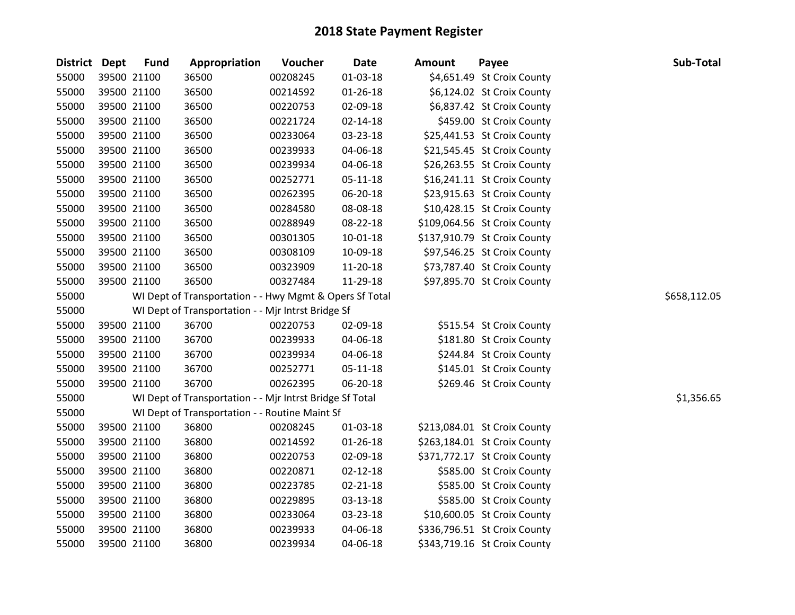| <b>District Dept</b> | <b>Fund</b> | Appropriation                                            | Voucher  | <b>Date</b>    | <b>Amount</b> | Payee                        | Sub-Total    |
|----------------------|-------------|----------------------------------------------------------|----------|----------------|---------------|------------------------------|--------------|
| 55000                | 39500 21100 | 36500                                                    | 00208245 | $01 - 03 - 18$ |               | \$4,651.49 St Croix County   |              |
| 55000                | 39500 21100 | 36500                                                    | 00214592 | 01-26-18       |               | \$6,124.02 St Croix County   |              |
| 55000                | 39500 21100 | 36500                                                    | 00220753 | 02-09-18       |               | \$6,837.42 St Croix County   |              |
| 55000                | 39500 21100 | 36500                                                    | 00221724 | 02-14-18       |               | \$459.00 St Croix County     |              |
| 55000                | 39500 21100 | 36500                                                    | 00233064 | 03-23-18       |               | \$25,441.53 St Croix County  |              |
| 55000                | 39500 21100 | 36500                                                    | 00239933 | 04-06-18       |               | \$21,545.45 St Croix County  |              |
| 55000                | 39500 21100 | 36500                                                    | 00239934 | 04-06-18       |               | \$26,263.55 St Croix County  |              |
| 55000                | 39500 21100 | 36500                                                    | 00252771 | 05-11-18       |               | \$16,241.11 St Croix County  |              |
| 55000                | 39500 21100 | 36500                                                    | 00262395 | 06-20-18       |               | \$23,915.63 St Croix County  |              |
| 55000                | 39500 21100 | 36500                                                    | 00284580 | 08-08-18       |               | \$10,428.15 St Croix County  |              |
| 55000                | 39500 21100 | 36500                                                    | 00288949 | 08-22-18       |               | \$109,064.56 St Croix County |              |
| 55000                | 39500 21100 | 36500                                                    | 00301305 | 10-01-18       |               | \$137,910.79 St Croix County |              |
| 55000                | 39500 21100 | 36500                                                    | 00308109 | 10-09-18       |               | \$97,546.25 St Croix County  |              |
| 55000                | 39500 21100 | 36500                                                    | 00323909 | 11-20-18       |               | \$73,787.40 St Croix County  |              |
| 55000                | 39500 21100 | 36500                                                    | 00327484 | 11-29-18       |               | \$97,895.70 St Croix County  |              |
| 55000                |             | WI Dept of Transportation - - Hwy Mgmt & Opers Sf Total  |          |                |               |                              | \$658,112.05 |
| 55000                |             | WI Dept of Transportation - - Mjr Intrst Bridge Sf       |          |                |               |                              |              |
| 55000                | 39500 21100 | 36700                                                    | 00220753 | 02-09-18       |               | \$515.54 St Croix County     |              |
| 55000                | 39500 21100 | 36700                                                    | 00239933 | 04-06-18       |               | \$181.80 St Croix County     |              |
| 55000                | 39500 21100 | 36700                                                    | 00239934 | 04-06-18       |               | \$244.84 St Croix County     |              |
| 55000                | 39500 21100 | 36700                                                    | 00252771 | 05-11-18       |               | \$145.01 St Croix County     |              |
| 55000                | 39500 21100 | 36700                                                    | 00262395 | 06-20-18       |               | \$269.46 St Croix County     |              |
| 55000                |             | WI Dept of Transportation - - Mjr Intrst Bridge Sf Total |          |                |               |                              | \$1,356.65   |
| 55000                |             | WI Dept of Transportation - - Routine Maint Sf           |          |                |               |                              |              |
| 55000                | 39500 21100 | 36800                                                    | 00208245 | 01-03-18       |               | \$213,084.01 St Croix County |              |
| 55000                | 39500 21100 | 36800                                                    | 00214592 | $01 - 26 - 18$ |               | \$263,184.01 St Croix County |              |
| 55000                | 39500 21100 | 36800                                                    | 00220753 | 02-09-18       |               | \$371,772.17 St Croix County |              |
| 55000                | 39500 21100 | 36800                                                    | 00220871 | $02 - 12 - 18$ |               | \$585.00 St Croix County     |              |
| 55000                | 39500 21100 | 36800                                                    | 00223785 | 02-21-18       |               | \$585.00 St Croix County     |              |
| 55000                | 39500 21100 | 36800                                                    | 00229895 | 03-13-18       |               | \$585.00 St Croix County     |              |
| 55000                | 39500 21100 | 36800                                                    | 00233064 | 03-23-18       |               | \$10,600.05 St Croix County  |              |
| 55000                | 39500 21100 | 36800                                                    | 00239933 | 04-06-18       |               | \$336,796.51 St Croix County |              |
| 55000                | 39500 21100 | 36800                                                    | 00239934 | 04-06-18       |               | \$343,719.16 St Croix County |              |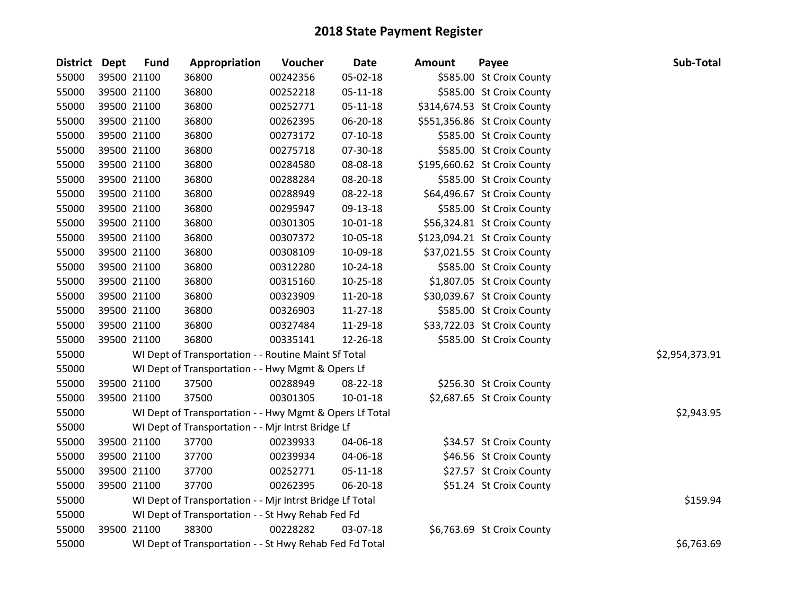| <b>District Dept</b> | <b>Fund</b> | Appropriation                                            | Voucher  | <b>Date</b>    | Amount | Payee                        | Sub-Total      |
|----------------------|-------------|----------------------------------------------------------|----------|----------------|--------|------------------------------|----------------|
| 55000                | 39500 21100 | 36800                                                    | 00242356 | 05-02-18       |        | \$585.00 St Croix County     |                |
| 55000                | 39500 21100 | 36800                                                    | 00252218 | $05 - 11 - 18$ |        | \$585.00 St Croix County     |                |
| 55000                | 39500 21100 | 36800                                                    | 00252771 | 05-11-18       |        | \$314,674.53 St Croix County |                |
| 55000                | 39500 21100 | 36800                                                    | 00262395 | 06-20-18       |        | \$551,356.86 St Croix County |                |
| 55000                | 39500 21100 | 36800                                                    | 00273172 | $07-10-18$     |        | \$585.00 St Croix County     |                |
| 55000                | 39500 21100 | 36800                                                    | 00275718 | 07-30-18       |        | \$585.00 St Croix County     |                |
| 55000                | 39500 21100 | 36800                                                    | 00284580 | 08-08-18       |        | \$195,660.62 St Croix County |                |
| 55000                | 39500 21100 | 36800                                                    | 00288284 | 08-20-18       |        | \$585.00 St Croix County     |                |
| 55000                | 39500 21100 | 36800                                                    | 00288949 | 08-22-18       |        | \$64,496.67 St Croix County  |                |
| 55000                | 39500 21100 | 36800                                                    | 00295947 | 09-13-18       |        | \$585.00 St Croix County     |                |
| 55000                | 39500 21100 | 36800                                                    | 00301305 | 10-01-18       |        | \$56,324.81 St Croix County  |                |
| 55000                | 39500 21100 | 36800                                                    | 00307372 | 10-05-18       |        | \$123,094.21 St Croix County |                |
| 55000                | 39500 21100 | 36800                                                    | 00308109 | 10-09-18       |        | \$37,021.55 St Croix County  |                |
| 55000                | 39500 21100 | 36800                                                    | 00312280 | 10-24-18       |        | \$585.00 St Croix County     |                |
| 55000                | 39500 21100 | 36800                                                    | 00315160 | $10 - 25 - 18$ |        | \$1,807.05 St Croix County   |                |
| 55000                | 39500 21100 | 36800                                                    | 00323909 | 11-20-18       |        | \$30,039.67 St Croix County  |                |
| 55000                | 39500 21100 | 36800                                                    | 00326903 | $11 - 27 - 18$ |        | \$585.00 St Croix County     |                |
| 55000                | 39500 21100 | 36800                                                    | 00327484 | 11-29-18       |        | \$33,722.03 St Croix County  |                |
| 55000                | 39500 21100 | 36800                                                    | 00335141 | 12-26-18       |        | \$585.00 St Croix County     |                |
| 55000                |             | WI Dept of Transportation - - Routine Maint Sf Total     |          |                |        |                              | \$2,954,373.91 |
| 55000                |             | WI Dept of Transportation - - Hwy Mgmt & Opers Lf        |          |                |        |                              |                |
| 55000                | 39500 21100 | 37500                                                    | 00288949 | 08-22-18       |        | \$256.30 St Croix County     |                |
| 55000                | 39500 21100 | 37500                                                    | 00301305 | 10-01-18       |        | \$2,687.65 St Croix County   |                |
| 55000                |             | WI Dept of Transportation - - Hwy Mgmt & Opers Lf Total  |          |                |        |                              | \$2,943.95     |
| 55000                |             | WI Dept of Transportation - - Mjr Intrst Bridge Lf       |          |                |        |                              |                |
| 55000                | 39500 21100 | 37700                                                    | 00239933 | 04-06-18       |        | \$34.57 St Croix County      |                |
| 55000                | 39500 21100 | 37700                                                    | 00239934 | 04-06-18       |        | \$46.56 St Croix County      |                |
| 55000                | 39500 21100 | 37700                                                    | 00252771 | 05-11-18       |        | \$27.57 St Croix County      |                |
| 55000                | 39500 21100 | 37700                                                    | 00262395 | 06-20-18       |        | \$51.24 St Croix County      |                |
| 55000                |             | WI Dept of Transportation - - Mjr Intrst Bridge Lf Total |          |                |        |                              | \$159.94       |
| 55000                |             | WI Dept of Transportation - - St Hwy Rehab Fed Fd        |          |                |        |                              |                |
| 55000                | 39500 21100 | 38300                                                    | 00228282 | 03-07-18       |        | \$6,763.69 St Croix County   |                |
| 55000                |             | WI Dept of Transportation - - St Hwy Rehab Fed Fd Total  |          |                |        |                              | \$6,763.69     |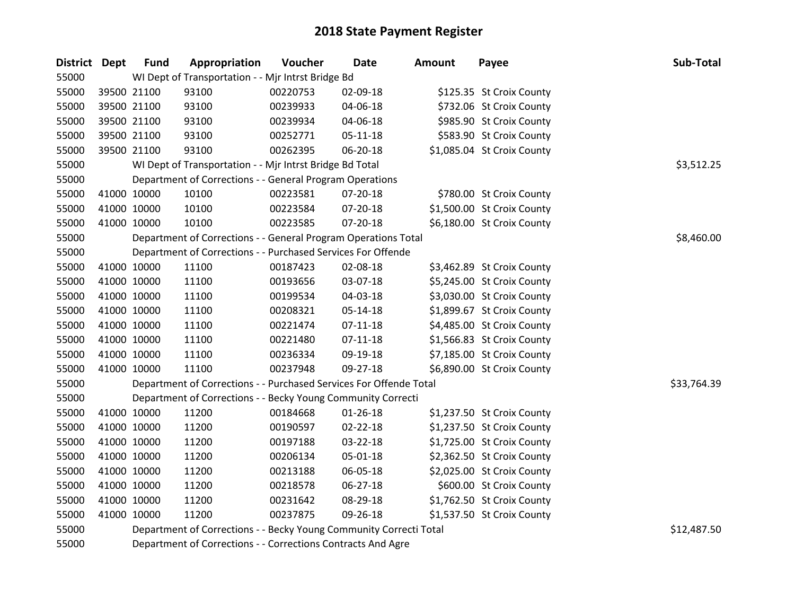| <b>District Dept</b> | <b>Fund</b> | Appropriation                                                      | Voucher  | <b>Date</b>    | <b>Amount</b> | Payee                      | Sub-Total   |
|----------------------|-------------|--------------------------------------------------------------------|----------|----------------|---------------|----------------------------|-------------|
| 55000                |             | WI Dept of Transportation - - Mjr Intrst Bridge Bd                 |          |                |               |                            |             |
| 55000                | 39500 21100 | 93100                                                              | 00220753 | 02-09-18       |               | \$125.35 St Croix County   |             |
| 55000                | 39500 21100 | 93100                                                              | 00239933 | 04-06-18       |               | \$732.06 St Croix County   |             |
| 55000                | 39500 21100 | 93100                                                              | 00239934 | 04-06-18       |               | \$985.90 St Croix County   |             |
| 55000                | 39500 21100 | 93100                                                              | 00252771 | 05-11-18       |               | \$583.90 St Croix County   |             |
| 55000                | 39500 21100 | 93100                                                              | 00262395 | 06-20-18       |               | \$1,085.04 St Croix County |             |
| 55000                |             | WI Dept of Transportation - - Mjr Intrst Bridge Bd Total           |          |                |               |                            | \$3,512.25  |
| 55000                |             | Department of Corrections - - General Program Operations           |          |                |               |                            |             |
| 55000                | 41000 10000 | 10100                                                              | 00223581 | 07-20-18       |               | \$780.00 St Croix County   |             |
| 55000                | 41000 10000 | 10100                                                              | 00223584 | 07-20-18       |               | \$1,500.00 St Croix County |             |
| 55000                | 41000 10000 | 10100                                                              | 00223585 | 07-20-18       |               | \$6,180.00 St Croix County |             |
| 55000                |             | Department of Corrections - - General Program Operations Total     |          |                |               |                            | \$8,460.00  |
| 55000                |             | Department of Corrections - - Purchased Services For Offende       |          |                |               |                            |             |
| 55000                | 41000 10000 | 11100                                                              | 00187423 | 02-08-18       |               | \$3,462.89 St Croix County |             |
| 55000                | 41000 10000 | 11100                                                              | 00193656 | 03-07-18       |               | \$5,245.00 St Croix County |             |
| 55000                | 41000 10000 | 11100                                                              | 00199534 | 04-03-18       |               | \$3,030.00 St Croix County |             |
| 55000                | 41000 10000 | 11100                                                              | 00208321 | 05-14-18       |               | \$1,899.67 St Croix County |             |
| 55000                | 41000 10000 | 11100                                                              | 00221474 | $07-11-18$     |               | \$4,485.00 St Croix County |             |
| 55000                | 41000 10000 | 11100                                                              | 00221480 | $07-11-18$     |               | \$1,566.83 St Croix County |             |
| 55000                | 41000 10000 | 11100                                                              | 00236334 | 09-19-18       |               | \$7,185.00 St Croix County |             |
| 55000                | 41000 10000 | 11100                                                              | 00237948 | 09-27-18       |               | \$6,890.00 St Croix County |             |
| 55000                |             | Department of Corrections - - Purchased Services For Offende Total |          |                |               |                            | \$33,764.39 |
| 55000                |             | Department of Corrections - - Becky Young Community Correcti       |          |                |               |                            |             |
| 55000                | 41000 10000 | 11200                                                              | 00184668 | $01 - 26 - 18$ |               | \$1,237.50 St Croix County |             |
| 55000                | 41000 10000 | 11200                                                              | 00190597 | 02-22-18       |               | \$1,237.50 St Croix County |             |
| 55000                | 41000 10000 | 11200                                                              | 00197188 | 03-22-18       |               | \$1,725.00 St Croix County |             |
| 55000                | 41000 10000 | 11200                                                              | 00206134 | 05-01-18       |               | \$2,362.50 St Croix County |             |
| 55000                | 41000 10000 | 11200                                                              | 00213188 | 06-05-18       |               | \$2,025.00 St Croix County |             |
| 55000                | 41000 10000 | 11200                                                              | 00218578 | 06-27-18       |               | \$600.00 St Croix County   |             |
| 55000                | 41000 10000 | 11200                                                              | 00231642 | 08-29-18       |               | \$1,762.50 St Croix County |             |
| 55000                | 41000 10000 | 11200                                                              | 00237875 | 09-26-18       |               | \$1,537.50 St Croix County |             |
| 55000                |             | Department of Corrections - - Becky Young Community Correcti Total |          |                |               |                            | \$12,487.50 |
| 55000                |             | Department of Corrections - - Corrections Contracts And Agre       |          |                |               |                            |             |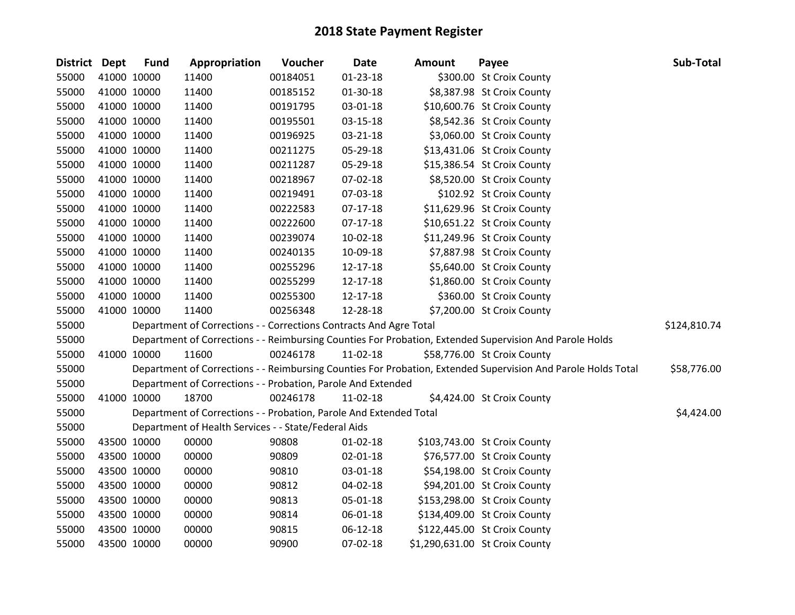| District Dept |             | <b>Fund</b> | Appropriation                                                      | Voucher  | <b>Date</b>    | Amount | Payee                                                                                                         | Sub-Total    |
|---------------|-------------|-------------|--------------------------------------------------------------------|----------|----------------|--------|---------------------------------------------------------------------------------------------------------------|--------------|
| 55000         |             | 41000 10000 | 11400                                                              | 00184051 | $01 - 23 - 18$ |        | \$300.00 St Croix County                                                                                      |              |
| 55000         |             | 41000 10000 | 11400                                                              | 00185152 | $01-30-18$     |        | \$8,387.98 St Croix County                                                                                    |              |
| 55000         | 41000 10000 |             | 11400                                                              | 00191795 | 03-01-18       |        | \$10,600.76 St Croix County                                                                                   |              |
| 55000         | 41000 10000 |             | 11400                                                              | 00195501 | 03-15-18       |        | \$8,542.36 St Croix County                                                                                    |              |
| 55000         |             | 41000 10000 | 11400                                                              | 00196925 | 03-21-18       |        | \$3,060.00 St Croix County                                                                                    |              |
| 55000         |             | 41000 10000 | 11400                                                              | 00211275 | 05-29-18       |        | \$13,431.06 St Croix County                                                                                   |              |
| 55000         |             | 41000 10000 | 11400                                                              | 00211287 | 05-29-18       |        | \$15,386.54 St Croix County                                                                                   |              |
| 55000         |             | 41000 10000 | 11400                                                              | 00218967 | 07-02-18       |        | \$8,520.00 St Croix County                                                                                    |              |
| 55000         |             | 41000 10000 | 11400                                                              | 00219491 | 07-03-18       |        | \$102.92 St Croix County                                                                                      |              |
| 55000         |             | 41000 10000 | 11400                                                              | 00222583 | $07-17-18$     |        | \$11,629.96 St Croix County                                                                                   |              |
| 55000         |             | 41000 10000 | 11400                                                              | 00222600 | $07-17-18$     |        | \$10,651.22 St Croix County                                                                                   |              |
| 55000         |             | 41000 10000 | 11400                                                              | 00239074 | 10-02-18       |        | \$11,249.96 St Croix County                                                                                   |              |
| 55000         | 41000 10000 |             | 11400                                                              | 00240135 | 10-09-18       |        | \$7,887.98 St Croix County                                                                                    |              |
| 55000         |             | 41000 10000 | 11400                                                              | 00255296 | 12-17-18       |        | \$5,640.00 St Croix County                                                                                    |              |
| 55000         |             | 41000 10000 | 11400                                                              | 00255299 | 12-17-18       |        | \$1,860.00 St Croix County                                                                                    |              |
| 55000         |             | 41000 10000 | 11400                                                              | 00255300 | 12-17-18       |        | \$360.00 St Croix County                                                                                      |              |
| 55000         |             | 41000 10000 | 11400                                                              | 00256348 | 12-28-18       |        | \$7,200.00 St Croix County                                                                                    |              |
| 55000         |             |             | Department of Corrections - - Corrections Contracts And Agre Total |          |                |        |                                                                                                               | \$124,810.74 |
| 55000         |             |             |                                                                    |          |                |        | Department of Corrections - - Reimbursing Counties For Probation, Extended Supervision And Parole Holds       |              |
| 55000         |             | 41000 10000 | 11600                                                              | 00246178 | $11-02-18$     |        | \$58,776.00 St Croix County                                                                                   |              |
| 55000         |             |             |                                                                    |          |                |        | Department of Corrections - - Reimbursing Counties For Probation, Extended Supervision And Parole Holds Total | \$58,776.00  |
| 55000         |             |             | Department of Corrections - - Probation, Parole And Extended       |          |                |        |                                                                                                               |              |
| 55000         |             | 41000 10000 | 18700                                                              | 00246178 | $11-02-18$     |        | \$4,424.00 St Croix County                                                                                    |              |
| 55000         |             |             | Department of Corrections - - Probation, Parole And Extended Total |          |                |        |                                                                                                               | \$4,424.00   |
| 55000         |             |             | Department of Health Services - - State/Federal Aids               |          |                |        |                                                                                                               |              |
| 55000         |             | 43500 10000 | 00000                                                              | 90808    | $01 - 02 - 18$ |        | \$103,743.00 St Croix County                                                                                  |              |
| 55000         |             | 43500 10000 | 00000                                                              | 90809    | $02 - 01 - 18$ |        | \$76,577.00 St Croix County                                                                                   |              |
| 55000         |             | 43500 10000 | 00000                                                              | 90810    | 03-01-18       |        | \$54,198.00 St Croix County                                                                                   |              |
| 55000         |             | 43500 10000 | 00000                                                              | 90812    | 04-02-18       |        | \$94,201.00 St Croix County                                                                                   |              |
| 55000         |             | 43500 10000 | 00000                                                              | 90813    | 05-01-18       |        | \$153,298.00 St Croix County                                                                                  |              |
| 55000         |             | 43500 10000 | 00000                                                              | 90814    | 06-01-18       |        | \$134,409.00 St Croix County                                                                                  |              |
| 55000         |             | 43500 10000 | 00000                                                              | 90815    | $06 - 12 - 18$ |        | \$122,445.00 St Croix County                                                                                  |              |
| 55000         | 43500 10000 |             | 00000                                                              | 90900    | 07-02-18       |        | \$1,290,631.00 St Croix County                                                                                |              |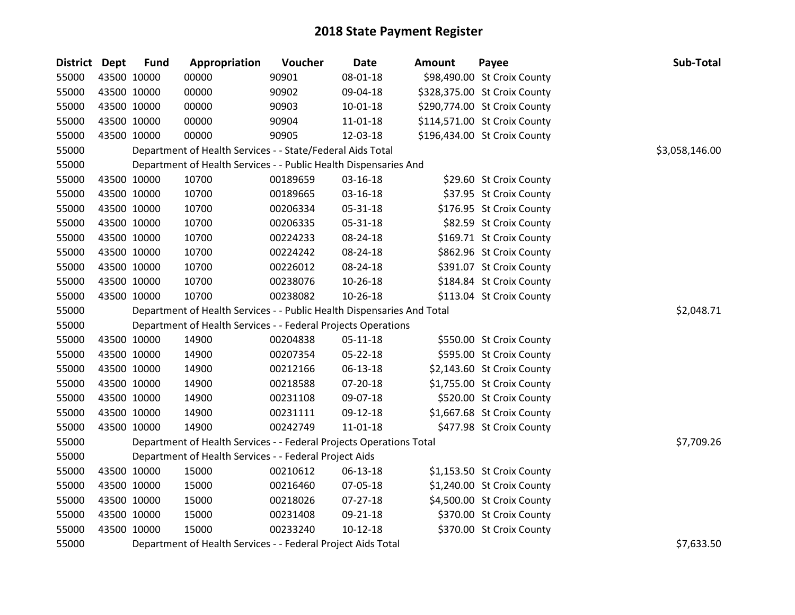| District Dept |             | <b>Fund</b> | Appropriation                                                          | Voucher  | Date           | Amount | Payee                        | Sub-Total      |
|---------------|-------------|-------------|------------------------------------------------------------------------|----------|----------------|--------|------------------------------|----------------|
| 55000         |             | 43500 10000 | 00000                                                                  | 90901    | 08-01-18       |        | \$98,490.00 St Croix County  |                |
| 55000         |             | 43500 10000 | 00000                                                                  | 90902    | 09-04-18       |        | \$328,375.00 St Croix County |                |
| 55000         |             | 43500 10000 | 00000                                                                  | 90903    | 10-01-18       |        | \$290,774.00 St Croix County |                |
| 55000         | 43500 10000 |             | 00000                                                                  | 90904    | 11-01-18       |        | \$114,571.00 St Croix County |                |
| 55000         |             | 43500 10000 | 00000                                                                  | 90905    | 12-03-18       |        | \$196,434.00 St Croix County |                |
| 55000         |             |             | Department of Health Services - - State/Federal Aids Total             |          |                |        |                              | \$3,058,146.00 |
| 55000         |             |             | Department of Health Services - - Public Health Dispensaries And       |          |                |        |                              |                |
| 55000         |             | 43500 10000 | 10700                                                                  | 00189659 | 03-16-18       |        | \$29.60 St Croix County      |                |
| 55000         |             | 43500 10000 | 10700                                                                  | 00189665 | 03-16-18       |        | \$37.95 St Croix County      |                |
| 55000         |             | 43500 10000 | 10700                                                                  | 00206334 | 05-31-18       |        | \$176.95 St Croix County     |                |
| 55000         |             | 43500 10000 | 10700                                                                  | 00206335 | 05-31-18       |        | \$82.59 St Croix County      |                |
| 55000         |             | 43500 10000 | 10700                                                                  | 00224233 | 08-24-18       |        | \$169.71 St Croix County     |                |
| 55000         |             | 43500 10000 | 10700                                                                  | 00224242 | 08-24-18       |        | \$862.96 St Croix County     |                |
| 55000         |             | 43500 10000 | 10700                                                                  | 00226012 | 08-24-18       |        | \$391.07 St Croix County     |                |
| 55000         |             | 43500 10000 | 10700                                                                  | 00238076 | 10-26-18       |        | \$184.84 St Croix County     |                |
| 55000         |             | 43500 10000 | 10700                                                                  | 00238082 | $10-26-18$     |        | \$113.04 St Croix County     |                |
| 55000         |             |             | Department of Health Services - - Public Health Dispensaries And Total |          |                |        |                              | \$2,048.71     |
| 55000         |             |             | Department of Health Services - - Federal Projects Operations          |          |                |        |                              |                |
| 55000         |             | 43500 10000 | 14900                                                                  | 00204838 | 05-11-18       |        | \$550.00 St Croix County     |                |
| 55000         |             | 43500 10000 | 14900                                                                  | 00207354 | 05-22-18       |        | \$595.00 St Croix County     |                |
| 55000         |             | 43500 10000 | 14900                                                                  | 00212166 | 06-13-18       |        | \$2,143.60 St Croix County   |                |
| 55000         |             | 43500 10000 | 14900                                                                  | 00218588 | 07-20-18       |        | \$1,755.00 St Croix County   |                |
| 55000         |             | 43500 10000 | 14900                                                                  | 00231108 | 09-07-18       |        | \$520.00 St Croix County     |                |
| 55000         |             | 43500 10000 | 14900                                                                  | 00231111 | 09-12-18       |        | \$1,667.68 St Croix County   |                |
| 55000         |             | 43500 10000 | 14900                                                                  | 00242749 | $11 - 01 - 18$ |        | \$477.98 St Croix County     |                |
| 55000         |             |             | Department of Health Services - - Federal Projects Operations Total    |          |                |        |                              | \$7,709.26     |
| 55000         |             |             | Department of Health Services - - Federal Project Aids                 |          |                |        |                              |                |
| 55000         |             | 43500 10000 | 15000                                                                  | 00210612 | 06-13-18       |        | \$1,153.50 St Croix County   |                |
| 55000         |             | 43500 10000 | 15000                                                                  | 00216460 | 07-05-18       |        | \$1,240.00 St Croix County   |                |
| 55000         |             | 43500 10000 | 15000                                                                  | 00218026 | 07-27-18       |        | \$4,500.00 St Croix County   |                |
| 55000         |             | 43500 10000 | 15000                                                                  | 00231408 | 09-21-18       |        | \$370.00 St Croix County     |                |
| 55000         |             | 43500 10000 | 15000                                                                  | 00233240 | $10-12-18$     |        | \$370.00 St Croix County     |                |
| 55000         |             |             | Department of Health Services - - Federal Project Aids Total           |          |                |        |                              | \$7,633.50     |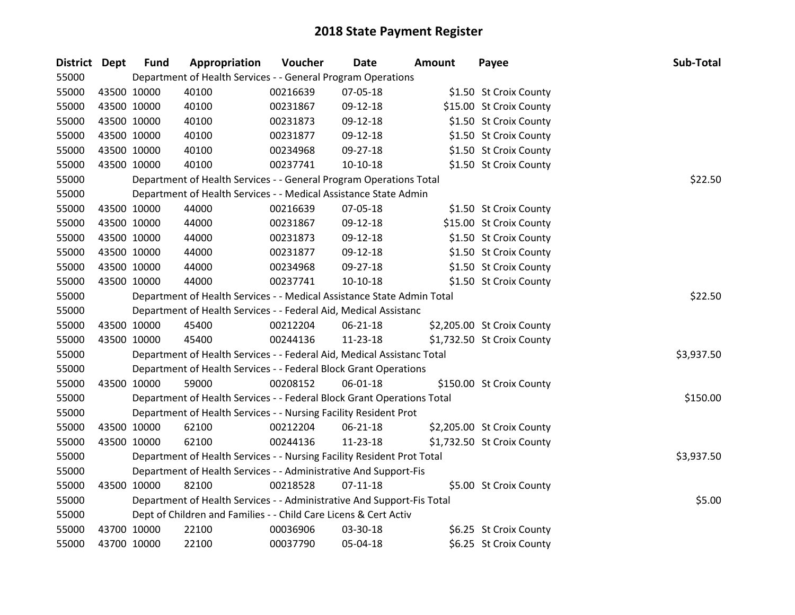| District Dept |             | <b>Fund</b> | Appropriation                                                          | Voucher  | Date           | <b>Amount</b> | Payee                      | Sub-Total  |
|---------------|-------------|-------------|------------------------------------------------------------------------|----------|----------------|---------------|----------------------------|------------|
| 55000         |             |             | Department of Health Services - - General Program Operations           |          |                |               |                            |            |
| 55000         | 43500 10000 |             | 40100                                                                  | 00216639 | 07-05-18       |               | \$1.50 St Croix County     |            |
| 55000         | 43500 10000 |             | 40100                                                                  | 00231867 | 09-12-18       |               | \$15.00 St Croix County    |            |
| 55000         | 43500 10000 |             | 40100                                                                  | 00231873 | 09-12-18       |               | \$1.50 St Croix County     |            |
| 55000         | 43500 10000 |             | 40100                                                                  | 00231877 | 09-12-18       |               | \$1.50 St Croix County     |            |
| 55000         | 43500 10000 |             | 40100                                                                  | 00234968 | 09-27-18       |               | \$1.50 St Croix County     |            |
| 55000         | 43500 10000 |             | 40100                                                                  | 00237741 | $10-10-18$     |               | \$1.50 St Croix County     |            |
| 55000         |             |             | Department of Health Services - - General Program Operations Total     |          |                |               |                            | \$22.50    |
| 55000         |             |             | Department of Health Services - - Medical Assistance State Admin       |          |                |               |                            |            |
| 55000         | 43500 10000 |             | 44000                                                                  | 00216639 | 07-05-18       |               | \$1.50 St Croix County     |            |
| 55000         |             | 43500 10000 | 44000                                                                  | 00231867 | 09-12-18       |               | \$15.00 St Croix County    |            |
| 55000         |             | 43500 10000 | 44000                                                                  | 00231873 | 09-12-18       |               | \$1.50 St Croix County     |            |
| 55000         | 43500 10000 |             | 44000                                                                  | 00231877 | 09-12-18       |               | \$1.50 St Croix County     |            |
| 55000         | 43500 10000 |             | 44000                                                                  | 00234968 | 09-27-18       |               | \$1.50 St Croix County     |            |
| 55000         | 43500 10000 |             | 44000                                                                  | 00237741 | $10-10-18$     |               | \$1.50 St Croix County     |            |
| 55000         |             |             | Department of Health Services - - Medical Assistance State Admin Total |          |                |               |                            | \$22.50    |
| 55000         |             |             | Department of Health Services - - Federal Aid, Medical Assistanc       |          |                |               |                            |            |
| 55000         | 43500 10000 |             | 45400                                                                  | 00212204 | $06 - 21 - 18$ |               | \$2,205.00 St Croix County |            |
| 55000         | 43500 10000 |             | 45400                                                                  | 00244136 | 11-23-18       |               | \$1,732.50 St Croix County |            |
| 55000         |             |             | Department of Health Services - - Federal Aid, Medical Assistanc Total |          |                |               |                            | \$3,937.50 |
| 55000         |             |             | Department of Health Services - - Federal Block Grant Operations       |          |                |               |                            |            |
| 55000         | 43500 10000 |             | 59000                                                                  | 00208152 | 06-01-18       |               | \$150.00 St Croix County   |            |
| 55000         |             |             | Department of Health Services - - Federal Block Grant Operations Total |          |                |               |                            | \$150.00   |
| 55000         |             |             | Department of Health Services - - Nursing Facility Resident Prot       |          |                |               |                            |            |
| 55000         | 43500 10000 |             | 62100                                                                  | 00212204 | 06-21-18       |               | \$2,205.00 St Croix County |            |
| 55000         |             | 43500 10000 | 62100                                                                  | 00244136 | 11-23-18       |               | \$1,732.50 St Croix County |            |
| 55000         |             |             | Department of Health Services - - Nursing Facility Resident Prot Total |          |                |               |                            | \$3,937.50 |
| 55000         |             |             | Department of Health Services - - Administrative And Support-Fis       |          |                |               |                            |            |
| 55000         | 43500 10000 |             | 82100                                                                  | 00218528 | $07-11-18$     |               | \$5.00 St Croix County     |            |
| 55000         |             |             | Department of Health Services - - Administrative And Support-Fis Total |          |                |               |                            | \$5.00     |
| 55000         |             |             | Dept of Children and Families - - Child Care Licens & Cert Activ       |          |                |               |                            |            |
| 55000         | 43700 10000 |             | 22100                                                                  | 00036906 | 03-30-18       |               | \$6.25 St Croix County     |            |
| 55000         | 43700 10000 |             | 22100                                                                  | 00037790 | 05-04-18       |               | \$6.25 St Croix County     |            |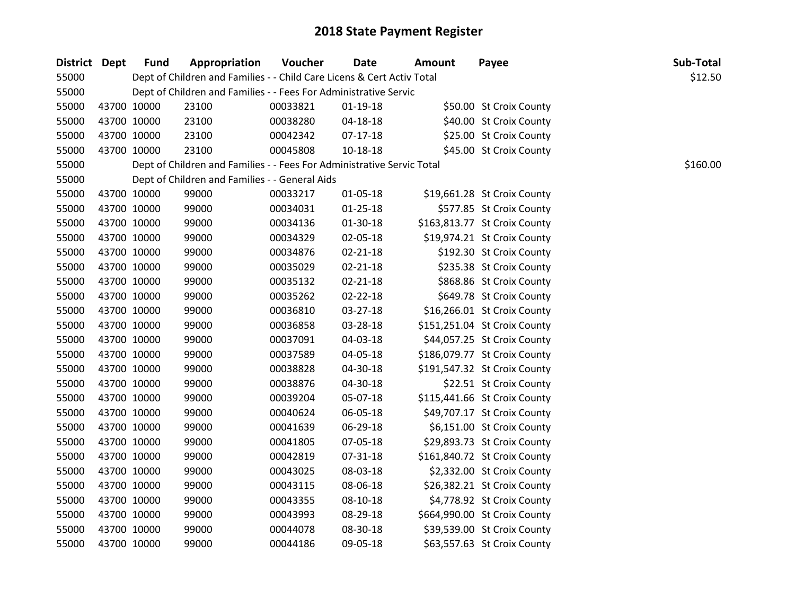| District Dept | <b>Fund</b> | Appropriation                                                          | Voucher  | <b>Date</b>    | <b>Amount</b> | Payee                        | Sub-Total |
|---------------|-------------|------------------------------------------------------------------------|----------|----------------|---------------|------------------------------|-----------|
| 55000         |             | Dept of Children and Families - - Child Care Licens & Cert Activ Total |          |                |               |                              | \$12.50   |
| 55000         |             | Dept of Children and Families - - Fees For Administrative Servic       |          |                |               |                              |           |
| 55000         | 43700 10000 | 23100                                                                  | 00033821 | $01-19-18$     |               | \$50.00 St Croix County      |           |
| 55000         | 43700 10000 | 23100                                                                  | 00038280 | 04-18-18       |               | \$40.00 St Croix County      |           |
| 55000         | 43700 10000 | 23100                                                                  | 00042342 | $07-17-18$     |               | \$25.00 St Croix County      |           |
| 55000         | 43700 10000 | 23100                                                                  | 00045808 | 10-18-18       |               | \$45.00 St Croix County      |           |
| 55000         |             | Dept of Children and Families - - Fees For Administrative Servic Total |          |                |               |                              | \$160.00  |
| 55000         |             | Dept of Children and Families - - General Aids                         |          |                |               |                              |           |
| 55000         | 43700 10000 | 99000                                                                  | 00033217 | $01 - 05 - 18$ |               | \$19,661.28 St Croix County  |           |
| 55000         | 43700 10000 | 99000                                                                  | 00034031 | $01 - 25 - 18$ |               | \$577.85 St Croix County     |           |
| 55000         | 43700 10000 | 99000                                                                  | 00034136 | $01-30-18$     |               | \$163,813.77 St Croix County |           |
| 55000         | 43700 10000 | 99000                                                                  | 00034329 | 02-05-18       |               | \$19,974.21 St Croix County  |           |
| 55000         | 43700 10000 | 99000                                                                  | 00034876 | 02-21-18       |               | \$192.30 St Croix County     |           |
| 55000         | 43700 10000 | 99000                                                                  | 00035029 | 02-21-18       |               | \$235.38 St Croix County     |           |
| 55000         | 43700 10000 | 99000                                                                  | 00035132 | $02 - 21 - 18$ |               | \$868.86 St Croix County     |           |
| 55000         | 43700 10000 | 99000                                                                  | 00035262 | $02 - 22 - 18$ |               | \$649.78 St Croix County     |           |
| 55000         | 43700 10000 | 99000                                                                  | 00036810 | 03-27-18       |               | \$16,266.01 St Croix County  |           |
| 55000         | 43700 10000 | 99000                                                                  | 00036858 | 03-28-18       |               | \$151,251.04 St Croix County |           |
| 55000         | 43700 10000 | 99000                                                                  | 00037091 | 04-03-18       |               | \$44,057.25 St Croix County  |           |
| 55000         | 43700 10000 | 99000                                                                  | 00037589 | 04-05-18       |               | \$186,079.77 St Croix County |           |
| 55000         | 43700 10000 | 99000                                                                  | 00038828 | 04-30-18       |               | \$191,547.32 St Croix County |           |
| 55000         | 43700 10000 | 99000                                                                  | 00038876 | 04-30-18       |               | \$22.51 St Croix County      |           |
| 55000         | 43700 10000 | 99000                                                                  | 00039204 | 05-07-18       |               | \$115,441.66 St Croix County |           |
| 55000         | 43700 10000 | 99000                                                                  | 00040624 | 06-05-18       |               | \$49,707.17 St Croix County  |           |
| 55000         | 43700 10000 | 99000                                                                  | 00041639 | 06-29-18       |               | \$6,151.00 St Croix County   |           |
| 55000         | 43700 10000 | 99000                                                                  | 00041805 | 07-05-18       |               | \$29,893.73 St Croix County  |           |
| 55000         | 43700 10000 | 99000                                                                  | 00042819 | 07-31-18       |               | \$161,840.72 St Croix County |           |
| 55000         | 43700 10000 | 99000                                                                  | 00043025 | 08-03-18       |               | \$2,332.00 St Croix County   |           |
| 55000         | 43700 10000 | 99000                                                                  | 00043115 | 08-06-18       |               | \$26,382.21 St Croix County  |           |
| 55000         | 43700 10000 | 99000                                                                  | 00043355 | 08-10-18       |               | \$4,778.92 St Croix County   |           |
| 55000         | 43700 10000 | 99000                                                                  | 00043993 | 08-29-18       |               | \$664,990.00 St Croix County |           |
| 55000         | 43700 10000 | 99000                                                                  | 00044078 | 08-30-18       |               | \$39,539.00 St Croix County  |           |
| 55000         | 43700 10000 | 99000                                                                  | 00044186 | 09-05-18       |               | \$63,557.63 St Croix County  |           |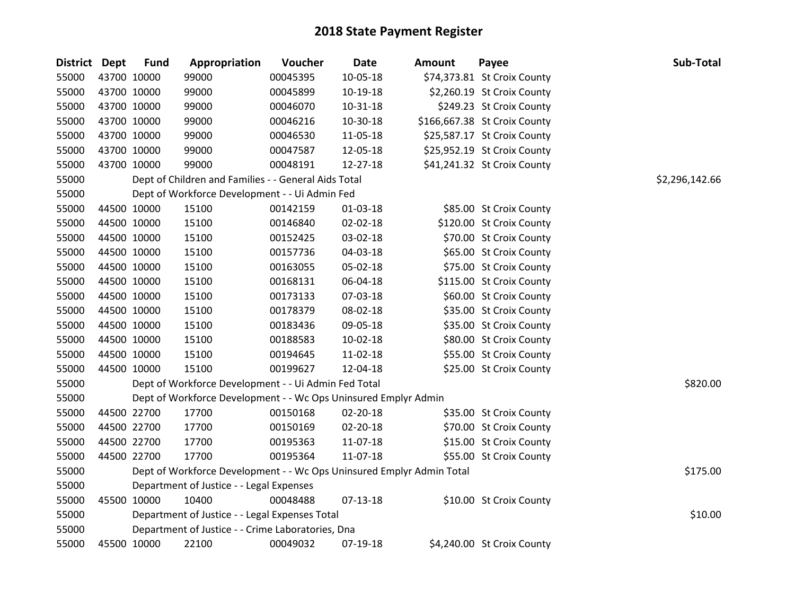| District Dept | <b>Fund</b> | Appropriation                                                         | Voucher  | <b>Date</b> | <b>Amount</b> | Payee                        | Sub-Total      |
|---------------|-------------|-----------------------------------------------------------------------|----------|-------------|---------------|------------------------------|----------------|
| 55000         | 43700 10000 | 99000                                                                 | 00045395 | 10-05-18    |               | \$74,373.81 St Croix County  |                |
| 55000         | 43700 10000 | 99000                                                                 | 00045899 | 10-19-18    |               | \$2,260.19 St Croix County   |                |
| 55000         | 43700 10000 | 99000                                                                 | 00046070 | 10-31-18    |               | \$249.23 St Croix County     |                |
| 55000         | 43700 10000 | 99000                                                                 | 00046216 | 10-30-18    |               | \$166,667.38 St Croix County |                |
| 55000         | 43700 10000 | 99000                                                                 | 00046530 | 11-05-18    |               | \$25,587.17 St Croix County  |                |
| 55000         | 43700 10000 | 99000                                                                 | 00047587 | 12-05-18    |               | \$25,952.19 St Croix County  |                |
| 55000         | 43700 10000 | 99000                                                                 | 00048191 | 12-27-18    |               | \$41,241.32 St Croix County  |                |
| 55000         |             | Dept of Children and Families - - General Aids Total                  |          |             |               |                              | \$2,296,142.66 |
| 55000         |             | Dept of Workforce Development - - Ui Admin Fed                        |          |             |               |                              |                |
| 55000         | 44500 10000 | 15100                                                                 | 00142159 | 01-03-18    |               | \$85.00 St Croix County      |                |
| 55000         | 44500 10000 | 15100                                                                 | 00146840 | 02-02-18    |               | \$120.00 St Croix County     |                |
| 55000         | 44500 10000 | 15100                                                                 | 00152425 | 03-02-18    |               | \$70.00 St Croix County      |                |
| 55000         | 44500 10000 | 15100                                                                 | 00157736 | 04-03-18    |               | \$65.00 St Croix County      |                |
| 55000         | 44500 10000 | 15100                                                                 | 00163055 | 05-02-18    |               | \$75.00 St Croix County      |                |
| 55000         | 44500 10000 | 15100                                                                 | 00168131 | 06-04-18    |               | \$115.00 St Croix County     |                |
| 55000         | 44500 10000 | 15100                                                                 | 00173133 | 07-03-18    |               | \$60.00 St Croix County      |                |
| 55000         | 44500 10000 | 15100                                                                 | 00178379 | 08-02-18    |               | \$35.00 St Croix County      |                |
| 55000         | 44500 10000 | 15100                                                                 | 00183436 | 09-05-18    |               | \$35.00 St Croix County      |                |
| 55000         | 44500 10000 | 15100                                                                 | 00188583 | 10-02-18    |               | \$80.00 St Croix County      |                |
| 55000         | 44500 10000 | 15100                                                                 | 00194645 | 11-02-18    |               | \$55.00 St Croix County      |                |
| 55000         | 44500 10000 | 15100                                                                 | 00199627 | 12-04-18    |               | \$25.00 St Croix County      |                |
| 55000         |             | Dept of Workforce Development - - Ui Admin Fed Total                  |          |             |               |                              | \$820.00       |
| 55000         |             | Dept of Workforce Development - - Wc Ops Uninsured Emplyr Admin       |          |             |               |                              |                |
| 55000         | 44500 22700 | 17700                                                                 | 00150168 | 02-20-18    |               | \$35.00 St Croix County      |                |
| 55000         | 44500 22700 | 17700                                                                 | 00150169 | 02-20-18    |               | \$70.00 St Croix County      |                |
| 55000         | 44500 22700 | 17700                                                                 | 00195363 | 11-07-18    |               | \$15.00 St Croix County      |                |
| 55000         | 44500 22700 | 17700                                                                 | 00195364 | 11-07-18    |               | \$55.00 St Croix County      |                |
| 55000         |             | Dept of Workforce Development - - Wc Ops Uninsured Emplyr Admin Total |          |             |               |                              | \$175.00       |
| 55000         |             | Department of Justice - - Legal Expenses                              |          |             |               |                              |                |
| 55000         | 45500 10000 | 10400                                                                 | 00048488 | 07-13-18    |               | \$10.00 St Croix County      |                |
| 55000         |             | Department of Justice - - Legal Expenses Total                        |          |             |               |                              | \$10.00        |
| 55000         |             | Department of Justice - - Crime Laboratories, Dna                     |          |             |               |                              |                |
| 55000         | 45500 10000 | 22100                                                                 | 00049032 | 07-19-18    |               | \$4,240.00 St Croix County   |                |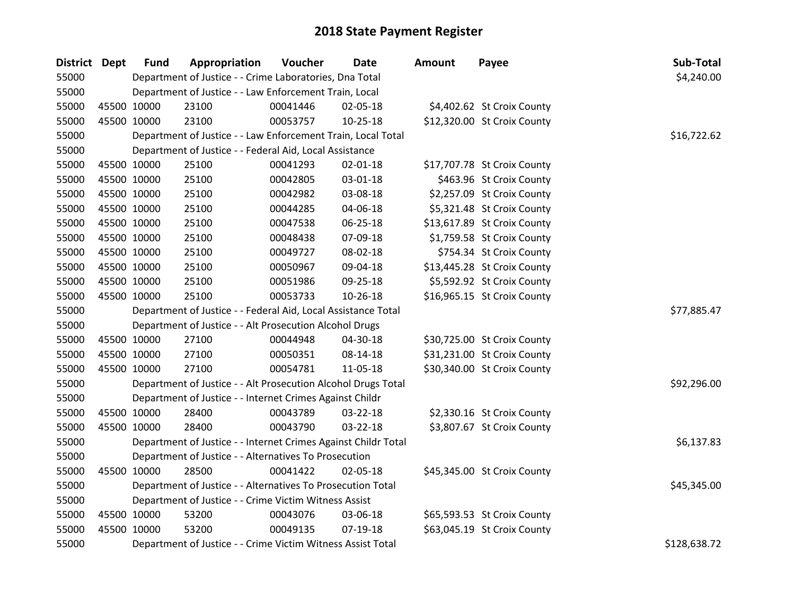| District Dept | <b>Fund</b> | Appropriation                                                  | Voucher  | <b>Date</b>    | <b>Amount</b> | Payee                       | Sub-Total    |
|---------------|-------------|----------------------------------------------------------------|----------|----------------|---------------|-----------------------------|--------------|
| 55000         |             | Department of Justice - - Crime Laboratories, Dna Total        |          |                |               |                             | \$4,240.00   |
| 55000         |             | Department of Justice - - Law Enforcement Train, Local         |          |                |               |                             |              |
| 55000         | 45500 10000 | 23100                                                          | 00041446 | 02-05-18       |               | \$4,402.62 St Croix County  |              |
| 55000         | 45500 10000 | 23100                                                          | 00053757 | $10 - 25 - 18$ |               | \$12,320.00 St Croix County |              |
| 55000         |             | Department of Justice - - Law Enforcement Train, Local Total   |          |                |               |                             | \$16,722.62  |
| 55000         |             | Department of Justice - - Federal Aid, Local Assistance        |          |                |               |                             |              |
| 55000         | 45500 10000 | 25100                                                          | 00041293 | $02 - 01 - 18$ |               | \$17,707.78 St Croix County |              |
| 55000         | 45500 10000 | 25100                                                          | 00042805 | 03-01-18       |               | \$463.96 St Croix County    |              |
| 55000         | 45500 10000 | 25100                                                          | 00042982 | 03-08-18       |               | \$2,257.09 St Croix County  |              |
| 55000         | 45500 10000 | 25100                                                          | 00044285 | 04-06-18       |               | \$5,321.48 St Croix County  |              |
| 55000         | 45500 10000 | 25100                                                          | 00047538 | 06-25-18       |               | \$13,617.89 St Croix County |              |
| 55000         | 45500 10000 | 25100                                                          | 00048438 | 07-09-18       |               | \$1,759.58 St Croix County  |              |
| 55000         | 45500 10000 | 25100                                                          | 00049727 | 08-02-18       |               | \$754.34 St Croix County    |              |
| 55000         | 45500 10000 | 25100                                                          | 00050967 | 09-04-18       |               | \$13,445.28 St Croix County |              |
| 55000         | 45500 10000 | 25100                                                          | 00051986 | 09-25-18       |               | \$5,592.92 St Croix County  |              |
| 55000         | 45500 10000 | 25100                                                          | 00053733 | 10-26-18       |               | \$16,965.15 St Croix County |              |
| 55000         |             | Department of Justice - - Federal Aid, Local Assistance Total  |          |                |               |                             | \$77,885.47  |
| 55000         |             | Department of Justice - - Alt Prosecution Alcohol Drugs        |          |                |               |                             |              |
| 55000         | 45500 10000 | 27100                                                          | 00044948 | 04-30-18       |               | \$30,725.00 St Croix County |              |
| 55000         | 45500 10000 | 27100                                                          | 00050351 | 08-14-18       |               | \$31,231.00 St Croix County |              |
| 55000         | 45500 10000 | 27100                                                          | 00054781 | 11-05-18       |               | \$30,340.00 St Croix County |              |
| 55000         |             | Department of Justice - - Alt Prosecution Alcohol Drugs Total  |          |                |               |                             | \$92,296.00  |
| 55000         |             | Department of Justice - - Internet Crimes Against Childr       |          |                |               |                             |              |
| 55000         | 45500 10000 | 28400                                                          | 00043789 | 03-22-18       |               | \$2,330.16 St Croix County  |              |
| 55000         | 45500 10000 | 28400                                                          | 00043790 | 03-22-18       |               | \$3,807.67 St Croix County  |              |
| 55000         |             | Department of Justice - - Internet Crimes Against Childr Total |          |                |               |                             | \$6,137.83   |
| 55000         |             | Department of Justice - - Alternatives To Prosecution          |          |                |               |                             |              |
| 55000         | 45500 10000 | 28500                                                          | 00041422 | 02-05-18       |               | \$45,345.00 St Croix County |              |
| 55000         |             | Department of Justice - - Alternatives To Prosecution Total    |          |                |               |                             | \$45,345.00  |
| 55000         |             | Department of Justice - - Crime Victim Witness Assist          |          |                |               |                             |              |
| 55000         | 45500 10000 | 53200                                                          | 00043076 | 03-06-18       |               | \$65,593.53 St Croix County |              |
| 55000         | 45500 10000 | 53200                                                          | 00049135 | $07-19-18$     |               | \$63,045.19 St Croix County |              |
| 55000         |             | Department of Justice - - Crime Victim Witness Assist Total    |          |                |               |                             | \$128,638.72 |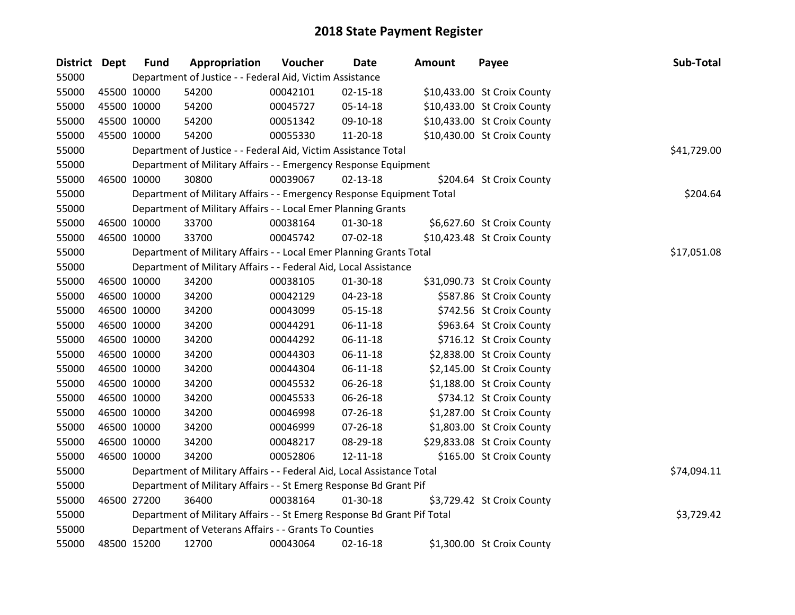| District Dept |             | <b>Fund</b> | Appropriation                                                           | Voucher  | <b>Date</b>    | <b>Amount</b> | Payee                       | Sub-Total   |
|---------------|-------------|-------------|-------------------------------------------------------------------------|----------|----------------|---------------|-----------------------------|-------------|
| 55000         |             |             | Department of Justice - - Federal Aid, Victim Assistance                |          |                |               |                             |             |
| 55000         |             | 45500 10000 | 54200                                                                   | 00042101 | $02 - 15 - 18$ |               | \$10,433.00 St Croix County |             |
| 55000         |             | 45500 10000 | 54200                                                                   | 00045727 | 05-14-18       |               | \$10,433.00 St Croix County |             |
| 55000         |             | 45500 10000 | 54200                                                                   | 00051342 | 09-10-18       |               | \$10,433.00 St Croix County |             |
| 55000         |             | 45500 10000 | 54200                                                                   | 00055330 | 11-20-18       |               | \$10,430.00 St Croix County |             |
| 55000         |             |             | Department of Justice - - Federal Aid, Victim Assistance Total          |          |                |               |                             | \$41,729.00 |
| 55000         |             |             | Department of Military Affairs - - Emergency Response Equipment         |          |                |               |                             |             |
| 55000         |             | 46500 10000 | 30800                                                                   | 00039067 | $02 - 13 - 18$ |               | \$204.64 St Croix County    |             |
| 55000         |             |             | Department of Military Affairs - - Emergency Response Equipment Total   |          |                |               |                             | \$204.64    |
| 55000         |             |             | Department of Military Affairs - - Local Emer Planning Grants           |          |                |               |                             |             |
| 55000         |             | 46500 10000 | 33700                                                                   | 00038164 | 01-30-18       |               | \$6,627.60 St Croix County  |             |
| 55000         |             | 46500 10000 | 33700                                                                   | 00045742 | 07-02-18       |               | \$10,423.48 St Croix County |             |
| 55000         |             |             | Department of Military Affairs - - Local Emer Planning Grants Total     |          |                |               |                             | \$17,051.08 |
| 55000         |             |             | Department of Military Affairs - - Federal Aid, Local Assistance        |          |                |               |                             |             |
| 55000         | 46500 10000 |             | 34200                                                                   | 00038105 | 01-30-18       |               | \$31,090.73 St Croix County |             |
| 55000         |             | 46500 10000 | 34200                                                                   | 00042129 | 04-23-18       |               | \$587.86 St Croix County    |             |
| 55000         |             | 46500 10000 | 34200                                                                   | 00043099 | 05-15-18       |               | \$742.56 St Croix County    |             |
| 55000         |             | 46500 10000 | 34200                                                                   | 00044291 | $06 - 11 - 18$ |               | \$963.64 St Croix County    |             |
| 55000         |             | 46500 10000 | 34200                                                                   | 00044292 | $06-11-18$     |               | \$716.12 St Croix County    |             |
| 55000         |             | 46500 10000 | 34200                                                                   | 00044303 | $06 - 11 - 18$ |               | \$2,838.00 St Croix County  |             |
| 55000         |             | 46500 10000 | 34200                                                                   | 00044304 | $06-11-18$     |               | \$2,145.00 St Croix County  |             |
| 55000         |             | 46500 10000 | 34200                                                                   | 00045532 | 06-26-18       |               | \$1,188.00 St Croix County  |             |
| 55000         | 46500 10000 |             | 34200                                                                   | 00045533 | 06-26-18       |               | \$734.12 St Croix County    |             |
| 55000         |             | 46500 10000 | 34200                                                                   | 00046998 | 07-26-18       |               | \$1,287.00 St Croix County  |             |
| 55000         |             | 46500 10000 | 34200                                                                   | 00046999 | 07-26-18       |               | \$1,803.00 St Croix County  |             |
| 55000         |             | 46500 10000 | 34200                                                                   | 00048217 | 08-29-18       |               | \$29,833.08 St Croix County |             |
| 55000         |             | 46500 10000 | 34200                                                                   | 00052806 | 12-11-18       |               | \$165.00 St Croix County    |             |
| 55000         |             |             | Department of Military Affairs - - Federal Aid, Local Assistance Total  |          |                |               |                             | \$74,094.11 |
| 55000         |             |             | Department of Military Affairs - - St Emerg Response Bd Grant Pif       |          |                |               |                             |             |
| 55000         |             | 46500 27200 | 36400                                                                   | 00038164 | 01-30-18       |               | \$3,729.42 St Croix County  |             |
| 55000         |             |             | Department of Military Affairs - - St Emerg Response Bd Grant Pif Total |          |                |               |                             | \$3,729.42  |
| 55000         |             |             | Department of Veterans Affairs - - Grants To Counties                   |          |                |               |                             |             |
| 55000         |             | 48500 15200 | 12700                                                                   | 00043064 | $02 - 16 - 18$ |               | \$1,300.00 St Croix County  |             |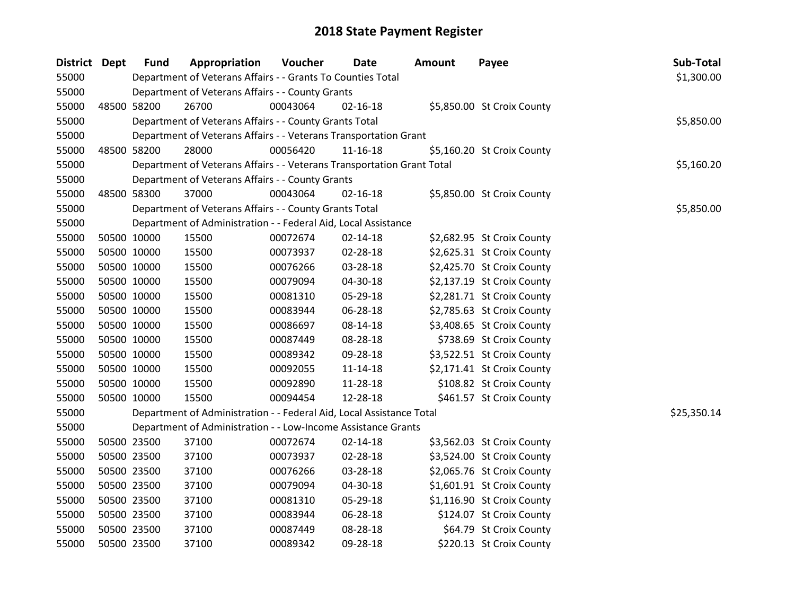| <b>District Dept</b> | <b>Fund</b>                                      | Appropriation                                                          | Voucher  | <b>Date</b>    | Amount | Payee                      | Sub-Total   |
|----------------------|--------------------------------------------------|------------------------------------------------------------------------|----------|----------------|--------|----------------------------|-------------|
| 55000                |                                                  | Department of Veterans Affairs - - Grants To Counties Total            |          |                |        |                            | \$1,300.00  |
| 55000                |                                                  | Department of Veterans Affairs - - County Grants                       |          |                |        |                            |             |
| 55000                | 48500 58200                                      | 26700                                                                  | 00043064 | $02 - 16 - 18$ |        | \$5,850.00 St Croix County |             |
| 55000                |                                                  | Department of Veterans Affairs - - County Grants Total                 |          |                |        |                            | \$5,850.00  |
| 55000                |                                                  | Department of Veterans Affairs - - Veterans Transportation Grant       |          |                |        |                            |             |
| 55000                | 48500 58200                                      | 28000                                                                  | 00056420 | $11 - 16 - 18$ |        | \$5,160.20 St Croix County |             |
| 55000                |                                                  | Department of Veterans Affairs - - Veterans Transportation Grant Total |          |                |        |                            | \$5,160.20  |
| 55000                | Department of Veterans Affairs - - County Grants |                                                                        |          |                |        |                            |             |
| 55000                | 48500 58300                                      | 37000                                                                  | 00043064 | $02 - 16 - 18$ |        | \$5,850.00 St Croix County |             |
| 55000                |                                                  | Department of Veterans Affairs - - County Grants Total                 |          |                |        |                            | \$5,850.00  |
| 55000                |                                                  | Department of Administration - - Federal Aid, Local Assistance         |          |                |        |                            |             |
| 55000                | 50500 10000                                      | 15500                                                                  | 00072674 | 02-14-18       |        | \$2,682.95 St Croix County |             |
| 55000                | 50500 10000                                      | 15500                                                                  | 00073937 | 02-28-18       |        | \$2,625.31 St Croix County |             |
| 55000                | 50500 10000                                      | 15500                                                                  | 00076266 | 03-28-18       |        | \$2,425.70 St Croix County |             |
| 55000                | 50500 10000                                      | 15500                                                                  | 00079094 | 04-30-18       |        | \$2,137.19 St Croix County |             |
| 55000                | 50500 10000                                      | 15500                                                                  | 00081310 | 05-29-18       |        | \$2,281.71 St Croix County |             |
| 55000                | 50500 10000                                      | 15500                                                                  | 00083944 | 06-28-18       |        | \$2,785.63 St Croix County |             |
| 55000                | 50500 10000                                      | 15500                                                                  | 00086697 | 08-14-18       |        | \$3,408.65 St Croix County |             |
| 55000                | 50500 10000                                      | 15500                                                                  | 00087449 | 08-28-18       |        | \$738.69 St Croix County   |             |
| 55000                | 50500 10000                                      | 15500                                                                  | 00089342 | 09-28-18       |        | \$3,522.51 St Croix County |             |
| 55000                | 50500 10000                                      | 15500                                                                  | 00092055 | $11 - 14 - 18$ |        | \$2,171.41 St Croix County |             |
| 55000                | 50500 10000                                      | 15500                                                                  | 00092890 | 11-28-18       |        | \$108.82 St Croix County   |             |
| 55000                | 50500 10000                                      | 15500                                                                  | 00094454 | 12-28-18       |        | \$461.57 St Croix County   |             |
| 55000                |                                                  | Department of Administration - - Federal Aid, Local Assistance Total   |          |                |        |                            | \$25,350.14 |
| 55000                |                                                  | Department of Administration - - Low-Income Assistance Grants          |          |                |        |                            |             |
| 55000                | 50500 23500                                      | 37100                                                                  | 00072674 | $02 - 14 - 18$ |        | \$3,562.03 St Croix County |             |
| 55000                | 50500 23500                                      | 37100                                                                  | 00073937 | 02-28-18       |        | \$3,524.00 St Croix County |             |
| 55000                | 50500 23500                                      | 37100                                                                  | 00076266 | 03-28-18       |        | \$2,065.76 St Croix County |             |
| 55000                | 50500 23500                                      | 37100                                                                  | 00079094 | 04-30-18       |        | \$1,601.91 St Croix County |             |
| 55000                | 50500 23500                                      | 37100                                                                  | 00081310 | 05-29-18       |        | \$1,116.90 St Croix County |             |
| 55000                | 50500 23500                                      | 37100                                                                  | 00083944 | 06-28-18       |        | \$124.07 St Croix County   |             |
| 55000                | 50500 23500                                      | 37100                                                                  | 00087449 | 08-28-18       |        | \$64.79 St Croix County    |             |
| 55000                | 50500 23500                                      | 37100                                                                  | 00089342 | 09-28-18       |        | \$220.13 St Croix County   |             |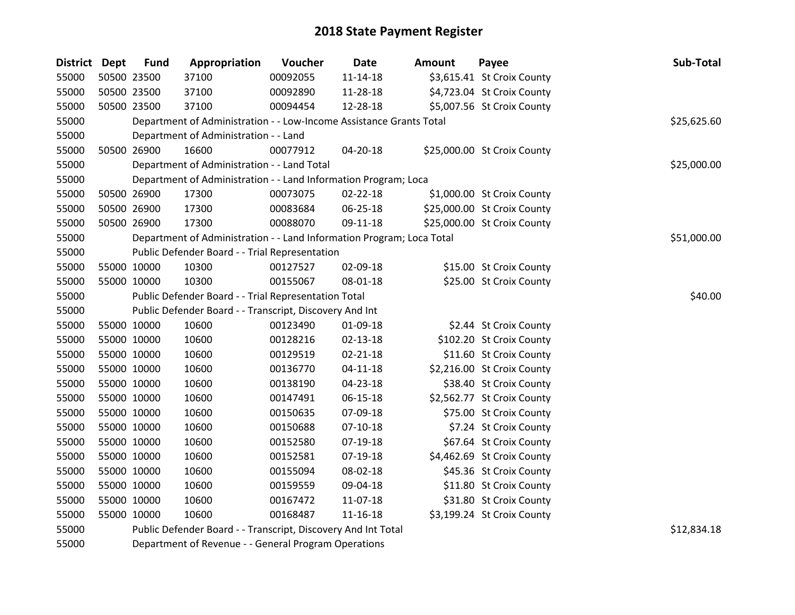| District Dept | <b>Fund</b> | Appropriation                                                         | Voucher  | Date           | Amount | Payee                       | Sub-Total   |
|---------------|-------------|-----------------------------------------------------------------------|----------|----------------|--------|-----------------------------|-------------|
| 55000         | 50500 23500 | 37100                                                                 | 00092055 | $11 - 14 - 18$ |        | \$3,615.41 St Croix County  |             |
| 55000         | 50500 23500 | 37100                                                                 | 00092890 | 11-28-18       |        | \$4,723.04 St Croix County  |             |
| 55000         | 50500 23500 | 37100                                                                 | 00094454 | 12-28-18       |        | \$5,007.56 St Croix County  |             |
| 55000         |             | Department of Administration - - Low-Income Assistance Grants Total   |          |                |        |                             | \$25,625.60 |
| 55000         |             | Department of Administration - - Land                                 |          |                |        |                             |             |
| 55000         | 50500 26900 | 16600                                                                 | 00077912 | 04-20-18       |        | \$25,000.00 St Croix County |             |
| 55000         |             | Department of Administration - - Land Total                           |          |                |        |                             | \$25,000.00 |
| 55000         |             | Department of Administration - - Land Information Program; Loca       |          |                |        |                             |             |
| 55000         | 50500 26900 | 17300                                                                 | 00073075 | 02-22-18       |        | \$1,000.00 St Croix County  |             |
| 55000         | 50500 26900 | 17300                                                                 | 00083684 | 06-25-18       |        | \$25,000.00 St Croix County |             |
| 55000         | 50500 26900 | 17300                                                                 | 00088070 | 09-11-18       |        | \$25,000.00 St Croix County |             |
| 55000         |             | Department of Administration - - Land Information Program; Loca Total |          |                |        |                             | \$51,000.00 |
| 55000         |             | Public Defender Board - - Trial Representation                        |          |                |        |                             |             |
| 55000         | 55000 10000 | 10300                                                                 | 00127527 | 02-09-18       |        | \$15.00 St Croix County     |             |
| 55000         | 55000 10000 | 10300                                                                 | 00155067 | 08-01-18       |        | \$25.00 St Croix County     |             |
| 55000         |             | Public Defender Board - - Trial Representation Total                  | \$40.00  |                |        |                             |             |
| 55000         |             | Public Defender Board - - Transcript, Discovery And Int               |          |                |        |                             |             |
| 55000         | 55000 10000 | 10600                                                                 | 00123490 | 01-09-18       |        | \$2.44 St Croix County      |             |
| 55000         | 55000 10000 | 10600                                                                 | 00128216 | $02 - 13 - 18$ |        | \$102.20 St Croix County    |             |
| 55000         | 55000 10000 | 10600                                                                 | 00129519 | $02 - 21 - 18$ |        | \$11.60 St Croix County     |             |
| 55000         | 55000 10000 | 10600                                                                 | 00136770 | $04 - 11 - 18$ |        | \$2,216.00 St Croix County  |             |
| 55000         | 55000 10000 | 10600                                                                 | 00138190 | 04-23-18       |        | \$38.40 St Croix County     |             |
| 55000         | 55000 10000 | 10600                                                                 | 00147491 | 06-15-18       |        | \$2,562.77 St Croix County  |             |
| 55000         | 55000 10000 | 10600                                                                 | 00150635 | 07-09-18       |        | \$75.00 St Croix County     |             |
| 55000         | 55000 10000 | 10600                                                                 | 00150688 | $07 - 10 - 18$ |        | \$7.24 St Croix County      |             |
| 55000         | 55000 10000 | 10600                                                                 | 00152580 | 07-19-18       |        | \$67.64 St Croix County     |             |
| 55000         | 55000 10000 | 10600                                                                 | 00152581 | 07-19-18       |        | \$4,462.69 St Croix County  |             |
| 55000         | 55000 10000 | 10600                                                                 | 00155094 | 08-02-18       |        | \$45.36 St Croix County     |             |
| 55000         | 55000 10000 | 10600                                                                 | 00159559 | 09-04-18       |        | \$11.80 St Croix County     |             |
| 55000         | 55000 10000 | 10600                                                                 | 00167472 | 11-07-18       |        | \$31.80 St Croix County     |             |
| 55000         | 55000 10000 | 10600                                                                 | 00168487 | $11 - 16 - 18$ |        | \$3,199.24 St Croix County  |             |
| 55000         |             | Public Defender Board - - Transcript, Discovery And Int Total         |          |                |        |                             | \$12,834.18 |

Department of Revenue - - General Program Operations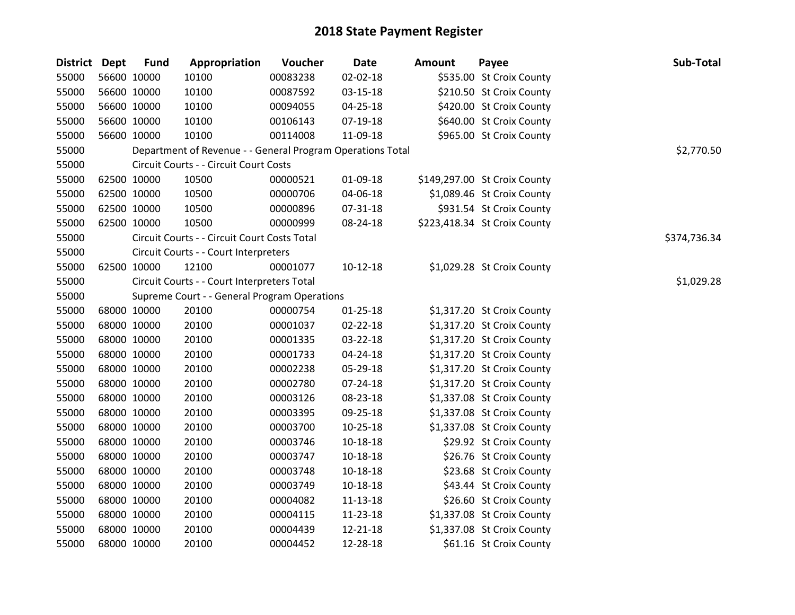| District Dept | <b>Fund</b> | Appropriation                                              | Voucher  | <b>Date</b>    | <b>Amount</b> | Payee                        | Sub-Total    |
|---------------|-------------|------------------------------------------------------------|----------|----------------|---------------|------------------------------|--------------|
| 55000         | 56600 10000 | 10100                                                      | 00083238 | 02-02-18       |               | \$535.00 St Croix County     |              |
| 55000         | 56600 10000 | 10100                                                      | 00087592 | 03-15-18       |               | \$210.50 St Croix County     |              |
| 55000         | 56600 10000 | 10100                                                      | 00094055 | 04-25-18       |               | \$420.00 St Croix County     |              |
| 55000         | 56600 10000 | 10100                                                      | 00106143 | 07-19-18       |               | \$640.00 St Croix County     |              |
| 55000         | 56600 10000 | 10100                                                      | 00114008 | 11-09-18       |               | \$965.00 St Croix County     |              |
| 55000         |             | Department of Revenue - - General Program Operations Total |          |                |               |                              | \$2,770.50   |
| 55000         |             | Circuit Courts - - Circuit Court Costs                     |          |                |               |                              |              |
| 55000         | 62500 10000 | 10500                                                      | 00000521 | 01-09-18       |               | \$149,297.00 St Croix County |              |
| 55000         | 62500 10000 | 10500                                                      | 00000706 | 04-06-18       |               | \$1,089.46 St Croix County   |              |
| 55000         | 62500 10000 | 10500                                                      | 00000896 | 07-31-18       |               | \$931.54 St Croix County     |              |
| 55000         | 62500 10000 | 10500                                                      | 00000999 | 08-24-18       |               | \$223,418.34 St Croix County |              |
| 55000         |             | Circuit Courts - - Circuit Court Costs Total               |          |                |               |                              | \$374,736.34 |
| 55000         |             | Circuit Courts - - Court Interpreters                      |          |                |               |                              |              |
| 55000         | 62500 10000 | 12100                                                      | 00001077 | 10-12-18       |               | \$1,029.28 St Croix County   |              |
| 55000         |             | Circuit Courts - - Court Interpreters Total                |          |                |               |                              | \$1,029.28   |
| 55000         |             | Supreme Court - - General Program Operations               |          |                |               |                              |              |
| 55000         | 68000 10000 | 20100                                                      | 00000754 | $01 - 25 - 18$ |               | \$1,317.20 St Croix County   |              |
| 55000         | 68000 10000 | 20100                                                      | 00001037 | 02-22-18       |               | \$1,317.20 St Croix County   |              |
| 55000         | 68000 10000 | 20100                                                      | 00001335 | 03-22-18       |               | \$1,317.20 St Croix County   |              |
| 55000         | 68000 10000 | 20100                                                      | 00001733 | 04-24-18       |               | \$1,317.20 St Croix County   |              |
| 55000         | 68000 10000 | 20100                                                      | 00002238 | 05-29-18       |               | \$1,317.20 St Croix County   |              |
| 55000         | 68000 10000 | 20100                                                      | 00002780 | 07-24-18       |               | \$1,317.20 St Croix County   |              |
| 55000         | 68000 10000 | 20100                                                      | 00003126 | 08-23-18       |               | \$1,337.08 St Croix County   |              |
| 55000         | 68000 10000 | 20100                                                      | 00003395 | 09-25-18       |               | \$1,337.08 St Croix County   |              |
| 55000         | 68000 10000 | 20100                                                      | 00003700 | $10-25-18$     |               | \$1,337.08 St Croix County   |              |
| 55000         | 68000 10000 | 20100                                                      | 00003746 | $10 - 18 - 18$ |               | \$29.92 St Croix County      |              |
| 55000         | 68000 10000 | 20100                                                      | 00003747 | $10 - 18 - 18$ |               | \$26.76 St Croix County      |              |
| 55000         | 68000 10000 | 20100                                                      | 00003748 | $10 - 18 - 18$ |               | \$23.68 St Croix County      |              |
| 55000         | 68000 10000 | 20100                                                      | 00003749 | $10 - 18 - 18$ |               | \$43.44 St Croix County      |              |
| 55000         | 68000 10000 | 20100                                                      | 00004082 | $11 - 13 - 18$ |               | \$26.60 St Croix County      |              |
| 55000         | 68000 10000 | 20100                                                      | 00004115 | 11-23-18       |               | \$1,337.08 St Croix County   |              |
| 55000         | 68000 10000 | 20100                                                      | 00004439 | 12-21-18       |               | \$1,337.08 St Croix County   |              |
| 55000         | 68000 10000 | 20100                                                      | 00004452 | 12-28-18       |               | \$61.16 St Croix County      |              |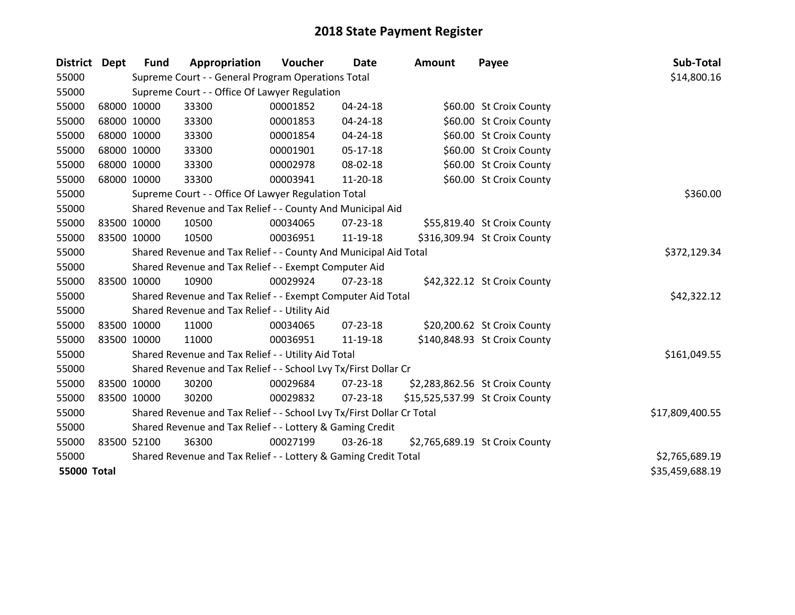| District           | <b>Dept</b> | <b>Fund</b> | Appropriation                                                         | <b>Voucher</b> | <b>Date</b>    | Amount | Payee                           | Sub-Total       |
|--------------------|-------------|-------------|-----------------------------------------------------------------------|----------------|----------------|--------|---------------------------------|-----------------|
| 55000              |             |             | Supreme Court - - General Program Operations Total                    |                |                |        |                                 | \$14,800.16     |
| 55000              |             |             | Supreme Court - - Office Of Lawyer Regulation                         |                |                |        |                                 |                 |
| 55000              |             | 68000 10000 | 33300                                                                 | 00001852       | 04-24-18       |        | \$60.00 St Croix County         |                 |
| 55000              |             | 68000 10000 | 33300                                                                 | 00001853       | 04-24-18       |        | \$60.00 St Croix County         |                 |
| 55000              |             | 68000 10000 | 33300                                                                 | 00001854       | 04-24-18       |        | \$60.00 St Croix County         |                 |
| 55000              |             | 68000 10000 | 33300                                                                 | 00001901       | $05-17-18$     |        | \$60.00 St Croix County         |                 |
| 55000              |             | 68000 10000 | 33300                                                                 | 00002978       | 08-02-18       |        | \$60.00 St Croix County         |                 |
| 55000              |             | 68000 10000 | 33300                                                                 | 00003941       | 11-20-18       |        | \$60.00 St Croix County         |                 |
| 55000              |             |             | Supreme Court - - Office Of Lawyer Regulation Total                   | \$360.00       |                |        |                                 |                 |
| 55000              |             |             | Shared Revenue and Tax Relief - - County And Municipal Aid            |                |                |        |                                 |                 |
| 55000              |             | 83500 10000 | 10500                                                                 | 00034065       | 07-23-18       |        | \$55,819.40 St Croix County     |                 |
| 55000              |             | 83500 10000 | 10500                                                                 | 00036951       | 11-19-18       |        | \$316,309.94 St Croix County    |                 |
| 55000              |             |             | Shared Revenue and Tax Relief - - County And Municipal Aid Total      | \$372,129.34   |                |        |                                 |                 |
| 55000              |             |             | Shared Revenue and Tax Relief - - Exempt Computer Aid                 |                |                |        |                                 |                 |
| 55000              |             | 83500 10000 | 10900                                                                 | 00029924       | $07 - 23 - 18$ |        | \$42,322.12 St Croix County     |                 |
| 55000              |             |             | Shared Revenue and Tax Relief - - Exempt Computer Aid Total           |                |                |        |                                 | \$42,322.12     |
| 55000              |             |             | Shared Revenue and Tax Relief - - Utility Aid                         |                |                |        |                                 |                 |
| 55000              | 83500 10000 |             | 11000                                                                 | 00034065       | 07-23-18       |        | \$20,200.62 St Croix County     |                 |
| 55000              |             | 83500 10000 | 11000                                                                 | 00036951       | 11-19-18       |        | \$140,848.93 St Croix County    |                 |
| 55000              |             |             | Shared Revenue and Tax Relief - - Utility Aid Total                   |                |                |        |                                 | \$161,049.55    |
| 55000              |             |             | Shared Revenue and Tax Relief - - School Lvy Tx/First Dollar Cr       |                |                |        |                                 |                 |
| 55000              |             | 83500 10000 | 30200                                                                 | 00029684       | 07-23-18       |        | \$2,283,862.56 St Croix County  |                 |
| 55000              |             | 83500 10000 | 30200                                                                 | 00029832       | 07-23-18       |        | \$15,525,537.99 St Croix County |                 |
| 55000              |             |             | Shared Revenue and Tax Relief - - School Lvy Tx/First Dollar Cr Total |                |                |        |                                 | \$17,809,400.55 |
| 55000              |             |             | Shared Revenue and Tax Relief - - Lottery & Gaming Credit             |                |                |        |                                 |                 |
| 55000              |             | 83500 52100 | 36300                                                                 | 00027199       | 03-26-18       |        | \$2,765,689.19 St Croix County  |                 |
| 55000              |             |             | Shared Revenue and Tax Relief - - Lottery & Gaming Credit Total       |                |                |        |                                 | \$2,765,689.19  |
| <b>55000 Total</b> |             |             |                                                                       |                |                |        |                                 | \$35,459,688.19 |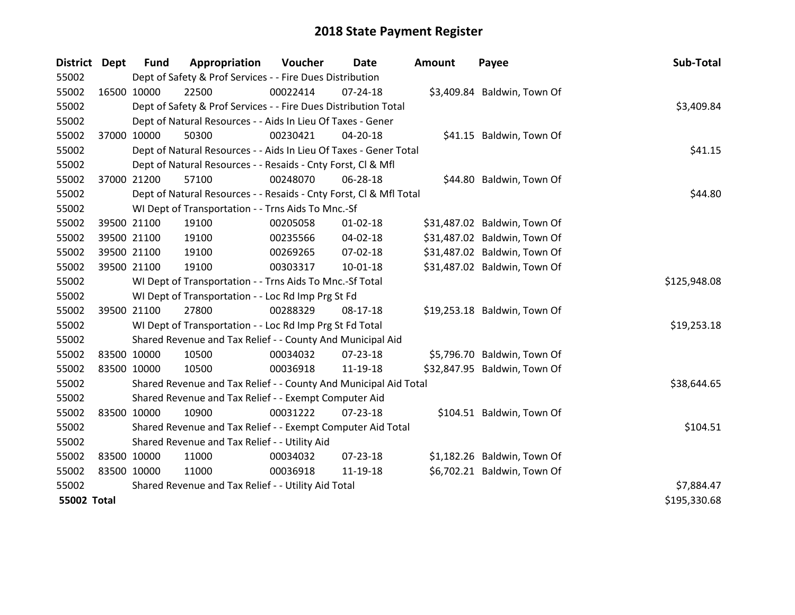| District Dept      |             | <b>Fund</b> | Appropriation                                                      | Voucher  | Date           | <b>Amount</b> | Payee                        | Sub-Total    |
|--------------------|-------------|-------------|--------------------------------------------------------------------|----------|----------------|---------------|------------------------------|--------------|
| 55002              |             |             | Dept of Safety & Prof Services - - Fire Dues Distribution          |          |                |               |                              |              |
| 55002              | 16500 10000 |             | 22500                                                              | 00022414 | 07-24-18       |               | \$3,409.84 Baldwin, Town Of  |              |
| 55002              |             |             | Dept of Safety & Prof Services - - Fire Dues Distribution Total    |          |                |               |                              | \$3,409.84   |
| 55002              |             |             | Dept of Natural Resources - - Aids In Lieu Of Taxes - Gener        |          |                |               |                              |              |
| 55002              | 37000 10000 |             | 50300                                                              | 00230421 | 04-20-18       |               | \$41.15 Baldwin, Town Of     |              |
| 55002              |             |             | Dept of Natural Resources - - Aids In Lieu Of Taxes - Gener Total  |          | \$41.15        |               |                              |              |
| 55002              |             |             | Dept of Natural Resources - - Resaids - Cnty Forst, CI & Mfl       |          |                |               |                              |              |
| 55002              | 37000 21200 |             | 57100                                                              | 00248070 | 06-28-18       |               | \$44.80 Baldwin, Town Of     |              |
| 55002              |             |             | Dept of Natural Resources - - Resaids - Cnty Forst, CI & Mfl Total |          |                |               |                              | \$44.80      |
| 55002              |             |             | WI Dept of Transportation - - Trns Aids To Mnc.-Sf                 |          |                |               |                              |              |
| 55002              |             | 39500 21100 | 19100                                                              | 00205058 | $01 - 02 - 18$ |               | \$31,487.02 Baldwin, Town Of |              |
| 55002              |             | 39500 21100 | 19100                                                              | 00235566 | 04-02-18       |               | \$31,487.02 Baldwin, Town Of |              |
| 55002              | 39500 21100 |             | 19100                                                              | 00269265 | $07 - 02 - 18$ |               | \$31,487.02 Baldwin, Town Of |              |
| 55002              | 39500 21100 |             | 19100                                                              | 00303317 | $10-01-18$     |               | \$31,487.02 Baldwin, Town Of |              |
| 55002              |             |             | WI Dept of Transportation - - Trns Aids To Mnc.-Sf Total           |          |                |               |                              | \$125,948.08 |
| 55002              |             |             | WI Dept of Transportation - - Loc Rd Imp Prg St Fd                 |          |                |               |                              |              |
| 55002              | 39500 21100 |             | 27800                                                              | 00288329 | 08-17-18       |               | \$19,253.18 Baldwin, Town Of |              |
| 55002              |             |             | WI Dept of Transportation - - Loc Rd Imp Prg St Fd Total           |          |                |               |                              | \$19,253.18  |
| 55002              |             |             | Shared Revenue and Tax Relief - - County And Municipal Aid         |          |                |               |                              |              |
| 55002              | 83500 10000 |             | 10500                                                              | 00034032 | 07-23-18       |               | \$5,796.70 Baldwin, Town Of  |              |
| 55002              | 83500 10000 |             | 10500                                                              | 00036918 | 11-19-18       |               | \$32,847.95 Baldwin, Town Of |              |
| 55002              |             |             | Shared Revenue and Tax Relief - - County And Municipal Aid Total   |          |                |               |                              | \$38,644.65  |
| 55002              |             |             | Shared Revenue and Tax Relief - - Exempt Computer Aid              |          |                |               |                              |              |
| 55002              | 83500 10000 |             | 10900                                                              | 00031222 | $07 - 23 - 18$ |               | \$104.51 Baldwin, Town Of    |              |
| 55002              |             |             | Shared Revenue and Tax Relief - - Exempt Computer Aid Total        |          |                |               |                              | \$104.51     |
| 55002              |             |             | Shared Revenue and Tax Relief - - Utility Aid                      |          |                |               |                              |              |
| 55002              | 83500 10000 |             | 11000                                                              | 00034032 | 07-23-18       |               | \$1,182.26 Baldwin, Town Of  |              |
| 55002              | 83500 10000 |             | 11000                                                              | 00036918 | 11-19-18       |               | \$6,702.21 Baldwin, Town Of  |              |
| 55002              |             |             | Shared Revenue and Tax Relief - - Utility Aid Total                |          |                |               |                              | \$7,884.47   |
| <b>55002 Total</b> |             |             |                                                                    |          |                |               |                              | \$195,330.68 |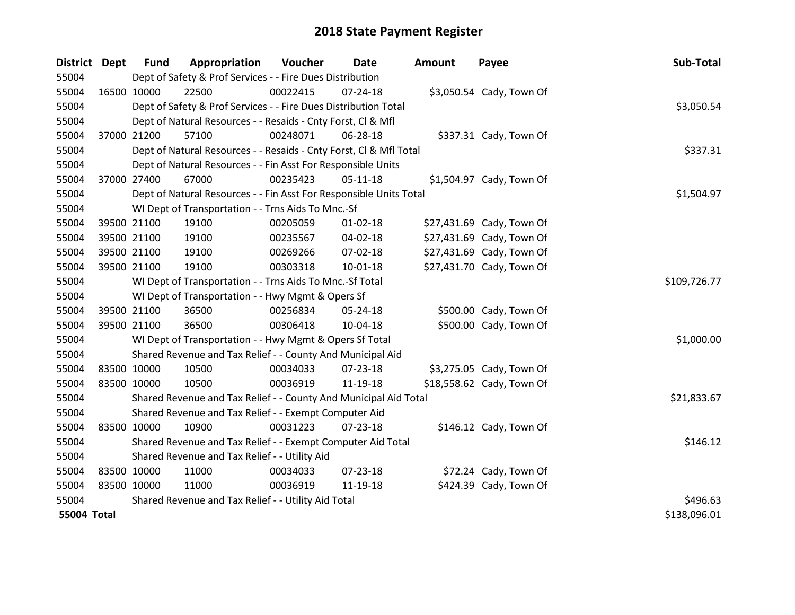| <b>District</b>    | <b>Dept</b> | <b>Fund</b>                                   | Appropriation                                                      | Voucher      | Date           | <b>Amount</b> | Payee                     | Sub-Total    |
|--------------------|-------------|-----------------------------------------------|--------------------------------------------------------------------|--------------|----------------|---------------|---------------------------|--------------|
| 55004              |             |                                               | Dept of Safety & Prof Services - - Fire Dues Distribution          |              |                |               |                           |              |
| 55004              | 16500 10000 |                                               | 22500                                                              | 00022415     | $07 - 24 - 18$ |               | \$3,050.54 Cady, Town Of  |              |
| 55004              |             |                                               | Dept of Safety & Prof Services - - Fire Dues Distribution Total    |              |                |               |                           | \$3,050.54   |
| 55004              |             |                                               | Dept of Natural Resources - - Resaids - Cnty Forst, Cl & Mfl       |              |                |               |                           |              |
| 55004              |             | 37000 21200                                   | 57100                                                              | 00248071     | 06-28-18       |               | \$337.31 Cady, Town Of    |              |
| 55004              |             |                                               | Dept of Natural Resources - - Resaids - Cnty Forst, Cl & Mfl Total | \$337.31     |                |               |                           |              |
| 55004              |             |                                               | Dept of Natural Resources - - Fin Asst For Responsible Units       |              |                |               |                           |              |
| 55004              | 37000 27400 |                                               | 67000                                                              | 00235423     | $05-11-18$     |               | \$1,504.97 Cady, Town Of  |              |
| 55004              |             |                                               | Dept of Natural Resources - - Fin Asst For Responsible Units Total | \$1,504.97   |                |               |                           |              |
| 55004              |             |                                               | WI Dept of Transportation - - Trns Aids To Mnc.-Sf                 |              |                |               |                           |              |
| 55004              |             | 39500 21100                                   | 19100                                                              | 00205059     | $01 - 02 - 18$ |               | \$27,431.69 Cady, Town Of |              |
| 55004              |             | 39500 21100                                   | 19100                                                              | 00235567     | 04-02-18       |               | \$27,431.69 Cady, Town Of |              |
| 55004              |             | 39500 21100                                   | 19100                                                              | 00269266     | 07-02-18       |               | \$27,431.69 Cady, Town Of |              |
| 55004              |             | 39500 21100                                   | 19100                                                              | 00303318     | $10 - 01 - 18$ |               | \$27,431.70 Cady, Town Of |              |
| 55004              |             |                                               | WI Dept of Transportation - - Trns Aids To Mnc.-Sf Total           | \$109,726.77 |                |               |                           |              |
| 55004              |             |                                               | WI Dept of Transportation - - Hwy Mgmt & Opers Sf                  |              |                |               |                           |              |
| 55004              | 39500 21100 |                                               | 36500                                                              | 00256834     | 05-24-18       |               | \$500.00 Cady, Town Of    |              |
| 55004              |             | 39500 21100                                   | 36500                                                              | 00306418     | 10-04-18       |               | \$500.00 Cady, Town Of    |              |
| 55004              |             |                                               | WI Dept of Transportation - - Hwy Mgmt & Opers Sf Total            |              |                |               |                           | \$1,000.00   |
| 55004              |             |                                               | Shared Revenue and Tax Relief - - County And Municipal Aid         |              |                |               |                           |              |
| 55004              | 83500 10000 |                                               | 10500                                                              | 00034033     | 07-23-18       |               | \$3,275.05 Cady, Town Of  |              |
| 55004              | 83500 10000 |                                               | 10500                                                              | 00036919     | 11-19-18       |               | \$18,558.62 Cady, Town Of |              |
| 55004              |             |                                               | Shared Revenue and Tax Relief - - County And Municipal Aid Total   |              |                |               |                           | \$21,833.67  |
| 55004              |             |                                               | Shared Revenue and Tax Relief - - Exempt Computer Aid              |              |                |               |                           |              |
| 55004              | 83500 10000 |                                               | 10900                                                              | 00031223     | 07-23-18       |               | \$146.12 Cady, Town Of    |              |
| 55004              |             |                                               | Shared Revenue and Tax Relief - - Exempt Computer Aid Total        |              |                |               |                           | \$146.12     |
| 55004              |             | Shared Revenue and Tax Relief - - Utility Aid |                                                                    |              |                |               |                           |              |
| 55004              | 83500 10000 |                                               | 11000                                                              | 00034033     | 07-23-18       |               | \$72.24 Cady, Town Of     |              |
| 55004              | 83500 10000 |                                               | 11000                                                              | 00036919     | 11-19-18       |               | \$424.39 Cady, Town Of    |              |
| 55004              |             |                                               | Shared Revenue and Tax Relief - - Utility Aid Total                |              |                |               |                           | \$496.63     |
| <b>55004 Total</b> |             |                                               |                                                                    |              |                |               |                           | \$138,096.01 |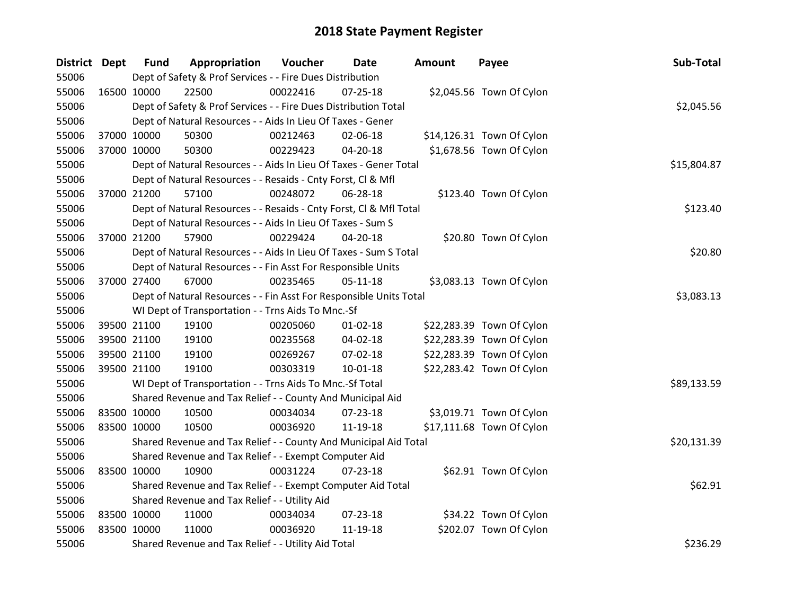| District Dept |             | <b>Fund</b> | Appropriation                                                      | Voucher  | <b>Date</b>    | <b>Amount</b> | Payee                     | Sub-Total   |
|---------------|-------------|-------------|--------------------------------------------------------------------|----------|----------------|---------------|---------------------------|-------------|
| 55006         |             |             | Dept of Safety & Prof Services - - Fire Dues Distribution          |          |                |               |                           |             |
| 55006         | 16500 10000 |             | 22500                                                              | 00022416 | $07 - 25 - 18$ |               | \$2,045.56 Town Of Cylon  |             |
| 55006         |             |             | Dept of Safety & Prof Services - - Fire Dues Distribution Total    |          |                |               |                           | \$2,045.56  |
| 55006         |             |             | Dept of Natural Resources - - Aids In Lieu Of Taxes - Gener        |          |                |               |                           |             |
| 55006         | 37000 10000 |             | 50300                                                              | 00212463 | 02-06-18       |               | \$14,126.31 Town Of Cylon |             |
| 55006         | 37000 10000 |             | 50300                                                              | 00229423 | 04-20-18       |               | \$1,678.56 Town Of Cylon  |             |
| 55006         |             |             | Dept of Natural Resources - - Aids In Lieu Of Taxes - Gener Total  |          |                |               |                           | \$15,804.87 |
| 55006         |             |             | Dept of Natural Resources - - Resaids - Cnty Forst, CI & Mfl       |          |                |               |                           |             |
| 55006         | 37000 21200 |             | 57100                                                              | 00248072 | 06-28-18       |               | \$123.40 Town Of Cylon    |             |
| 55006         |             |             | Dept of Natural Resources - - Resaids - Cnty Forst, CI & Mfl Total |          |                |               |                           | \$123.40    |
| 55006         |             |             | Dept of Natural Resources - - Aids In Lieu Of Taxes - Sum S        |          |                |               |                           |             |
| 55006         | 37000 21200 |             | 57900                                                              | 00229424 | 04-20-18       |               | \$20.80 Town Of Cylon     |             |
| 55006         |             |             | Dept of Natural Resources - - Aids In Lieu Of Taxes - Sum S Total  |          |                |               |                           | \$20.80     |
| 55006         |             |             | Dept of Natural Resources - - Fin Asst For Responsible Units       |          |                |               |                           |             |
| 55006         | 37000 27400 |             | 67000                                                              | 00235465 | $05-11-18$     |               | \$3,083.13 Town Of Cylon  |             |
| 55006         |             |             | Dept of Natural Resources - - Fin Asst For Responsible Units Total |          |                |               |                           | \$3,083.13  |
| 55006         |             |             | WI Dept of Transportation - - Trns Aids To Mnc.-Sf                 |          |                |               |                           |             |
| 55006         | 39500 21100 |             | 19100                                                              | 00205060 | $01 - 02 - 18$ |               | \$22,283.39 Town Of Cylon |             |
| 55006         | 39500 21100 |             | 19100                                                              | 00235568 | 04-02-18       |               | \$22,283.39 Town Of Cylon |             |
| 55006         | 39500 21100 |             | 19100                                                              | 00269267 | 07-02-18       |               | \$22,283.39 Town Of Cylon |             |
| 55006         | 39500 21100 |             | 19100                                                              | 00303319 | $10 - 01 - 18$ |               | \$22,283.42 Town Of Cylon |             |
| 55006         |             |             | WI Dept of Transportation - - Trns Aids To Mnc.-Sf Total           |          |                |               |                           | \$89,133.59 |
| 55006         |             |             | Shared Revenue and Tax Relief - - County And Municipal Aid         |          |                |               |                           |             |
| 55006         | 83500 10000 |             | 10500                                                              | 00034034 | 07-23-18       |               | \$3,019.71 Town Of Cylon  |             |
| 55006         | 83500 10000 |             | 10500                                                              | 00036920 | 11-19-18       |               | \$17,111.68 Town Of Cylon |             |
| 55006         |             |             | Shared Revenue and Tax Relief - - County And Municipal Aid Total   |          |                |               |                           | \$20,131.39 |
| 55006         |             |             | Shared Revenue and Tax Relief - - Exempt Computer Aid              |          |                |               |                           |             |
| 55006         | 83500 10000 |             | 10900                                                              | 00031224 | $07 - 23 - 18$ |               | \$62.91 Town Of Cylon     |             |
| 55006         |             |             | Shared Revenue and Tax Relief - - Exempt Computer Aid Total        |          |                |               |                           | \$62.91     |
| 55006         |             |             | Shared Revenue and Tax Relief - - Utility Aid                      |          |                |               |                           |             |
| 55006         | 83500 10000 |             | 11000                                                              | 00034034 | 07-23-18       |               | \$34.22 Town Of Cylon     |             |
| 55006         | 83500 10000 |             | 11000                                                              | 00036920 | 11-19-18       |               | \$202.07 Town Of Cylon    |             |
| 55006         |             |             | Shared Revenue and Tax Relief - - Utility Aid Total                |          |                |               |                           | \$236.29    |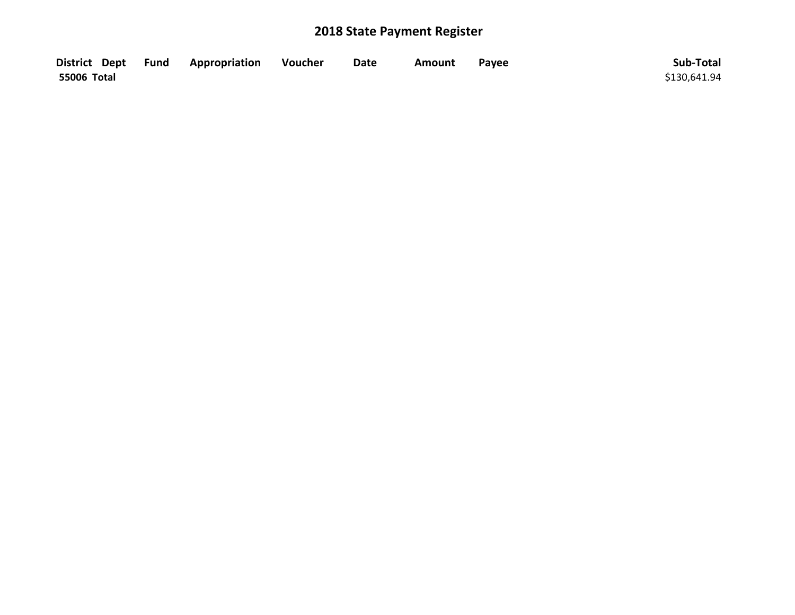|             | District Dept Fund Appropriation | Voucher | <b>Date</b> | Amount | Payee | Sub-Total    |
|-------------|----------------------------------|---------|-------------|--------|-------|--------------|
| 55006 Total |                                  |         |             |        |       | \$130,641.94 |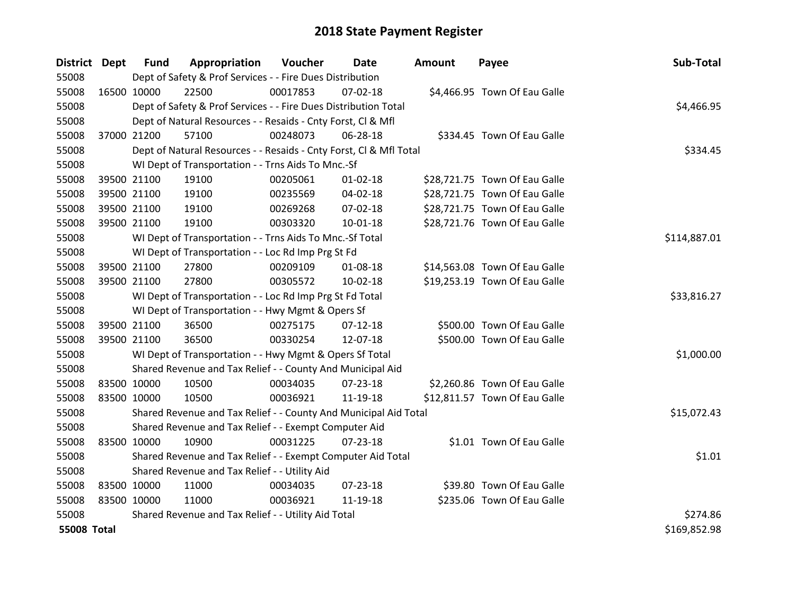| District Dept      |             | <b>Fund</b> | Appropriation                                                      | Voucher  | <b>Date</b>    | Amount | Payee                         | Sub-Total    |
|--------------------|-------------|-------------|--------------------------------------------------------------------|----------|----------------|--------|-------------------------------|--------------|
| 55008              |             |             | Dept of Safety & Prof Services - - Fire Dues Distribution          |          |                |        |                               |              |
| 55008              | 16500 10000 |             | 22500                                                              | 00017853 | $07 - 02 - 18$ |        | \$4,466.95 Town Of Eau Galle  |              |
| 55008              |             |             | Dept of Safety & Prof Services - - Fire Dues Distribution Total    |          |                |        |                               | \$4,466.95   |
| 55008              |             |             | Dept of Natural Resources - - Resaids - Cnty Forst, Cl & Mfl       |          |                |        |                               |              |
| 55008              | 37000 21200 |             | 57100                                                              | 00248073 | 06-28-18       |        | \$334.45 Town Of Eau Galle    |              |
| 55008              |             |             | Dept of Natural Resources - - Resaids - Cnty Forst, Cl & Mfl Total |          |                |        |                               | \$334.45     |
| 55008              |             |             | WI Dept of Transportation - - Trns Aids To Mnc.-Sf                 |          |                |        |                               |              |
| 55008              | 39500 21100 |             | 19100                                                              | 00205061 | $01 - 02 - 18$ |        | \$28,721.75 Town Of Eau Galle |              |
| 55008              | 39500 21100 |             | 19100                                                              | 00235569 | 04-02-18       |        | \$28,721.75 Town Of Eau Galle |              |
| 55008              | 39500 21100 |             | 19100                                                              | 00269268 | 07-02-18       |        | \$28,721.75 Town Of Eau Galle |              |
| 55008              | 39500 21100 |             | 19100                                                              | 00303320 | 10-01-18       |        | \$28,721.76 Town Of Eau Galle |              |
| 55008              |             |             | WI Dept of Transportation - - Trns Aids To Mnc.-Sf Total           |          |                |        |                               | \$114,887.01 |
| 55008              |             |             | WI Dept of Transportation - - Loc Rd Imp Prg St Fd                 |          |                |        |                               |              |
| 55008              | 39500 21100 |             | 27800                                                              | 00209109 | 01-08-18       |        | \$14,563.08 Town Of Eau Galle |              |
| 55008              | 39500 21100 |             | 27800                                                              | 00305572 | $10 - 02 - 18$ |        | \$19,253.19 Town Of Eau Galle |              |
| 55008              |             |             | WI Dept of Transportation - - Loc Rd Imp Prg St Fd Total           |          |                |        |                               | \$33,816.27  |
| 55008              |             |             | WI Dept of Transportation - - Hwy Mgmt & Opers Sf                  |          |                |        |                               |              |
| 55008              | 39500 21100 |             | 36500                                                              | 00275175 | $07-12-18$     |        | \$500.00 Town Of Eau Galle    |              |
| 55008              | 39500 21100 |             | 36500                                                              | 00330254 | 12-07-18       |        | \$500.00 Town Of Eau Galle    |              |
| 55008              |             |             | WI Dept of Transportation - - Hwy Mgmt & Opers Sf Total            |          |                |        |                               | \$1,000.00   |
| 55008              |             |             | Shared Revenue and Tax Relief - - County And Municipal Aid         |          |                |        |                               |              |
| 55008              | 83500 10000 |             | 10500                                                              | 00034035 | $07 - 23 - 18$ |        | \$2,260.86 Town Of Eau Galle  |              |
| 55008              | 83500 10000 |             | 10500                                                              | 00036921 | 11-19-18       |        | \$12,811.57 Town Of Eau Galle |              |
| 55008              |             |             | Shared Revenue and Tax Relief - - County And Municipal Aid Total   |          |                |        |                               | \$15,072.43  |
| 55008              |             |             | Shared Revenue and Tax Relief - - Exempt Computer Aid              |          |                |        |                               |              |
| 55008              | 83500 10000 |             | 10900                                                              | 00031225 | $07 - 23 - 18$ |        | \$1.01 Town Of Eau Galle      |              |
| 55008              |             |             | Shared Revenue and Tax Relief - - Exempt Computer Aid Total        |          |                |        |                               | \$1.01       |
| 55008              |             |             | Shared Revenue and Tax Relief - - Utility Aid                      |          |                |        |                               |              |
| 55008              | 83500 10000 |             | 11000                                                              | 00034035 | 07-23-18       |        | \$39.80 Town Of Eau Galle     |              |
| 55008              | 83500 10000 |             | 11000                                                              | 00036921 | 11-19-18       |        | \$235.06 Town Of Eau Galle    |              |
| 55008              |             |             | Shared Revenue and Tax Relief - - Utility Aid Total                |          |                |        |                               | \$274.86     |
| <b>55008 Total</b> |             |             |                                                                    |          |                |        |                               | \$169,852.98 |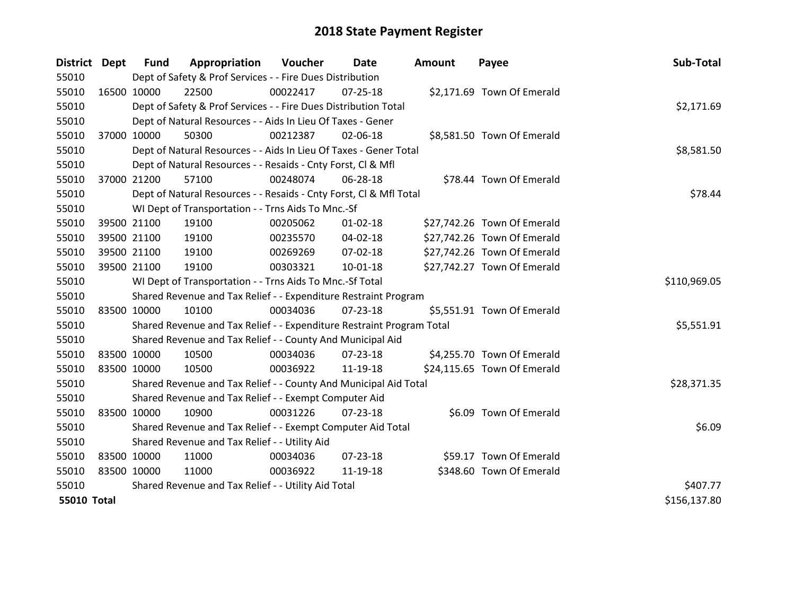| District Dept      |             | <b>Fund</b> | Appropriation                                                         | Voucher  | Date           | <b>Amount</b> | Payee                       | Sub-Total    |
|--------------------|-------------|-------------|-----------------------------------------------------------------------|----------|----------------|---------------|-----------------------------|--------------|
| 55010              |             |             | Dept of Safety & Prof Services - - Fire Dues Distribution             |          |                |               |                             |              |
| 55010              | 16500 10000 |             | 22500                                                                 | 00022417 | 07-25-18       |               | \$2,171.69 Town Of Emerald  |              |
| 55010              |             |             | Dept of Safety & Prof Services - - Fire Dues Distribution Total       |          |                |               |                             | \$2,171.69   |
| 55010              |             |             | Dept of Natural Resources - - Aids In Lieu Of Taxes - Gener           |          |                |               |                             |              |
| 55010              |             | 37000 10000 | 50300                                                                 | 00212387 | 02-06-18       |               | \$8,581.50 Town Of Emerald  |              |
| 55010              |             |             | Dept of Natural Resources - - Aids In Lieu Of Taxes - Gener Total     |          |                |               |                             | \$8,581.50   |
| 55010              |             |             | Dept of Natural Resources - - Resaids - Cnty Forst, CI & Mfl          |          |                |               |                             |              |
| 55010              |             | 37000 21200 | 57100                                                                 | 00248074 | 06-28-18       |               | \$78.44 Town Of Emerald     |              |
| 55010              |             |             | Dept of Natural Resources - - Resaids - Cnty Forst, CI & Mfl Total    |          | \$78.44        |               |                             |              |
| 55010              |             |             | WI Dept of Transportation - - Trns Aids To Mnc.-Sf                    |          |                |               |                             |              |
| 55010              |             | 39500 21100 | 19100                                                                 | 00205062 | $01 - 02 - 18$ |               | \$27,742.26 Town Of Emerald |              |
| 55010              |             | 39500 21100 | 19100                                                                 | 00235570 | 04-02-18       |               | \$27,742.26 Town Of Emerald |              |
| 55010              |             | 39500 21100 | 19100                                                                 | 00269269 | 07-02-18       |               | \$27,742.26 Town Of Emerald |              |
| 55010              |             | 39500 21100 | 19100                                                                 | 00303321 | $10 - 01 - 18$ |               | \$27,742.27 Town Of Emerald |              |
| 55010              |             |             | WI Dept of Transportation - - Trns Aids To Mnc.-Sf Total              |          |                |               |                             | \$110,969.05 |
| 55010              |             |             | Shared Revenue and Tax Relief - - Expenditure Restraint Program       |          |                |               |                             |              |
| 55010              | 83500 10000 |             | 10100                                                                 | 00034036 | $07 - 23 - 18$ |               | \$5,551.91 Town Of Emerald  |              |
| 55010              |             |             | Shared Revenue and Tax Relief - - Expenditure Restraint Program Total |          |                |               |                             | \$5,551.91   |
| 55010              |             |             | Shared Revenue and Tax Relief - - County And Municipal Aid            |          |                |               |                             |              |
| 55010              | 83500 10000 |             | 10500                                                                 | 00034036 | 07-23-18       |               | \$4,255.70 Town Of Emerald  |              |
| 55010              | 83500 10000 |             | 10500                                                                 | 00036922 | 11-19-18       |               | \$24,115.65 Town Of Emerald |              |
| 55010              |             |             | Shared Revenue and Tax Relief - - County And Municipal Aid Total      |          |                |               |                             | \$28,371.35  |
| 55010              |             |             | Shared Revenue and Tax Relief - - Exempt Computer Aid                 |          |                |               |                             |              |
| 55010              | 83500 10000 |             | 10900                                                                 | 00031226 | $07 - 23 - 18$ |               | \$6.09 Town Of Emerald      |              |
| 55010              |             |             | Shared Revenue and Tax Relief - - Exempt Computer Aid Total           |          |                |               |                             | \$6.09       |
| 55010              |             |             | Shared Revenue and Tax Relief - - Utility Aid                         |          |                |               |                             |              |
| 55010              | 83500 10000 |             | 11000                                                                 | 00034036 | 07-23-18       |               | \$59.17 Town Of Emerald     |              |
| 55010              | 83500 10000 |             | 11000                                                                 | 00036922 | 11-19-18       |               | \$348.60 Town Of Emerald    |              |
| 55010              |             |             | Shared Revenue and Tax Relief - - Utility Aid Total                   |          |                |               |                             | \$407.77     |
| <b>55010 Total</b> |             |             |                                                                       |          |                |               |                             | \$156,137.80 |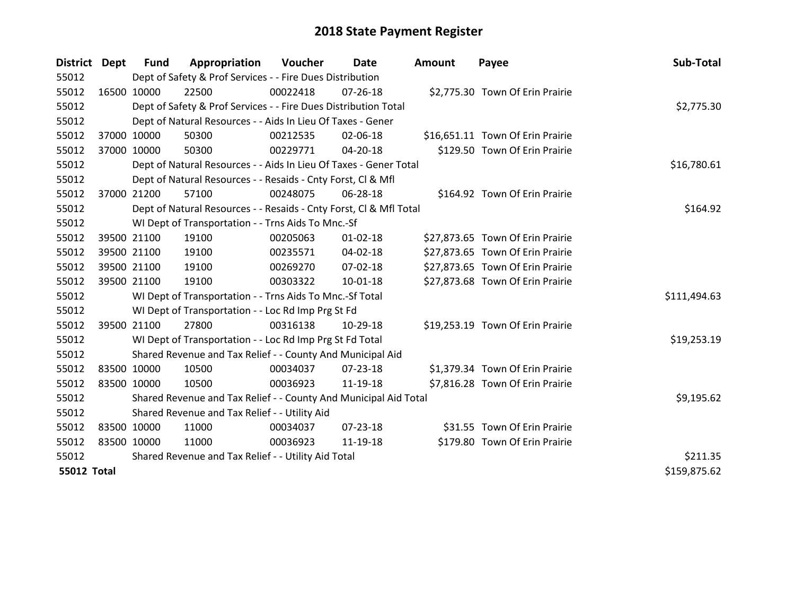| District           | Dept        | <b>Fund</b> | Appropriation                                                      | Voucher  | Date           | Amount | Payee                            | Sub-Total    |
|--------------------|-------------|-------------|--------------------------------------------------------------------|----------|----------------|--------|----------------------------------|--------------|
| 55012              |             |             | Dept of Safety & Prof Services - - Fire Dues Distribution          |          |                |        |                                  |              |
| 55012              |             | 16500 10000 | 22500                                                              | 00022418 | $07 - 26 - 18$ |        | \$2,775.30 Town Of Erin Prairie  |              |
| 55012              |             |             | Dept of Safety & Prof Services - - Fire Dues Distribution Total    |          |                |        |                                  | \$2,775.30   |
| 55012              |             |             | Dept of Natural Resources - - Aids In Lieu Of Taxes - Gener        |          |                |        |                                  |              |
| 55012              |             | 37000 10000 | 50300                                                              | 00212535 | 02-06-18       |        | \$16,651.11 Town Of Erin Prairie |              |
| 55012              | 37000 10000 |             | 50300                                                              | 00229771 | 04-20-18       |        | \$129.50 Town Of Erin Prairie    |              |
| 55012              |             |             | Dept of Natural Resources - - Aids In Lieu Of Taxes - Gener Total  |          |                |        |                                  | \$16,780.61  |
| 55012              |             |             | Dept of Natural Resources - - Resaids - Cnty Forst, CI & Mfl       |          |                |        |                                  |              |
| 55012              |             | 37000 21200 | 57100                                                              | 00248075 | 06-28-18       |        | \$164.92 Town Of Erin Prairie    |              |
| 55012              |             |             | Dept of Natural Resources - - Resaids - Cnty Forst, Cl & Mfl Total |          |                |        |                                  | \$164.92     |
| 55012              |             |             | WI Dept of Transportation - - Trns Aids To Mnc.-Sf                 |          |                |        |                                  |              |
| 55012              |             | 39500 21100 | 19100                                                              | 00205063 | $01 - 02 - 18$ |        | \$27,873.65 Town Of Erin Prairie |              |
| 55012              |             | 39500 21100 | 19100                                                              | 00235571 | 04-02-18       |        | \$27,873.65 Town Of Erin Prairie |              |
| 55012              |             | 39500 21100 | 19100                                                              | 00269270 | 07-02-18       |        | \$27,873.65 Town Of Erin Prairie |              |
| 55012              | 39500 21100 |             | 19100                                                              | 00303322 | 10-01-18       |        | \$27,873.68 Town Of Erin Prairie |              |
| 55012              |             |             | WI Dept of Transportation - - Trns Aids To Mnc.-Sf Total           |          |                |        |                                  | \$111,494.63 |
| 55012              |             |             | WI Dept of Transportation - - Loc Rd Imp Prg St Fd                 |          |                |        |                                  |              |
| 55012              |             | 39500 21100 | 27800                                                              | 00316138 | 10-29-18       |        | \$19,253.19 Town Of Erin Prairie |              |
| 55012              |             |             | WI Dept of Transportation - - Loc Rd Imp Prg St Fd Total           |          |                |        |                                  | \$19,253.19  |
| 55012              |             |             | Shared Revenue and Tax Relief - - County And Municipal Aid         |          |                |        |                                  |              |
| 55012              |             | 83500 10000 | 10500                                                              | 00034037 | $07 - 23 - 18$ |        | \$1,379.34 Town Of Erin Prairie  |              |
| 55012              |             | 83500 10000 | 10500                                                              | 00036923 | 11-19-18       |        | \$7,816.28 Town Of Erin Prairie  |              |
| 55012              |             |             | Shared Revenue and Tax Relief - - County And Municipal Aid Total   |          |                |        |                                  | \$9,195.62   |
| 55012              |             |             | Shared Revenue and Tax Relief - - Utility Aid                      |          |                |        |                                  |              |
| 55012              |             | 83500 10000 | 11000                                                              | 00034037 | $07 - 23 - 18$ |        | \$31.55 Town Of Erin Prairie     |              |
| 55012              | 83500 10000 |             | 11000                                                              | 00036923 | 11-19-18       |        | \$179.80 Town Of Erin Prairie    |              |
| 55012              |             |             | Shared Revenue and Tax Relief - - Utility Aid Total                |          |                |        |                                  | \$211.35     |
| <b>55012 Total</b> |             |             |                                                                    |          |                |        |                                  | \$159,875.62 |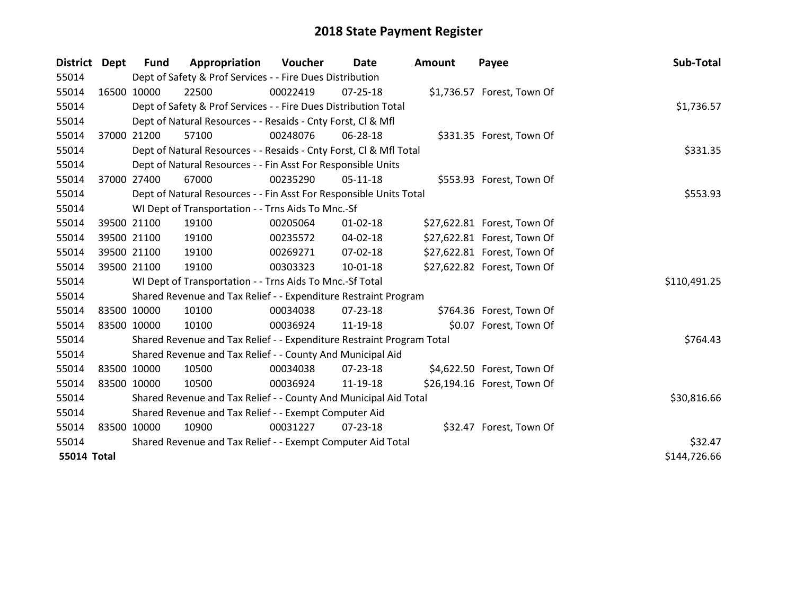| District Dept      |             | <b>Fund</b> | Appropriation                                                         | Voucher  | Date           | <b>Amount</b> | Payee                       | Sub-Total    |
|--------------------|-------------|-------------|-----------------------------------------------------------------------|----------|----------------|---------------|-----------------------------|--------------|
| 55014              |             |             | Dept of Safety & Prof Services - - Fire Dues Distribution             |          |                |               |                             |              |
| 55014              | 16500 10000 |             | 22500                                                                 | 00022419 | $07 - 25 - 18$ |               | \$1,736.57 Forest, Town Of  |              |
| 55014              |             |             | Dept of Safety & Prof Services - - Fire Dues Distribution Total       |          |                |               |                             | \$1,736.57   |
| 55014              |             |             | Dept of Natural Resources - - Resaids - Cnty Forst, CI & Mfl          |          |                |               |                             |              |
| 55014              |             | 37000 21200 | 57100                                                                 | 00248076 | 06-28-18       |               | \$331.35 Forest, Town Of    |              |
| 55014              |             |             | Dept of Natural Resources - - Resaids - Cnty Forst, Cl & Mfl Total    |          |                |               |                             | \$331.35     |
| 55014              |             |             | Dept of Natural Resources - - Fin Asst For Responsible Units          |          |                |               |                             |              |
| 55014              |             | 37000 27400 | 67000                                                                 | 00235290 | $05-11-18$     |               | \$553.93 Forest, Town Of    |              |
| 55014              |             |             | Dept of Natural Resources - - Fin Asst For Responsible Units Total    | \$553.93 |                |               |                             |              |
| 55014              |             |             | WI Dept of Transportation - - Trns Aids To Mnc.-Sf                    |          |                |               |                             |              |
| 55014              | 39500 21100 |             | 19100                                                                 | 00205064 | $01 - 02 - 18$ |               | \$27,622.81 Forest, Town Of |              |
| 55014              |             | 39500 21100 | 19100                                                                 | 00235572 | 04-02-18       |               | \$27,622.81 Forest, Town Of |              |
| 55014              |             | 39500 21100 | 19100                                                                 | 00269271 | 07-02-18       |               | \$27,622.81 Forest, Town Of |              |
| 55014              | 39500 21100 |             | 19100                                                                 | 00303323 | $10 - 01 - 18$ |               | \$27,622.82 Forest, Town Of |              |
| 55014              |             |             | WI Dept of Transportation - - Trns Aids To Mnc.-Sf Total              |          |                |               |                             | \$110,491.25 |
| 55014              |             |             | Shared Revenue and Tax Relief - - Expenditure Restraint Program       |          |                |               |                             |              |
| 55014              | 83500 10000 |             | 10100                                                                 | 00034038 | 07-23-18       |               | \$764.36 Forest, Town Of    |              |
| 55014              | 83500 10000 |             | 10100                                                                 | 00036924 | 11-19-18       |               | \$0.07 Forest, Town Of      |              |
| 55014              |             |             | Shared Revenue and Tax Relief - - Expenditure Restraint Program Total |          |                |               |                             | \$764.43     |
| 55014              |             |             | Shared Revenue and Tax Relief - - County And Municipal Aid            |          |                |               |                             |              |
| 55014              | 83500 10000 |             | 10500                                                                 | 00034038 | $07 - 23 - 18$ |               | \$4,622.50 Forest, Town Of  |              |
| 55014              | 83500 10000 |             | 10500                                                                 | 00036924 | 11-19-18       |               | \$26,194.16 Forest, Town Of |              |
| 55014              |             |             | Shared Revenue and Tax Relief - - County And Municipal Aid Total      |          |                |               |                             | \$30,816.66  |
| 55014              |             |             | Shared Revenue and Tax Relief - - Exempt Computer Aid                 |          |                |               |                             |              |
| 55014              | 83500 10000 |             | 10900                                                                 | 00031227 | $07 - 23 - 18$ |               | \$32.47 Forest, Town Of     |              |
| 55014              |             |             | Shared Revenue and Tax Relief - - Exempt Computer Aid Total           | \$32.47  |                |               |                             |              |
| <b>55014 Total</b> |             |             |                                                                       |          |                |               |                             | \$144,726.66 |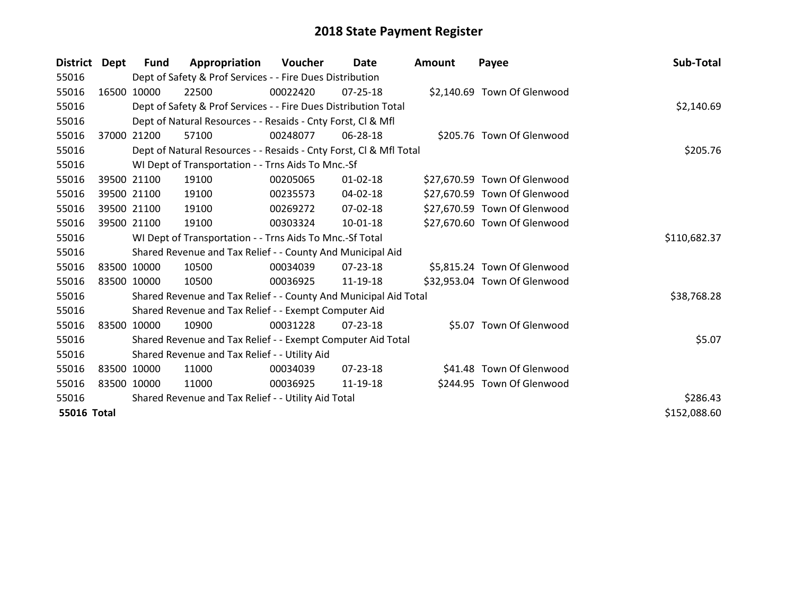| <b>District</b>    | Dept        | Fund        | Appropriation                                                      | Voucher  | Date           | Amount | Payee                        | Sub-Total    |
|--------------------|-------------|-------------|--------------------------------------------------------------------|----------|----------------|--------|------------------------------|--------------|
| 55016              |             |             | Dept of Safety & Prof Services - - Fire Dues Distribution          |          |                |        |                              |              |
| 55016              |             | 16500 10000 | 22500                                                              | 00022420 | 07-25-18       |        | \$2,140.69 Town Of Glenwood  |              |
| 55016              |             |             | Dept of Safety & Prof Services - - Fire Dues Distribution Total    |          |                |        |                              | \$2,140.69   |
| 55016              |             |             | Dept of Natural Resources - - Resaids - Cnty Forst, CI & Mfl       |          |                |        |                              |              |
| 55016              | 37000       | 21200       | 57100                                                              | 00248077 | 06-28-18       |        | \$205.76 Town Of Glenwood    |              |
| 55016              |             |             | Dept of Natural Resources - - Resaids - Cnty Forst, Cl & Mfl Total |          | \$205.76       |        |                              |              |
| 55016              |             |             | WI Dept of Transportation - - Trns Aids To Mnc.-Sf                 |          |                |        |                              |              |
| 55016              |             | 39500 21100 | 19100                                                              | 00205065 | $01 - 02 - 18$ |        | \$27,670.59 Town Of Glenwood |              |
| 55016              |             | 39500 21100 | 19100                                                              | 00235573 | 04-02-18       |        | \$27,670.59 Town Of Glenwood |              |
| 55016              |             | 39500 21100 | 19100                                                              | 00269272 | $07 - 02 - 18$ |        | \$27,670.59 Town Of Glenwood |              |
| 55016              |             | 39500 21100 | 19100                                                              | 00303324 | $10 - 01 - 18$ |        | \$27,670.60 Town Of Glenwood |              |
| 55016              |             |             | WI Dept of Transportation - - Trns Aids To Mnc.-Sf Total           |          |                |        |                              | \$110,682.37 |
| 55016              |             |             | Shared Revenue and Tax Relief - - County And Municipal Aid         |          |                |        |                              |              |
| 55016              |             | 83500 10000 | 10500                                                              | 00034039 | 07-23-18       |        | \$5,815.24 Town Of Glenwood  |              |
| 55016              | 83500 10000 |             | 10500                                                              | 00036925 | 11-19-18       |        | \$32,953.04 Town Of Glenwood |              |
| 55016              |             |             | Shared Revenue and Tax Relief - - County And Municipal Aid Total   |          |                |        |                              | \$38,768.28  |
| 55016              |             |             | Shared Revenue and Tax Relief - - Exempt Computer Aid              |          |                |        |                              |              |
| 55016              |             | 83500 10000 | 10900                                                              | 00031228 | 07-23-18       |        | \$5.07 Town Of Glenwood      |              |
| 55016              |             |             | Shared Revenue and Tax Relief - - Exempt Computer Aid Total        |          |                |        |                              | \$5.07       |
| 55016              |             |             | Shared Revenue and Tax Relief - - Utility Aid                      |          |                |        |                              |              |
| 55016              |             | 83500 10000 | 11000                                                              | 00034039 | $07 - 23 - 18$ |        | \$41.48 Town Of Glenwood     |              |
| 55016              | 83500 10000 |             | 11000                                                              | 00036925 | 11-19-18       |        | \$244.95 Town Of Glenwood    |              |
| 55016              |             |             | Shared Revenue and Tax Relief - - Utility Aid Total                |          |                |        |                              | \$286.43     |
| <b>55016 Total</b> |             |             |                                                                    |          |                |        |                              | \$152,088.60 |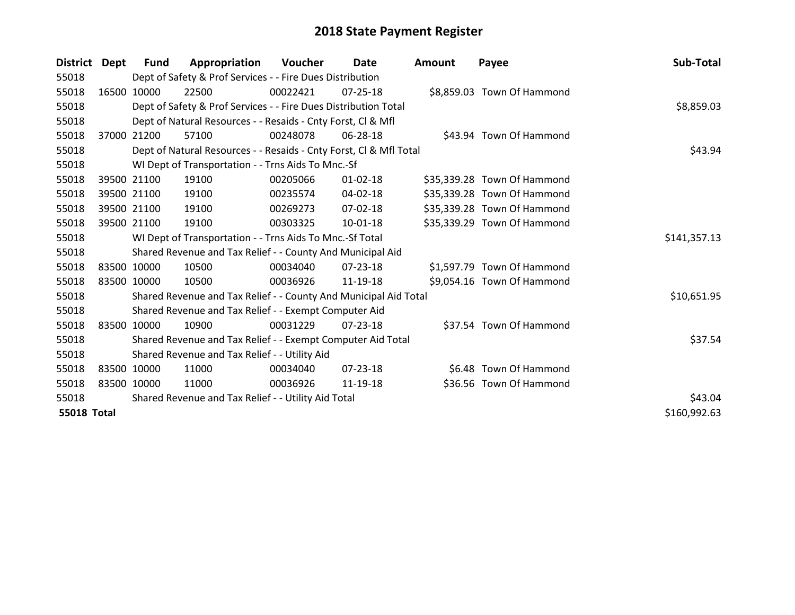| <b>District</b>    | Dept  | <b>Fund</b> | Appropriation                                                      | <b>Voucher</b> | Date           | <b>Amount</b> | Payee                       | Sub-Total    |
|--------------------|-------|-------------|--------------------------------------------------------------------|----------------|----------------|---------------|-----------------------------|--------------|
| 55018              |       |             | Dept of Safety & Prof Services - - Fire Dues Distribution          |                |                |               |                             |              |
| 55018              |       | 16500 10000 | 22500                                                              | 00022421       | 07-25-18       |               | \$8,859.03 Town Of Hammond  |              |
| 55018              |       |             | Dept of Safety & Prof Services - - Fire Dues Distribution Total    |                | \$8,859.03     |               |                             |              |
| 55018              |       |             | Dept of Natural Resources - - Resaids - Cnty Forst, Cl & Mfl       |                |                |               |                             |              |
| 55018              | 37000 | 21200       | 57100                                                              | 00248078       | 06-28-18       |               | \$43.94 Town Of Hammond     |              |
| 55018              |       |             | Dept of Natural Resources - - Resaids - Cnty Forst, Cl & Mfl Total |                | \$43.94        |               |                             |              |
| 55018              |       |             | WI Dept of Transportation - - Trns Aids To Mnc.-Sf                 |                |                |               |                             |              |
| 55018              |       | 39500 21100 | 19100                                                              | 00205066       | $01 - 02 - 18$ |               | \$35,339.28 Town Of Hammond |              |
| 55018              |       | 39500 21100 | 19100                                                              | 00235574       | 04-02-18       |               | \$35,339.28 Town Of Hammond |              |
| 55018              |       | 39500 21100 | 19100                                                              | 00269273       | 07-02-18       |               | \$35,339.28 Town Of Hammond |              |
| 55018              |       | 39500 21100 | 19100                                                              | 00303325       | 10-01-18       |               | \$35,339.29 Town Of Hammond |              |
| 55018              |       |             | WI Dept of Transportation - - Trns Aids To Mnc.-Sf Total           |                |                |               |                             | \$141,357.13 |
| 55018              |       |             | Shared Revenue and Tax Relief - - County And Municipal Aid         |                |                |               |                             |              |
| 55018              |       | 83500 10000 | 10500                                                              | 00034040       | 07-23-18       |               | \$1,597.79 Town Of Hammond  |              |
| 55018              |       | 83500 10000 | 10500                                                              | 00036926       | 11-19-18       |               | \$9,054.16 Town Of Hammond  |              |
| 55018              |       |             | Shared Revenue and Tax Relief - - County And Municipal Aid Total   |                |                |               |                             | \$10,651.95  |
| 55018              |       |             | Shared Revenue and Tax Relief - - Exempt Computer Aid              |                |                |               |                             |              |
| 55018              |       | 83500 10000 | 10900                                                              | 00031229       | $07 - 23 - 18$ |               | \$37.54 Town Of Hammond     |              |
| 55018              |       |             | Shared Revenue and Tax Relief - - Exempt Computer Aid Total        |                |                |               |                             | \$37.54      |
| 55018              |       |             | Shared Revenue and Tax Relief - - Utility Aid                      |                |                |               |                             |              |
| 55018              |       | 83500 10000 | 11000                                                              | 00034040       | $07 - 23 - 18$ |               | \$6.48 Town Of Hammond      |              |
| 55018              |       | 83500 10000 | 11000                                                              | 00036926       | 11-19-18       |               | \$36.56 Town Of Hammond     |              |
| 55018              |       |             | Shared Revenue and Tax Relief - - Utility Aid Total                |                |                |               |                             | \$43.04      |
| <b>55018 Total</b> |       |             |                                                                    |                |                |               |                             | \$160,992.63 |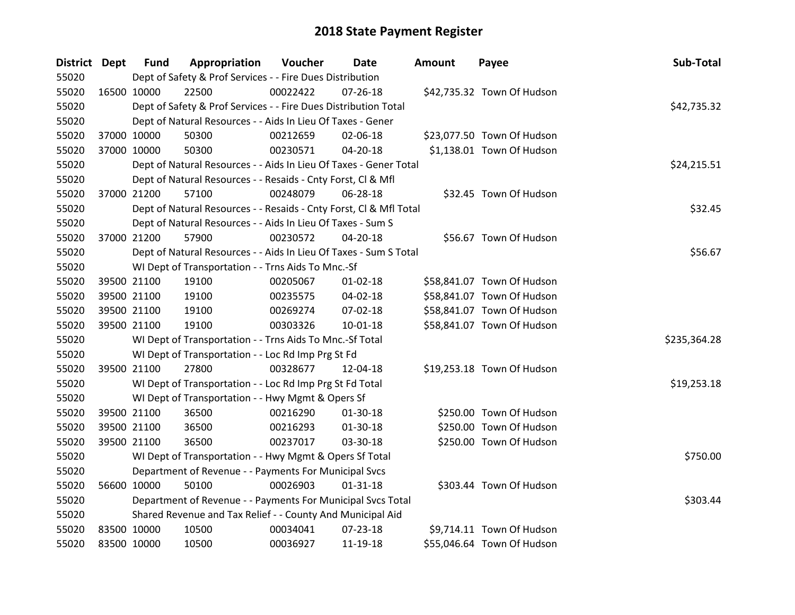| <b>District Dept</b> |             | <b>Fund</b> | Appropriation                                                      | Voucher  | Date           | <b>Amount</b> | Payee                      | Sub-Total    |
|----------------------|-------------|-------------|--------------------------------------------------------------------|----------|----------------|---------------|----------------------------|--------------|
| 55020                |             |             | Dept of Safety & Prof Services - - Fire Dues Distribution          |          |                |               |                            |              |
| 55020                | 16500 10000 |             | 22500                                                              | 00022422 | $07 - 26 - 18$ |               | \$42,735.32 Town Of Hudson |              |
| 55020                |             |             | Dept of Safety & Prof Services - - Fire Dues Distribution Total    |          |                |               |                            | \$42,735.32  |
| 55020                |             |             | Dept of Natural Resources - - Aids In Lieu Of Taxes - Gener        |          |                |               |                            |              |
| 55020                | 37000 10000 |             | 50300                                                              | 00212659 | 02-06-18       |               | \$23,077.50 Town Of Hudson |              |
| 55020                | 37000 10000 |             | 50300                                                              | 00230571 | $04 - 20 - 18$ |               | \$1,138.01 Town Of Hudson  |              |
| 55020                |             |             | Dept of Natural Resources - - Aids In Lieu Of Taxes - Gener Total  |          |                |               |                            | \$24,215.51  |
| 55020                |             |             | Dept of Natural Resources - - Resaids - Cnty Forst, Cl & Mfl       |          |                |               |                            |              |
| 55020                | 37000 21200 |             | 57100                                                              | 00248079 | 06-28-18       |               | \$32.45 Town Of Hudson     |              |
| 55020                |             |             | Dept of Natural Resources - - Resaids - Cnty Forst, Cl & Mfl Total |          |                |               |                            | \$32.45      |
| 55020                |             |             | Dept of Natural Resources - - Aids In Lieu Of Taxes - Sum S        |          |                |               |                            |              |
| 55020                | 37000 21200 |             | 57900                                                              | 00230572 | 04-20-18       |               | \$56.67 Town Of Hudson     |              |
| 55020                |             |             | Dept of Natural Resources - - Aids In Lieu Of Taxes - Sum S Total  |          |                |               |                            | \$56.67      |
| 55020                |             |             | WI Dept of Transportation - - Trns Aids To Mnc.-Sf                 |          |                |               |                            |              |
| 55020                | 39500 21100 |             | 19100                                                              | 00205067 | $01 - 02 - 18$ |               | \$58,841.07 Town Of Hudson |              |
| 55020                |             | 39500 21100 | 19100                                                              | 00235575 | 04-02-18       |               | \$58,841.07 Town Of Hudson |              |
| 55020                | 39500 21100 |             | 19100                                                              | 00269274 | 07-02-18       |               | \$58,841.07 Town Of Hudson |              |
| 55020                | 39500 21100 |             | 19100                                                              | 00303326 | $10 - 01 - 18$ |               | \$58,841.07 Town Of Hudson |              |
| 55020                |             |             | WI Dept of Transportation - - Trns Aids To Mnc.-Sf Total           |          |                |               |                            | \$235,364.28 |
| 55020                |             |             | WI Dept of Transportation - - Loc Rd Imp Prg St Fd                 |          |                |               |                            |              |
| 55020                | 39500 21100 |             | 27800                                                              | 00328677 | 12-04-18       |               | \$19,253.18 Town Of Hudson |              |
| 55020                |             |             | WI Dept of Transportation - - Loc Rd Imp Prg St Fd Total           |          |                |               |                            | \$19,253.18  |
| 55020                |             |             | WI Dept of Transportation - - Hwy Mgmt & Opers Sf                  |          |                |               |                            |              |
| 55020                | 39500 21100 |             | 36500                                                              | 00216290 | 01-30-18       |               | \$250.00 Town Of Hudson    |              |
| 55020                | 39500 21100 |             | 36500                                                              | 00216293 | 01-30-18       |               | \$250.00 Town Of Hudson    |              |
| 55020                | 39500 21100 |             | 36500                                                              | 00237017 | 03-30-18       |               | \$250.00 Town Of Hudson    |              |
| 55020                |             |             | WI Dept of Transportation - - Hwy Mgmt & Opers Sf Total            |          |                |               |                            | \$750.00     |
| 55020                |             |             | Department of Revenue - - Payments For Municipal Svcs              |          |                |               |                            |              |
| 55020                | 56600 10000 |             | 50100                                                              | 00026903 | $01 - 31 - 18$ |               | \$303.44 Town Of Hudson    |              |
| 55020                |             |             | Department of Revenue - - Payments For Municipal Svcs Total        |          |                |               |                            | \$303.44     |
| 55020                |             |             | Shared Revenue and Tax Relief - - County And Municipal Aid         |          |                |               |                            |              |
| 55020                | 83500 10000 |             | 10500                                                              | 00034041 | 07-23-18       |               | \$9,714.11 Town Of Hudson  |              |
| 55020                | 83500 10000 |             | 10500                                                              | 00036927 | 11-19-18       |               | \$55,046.64 Town Of Hudson |              |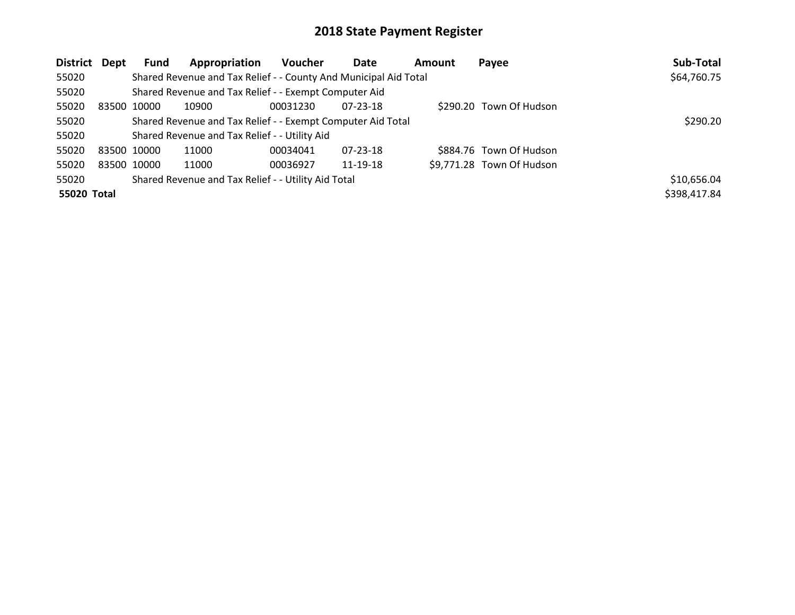| District Dept | Fund        | Appropriation                                                    | <b>Voucher</b> | <b>Date</b>    | <b>Amount</b> | Payee                     | Sub-Total    |
|---------------|-------------|------------------------------------------------------------------|----------------|----------------|---------------|---------------------------|--------------|
| 55020         |             | Shared Revenue and Tax Relief - - County And Municipal Aid Total |                |                |               |                           | \$64,760.75  |
| 55020         |             | Shared Revenue and Tax Relief - - Exempt Computer Aid            |                |                |               |                           |              |
| 55020         | 83500 10000 | 10900                                                            | 00031230       | $07 - 23 - 18$ |               | \$290.20 Town Of Hudson   |              |
| 55020         |             | Shared Revenue and Tax Relief - - Exempt Computer Aid Total      |                | \$290.20       |               |                           |              |
| 55020         |             | Shared Revenue and Tax Relief - - Utility Aid                    |                |                |               |                           |              |
| 55020         | 83500 10000 | 11000                                                            | 00034041       | $07 - 23 - 18$ |               | \$884.76 Town Of Hudson   |              |
| 55020         | 83500 10000 | 11000                                                            | 00036927       | 11-19-18       |               | \$9,771.28 Town Of Hudson |              |
| 55020         |             | Shared Revenue and Tax Relief - - Utility Aid Total              |                |                |               |                           | \$10,656.04  |
| 55020 Total   |             |                                                                  |                |                |               |                           | \$398,417.84 |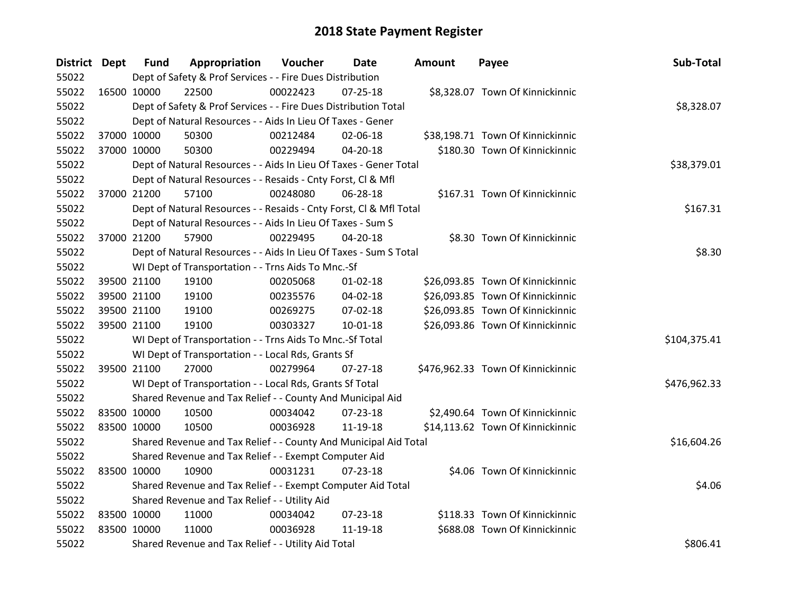| District Dept |             | <b>Fund</b> | Appropriation                                                      | Voucher  | <b>Date</b>    | <b>Amount</b> | Payee                             | Sub-Total    |
|---------------|-------------|-------------|--------------------------------------------------------------------|----------|----------------|---------------|-----------------------------------|--------------|
| 55022         |             |             | Dept of Safety & Prof Services - - Fire Dues Distribution          |          |                |               |                                   |              |
| 55022         | 16500 10000 |             | 22500                                                              | 00022423 | $07 - 25 - 18$ |               | \$8,328.07 Town Of Kinnickinnic   |              |
| 55022         |             |             | Dept of Safety & Prof Services - - Fire Dues Distribution Total    |          |                |               |                                   | \$8,328.07   |
| 55022         |             |             | Dept of Natural Resources - - Aids In Lieu Of Taxes - Gener        |          |                |               |                                   |              |
| 55022         |             | 37000 10000 | 50300                                                              | 00212484 | 02-06-18       |               | \$38,198.71 Town Of Kinnickinnic  |              |
| 55022         |             | 37000 10000 | 50300                                                              | 00229494 | $04 - 20 - 18$ |               | \$180.30 Town Of Kinnickinnic     |              |
| 55022         |             |             | Dept of Natural Resources - - Aids In Lieu Of Taxes - Gener Total  |          |                |               |                                   | \$38,379.01  |
| 55022         |             |             | Dept of Natural Resources - - Resaids - Cnty Forst, Cl & Mfl       |          |                |               |                                   |              |
| 55022         |             | 37000 21200 | 57100                                                              | 00248080 | 06-28-18       |               | \$167.31 Town Of Kinnickinnic     |              |
| 55022         |             |             | Dept of Natural Resources - - Resaids - Cnty Forst, Cl & Mfl Total |          |                |               |                                   | \$167.31     |
| 55022         |             |             | Dept of Natural Resources - - Aids In Lieu Of Taxes - Sum S        |          |                |               |                                   |              |
| 55022         |             | 37000 21200 | 57900                                                              | 00229495 | 04-20-18       |               | \$8.30 Town Of Kinnickinnic       |              |
| 55022         |             |             | Dept of Natural Resources - - Aids In Lieu Of Taxes - Sum S Total  |          |                |               |                                   | \$8.30       |
| 55022         |             |             | WI Dept of Transportation - - Trns Aids To Mnc.-Sf                 |          |                |               |                                   |              |
| 55022         |             | 39500 21100 | 19100                                                              | 00205068 | $01 - 02 - 18$ |               | \$26,093.85 Town Of Kinnickinnic  |              |
| 55022         |             | 39500 21100 | 19100                                                              | 00235576 | 04-02-18       |               | \$26,093.85 Town Of Kinnickinnic  |              |
| 55022         |             | 39500 21100 | 19100                                                              | 00269275 | 07-02-18       |               | \$26,093.85 Town Of Kinnickinnic  |              |
| 55022         |             | 39500 21100 | 19100                                                              | 00303327 | $10 - 01 - 18$ |               | \$26,093.86 Town Of Kinnickinnic  |              |
| 55022         |             |             | WI Dept of Transportation - - Trns Aids To Mnc.-Sf Total           |          |                |               |                                   | \$104,375.41 |
| 55022         |             |             | WI Dept of Transportation - - Local Rds, Grants Sf                 |          |                |               |                                   |              |
| 55022         |             | 39500 21100 | 27000                                                              | 00279964 | $07 - 27 - 18$ |               | \$476,962.33 Town Of Kinnickinnic |              |
| 55022         |             |             | WI Dept of Transportation - - Local Rds, Grants Sf Total           |          |                |               |                                   | \$476,962.33 |
| 55022         |             |             | Shared Revenue and Tax Relief - - County And Municipal Aid         |          |                |               |                                   |              |
| 55022         |             | 83500 10000 | 10500                                                              | 00034042 | 07-23-18       |               | \$2,490.64 Town Of Kinnickinnic   |              |
| 55022         |             | 83500 10000 | 10500                                                              | 00036928 | 11-19-18       |               | \$14,113.62 Town Of Kinnickinnic  |              |
| 55022         |             |             | Shared Revenue and Tax Relief - - County And Municipal Aid Total   |          |                |               |                                   | \$16,604.26  |
| 55022         |             |             | Shared Revenue and Tax Relief - - Exempt Computer Aid              |          |                |               |                                   |              |
| 55022         |             | 83500 10000 | 10900                                                              | 00031231 | 07-23-18       |               | \$4.06 Town Of Kinnickinnic       |              |
| 55022         |             |             | Shared Revenue and Tax Relief - - Exempt Computer Aid Total        |          |                |               |                                   | \$4.06       |
| 55022         |             |             | Shared Revenue and Tax Relief - - Utility Aid                      |          |                |               |                                   |              |
| 55022         | 83500 10000 |             | 11000                                                              | 00034042 | 07-23-18       |               | \$118.33 Town Of Kinnickinnic     |              |
| 55022         | 83500 10000 |             | 11000                                                              | 00036928 | 11-19-18       |               | \$688.08 Town Of Kinnickinnic     |              |
| 55022         |             |             | Shared Revenue and Tax Relief - - Utility Aid Total                |          |                |               |                                   | \$806.41     |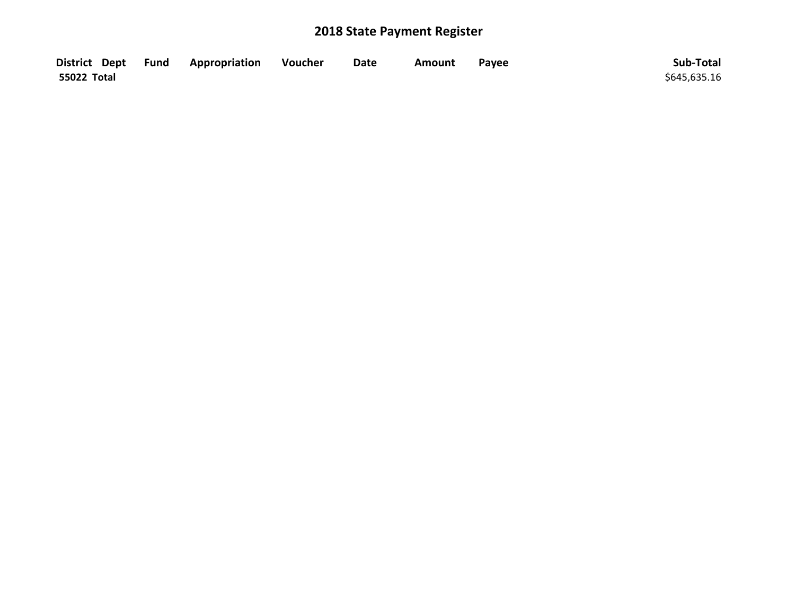|             | District Dept Fund Appropriation | <b>Soutcher</b> | <b>Date</b> | Amount | Payee | Sub-Total    |
|-------------|----------------------------------|-----------------|-------------|--------|-------|--------------|
| 55022 Total |                                  |                 |             |        |       | \$645,635.16 |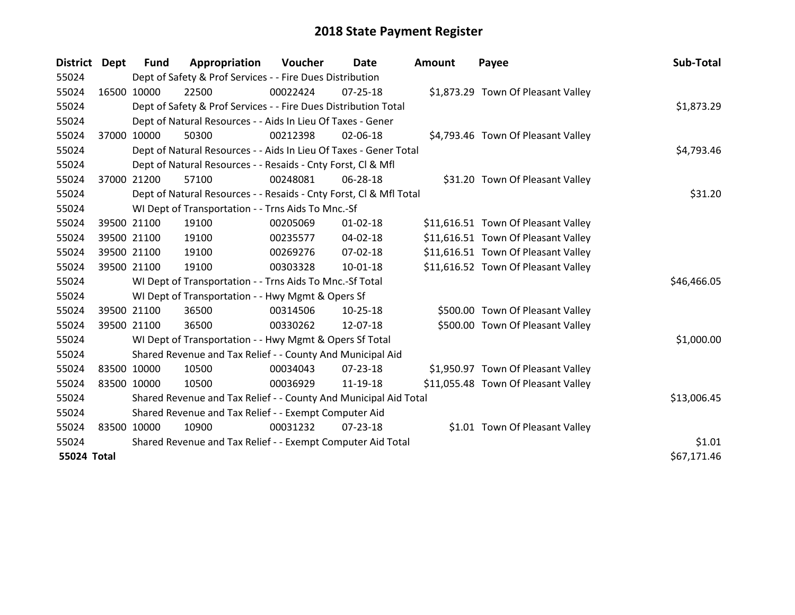| District Dept      |             | <b>Fund</b>                                           | Appropriation                                                      | Voucher    | Date           | <b>Amount</b> | Payee                               | Sub-Total   |
|--------------------|-------------|-------------------------------------------------------|--------------------------------------------------------------------|------------|----------------|---------------|-------------------------------------|-------------|
| 55024              |             |                                                       | Dept of Safety & Prof Services - - Fire Dues Distribution          |            |                |               |                                     |             |
| 55024              | 16500 10000 |                                                       | 22500                                                              | 00022424   | $07 - 25 - 18$ |               | \$1,873.29 Town Of Pleasant Valley  |             |
| 55024              |             |                                                       | Dept of Safety & Prof Services - - Fire Dues Distribution Total    |            |                |               |                                     | \$1,873.29  |
| 55024              |             |                                                       | Dept of Natural Resources - - Aids In Lieu Of Taxes - Gener        |            |                |               |                                     |             |
| 55024              | 37000 10000 |                                                       | 50300                                                              | 00212398   | 02-06-18       |               | \$4,793.46 Town Of Pleasant Valley  |             |
| 55024              |             |                                                       | Dept of Natural Resources - - Aids In Lieu Of Taxes - Gener Total  | \$4,793.46 |                |               |                                     |             |
| 55024              |             |                                                       | Dept of Natural Resources - - Resaids - Cnty Forst, CI & Mfl       |            |                |               |                                     |             |
| 55024              | 37000 21200 |                                                       | 57100                                                              | 00248081   | 06-28-18       |               | \$31.20 Town Of Pleasant Valley     |             |
| 55024              |             |                                                       | Dept of Natural Resources - - Resaids - Cnty Forst, CI & Mfl Total |            |                |               |                                     | \$31.20     |
| 55024              |             |                                                       | WI Dept of Transportation - - Trns Aids To Mnc.-Sf                 |            |                |               |                                     |             |
| 55024              |             | 39500 21100                                           | 19100                                                              | 00205069   | $01 - 02 - 18$ |               | \$11,616.51 Town Of Pleasant Valley |             |
| 55024              |             | 39500 21100                                           | 19100                                                              | 00235577   | 04-02-18       |               | \$11,616.51 Town Of Pleasant Valley |             |
| 55024              |             | 39500 21100                                           | 19100                                                              | 00269276   | $07 - 02 - 18$ |               | \$11,616.51 Town Of Pleasant Valley |             |
| 55024              | 39500 21100 |                                                       | 19100                                                              | 00303328   | $10-01-18$     |               | \$11,616.52 Town Of Pleasant Valley |             |
| 55024              |             |                                                       | WI Dept of Transportation - - Trns Aids To Mnc.-Sf Total           |            |                |               |                                     | \$46,466.05 |
| 55024              |             |                                                       | WI Dept of Transportation - - Hwy Mgmt & Opers Sf                  |            |                |               |                                     |             |
| 55024              |             | 39500 21100                                           | 36500                                                              | 00314506   | $10-25-18$     |               | \$500.00 Town Of Pleasant Valley    |             |
| 55024              |             | 39500 21100                                           | 36500                                                              | 00330262   | 12-07-18       |               | \$500.00 Town Of Pleasant Valley    |             |
| 55024              |             |                                                       | WI Dept of Transportation - - Hwy Mgmt & Opers Sf Total            |            |                |               |                                     | \$1,000.00  |
| 55024              |             |                                                       | Shared Revenue and Tax Relief - - County And Municipal Aid         |            |                |               |                                     |             |
| 55024              | 83500 10000 |                                                       | 10500                                                              | 00034043   | $07 - 23 - 18$ |               | \$1,950.97 Town Of Pleasant Valley  |             |
| 55024              | 83500 10000 |                                                       | 10500                                                              | 00036929   | 11-19-18       |               | \$11,055.48 Town Of Pleasant Valley |             |
| 55024              |             |                                                       | Shared Revenue and Tax Relief - - County And Municipal Aid Total   |            |                |               |                                     | \$13,006.45 |
| 55024              |             | Shared Revenue and Tax Relief - - Exempt Computer Aid |                                                                    |            |                |               |                                     |             |
| 55024              | 83500 10000 |                                                       | 10900                                                              | 00031232   | $07 - 23 - 18$ |               | \$1.01 Town Of Pleasant Valley      |             |
| 55024              |             |                                                       | Shared Revenue and Tax Relief - - Exempt Computer Aid Total        |            | \$1.01         |               |                                     |             |
| <b>55024 Total</b> |             |                                                       |                                                                    |            |                |               |                                     | \$67,171.46 |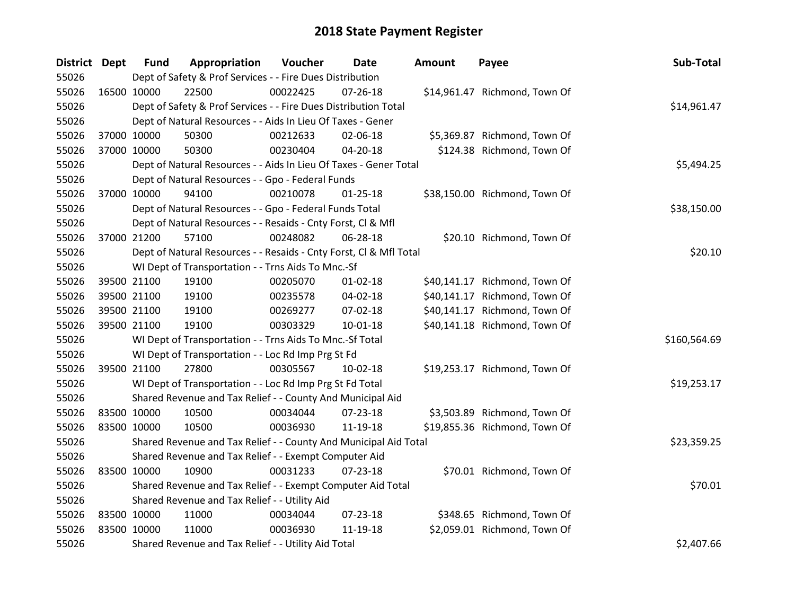| <b>District Dept</b> |             | <b>Fund</b> | Appropriation                                                      | Voucher  | Date           | Amount | Payee                         | Sub-Total    |
|----------------------|-------------|-------------|--------------------------------------------------------------------|----------|----------------|--------|-------------------------------|--------------|
| 55026                |             |             | Dept of Safety & Prof Services - - Fire Dues Distribution          |          |                |        |                               |              |
| 55026                | 16500 10000 |             | 22500                                                              | 00022425 | $07 - 26 - 18$ |        | \$14,961.47 Richmond, Town Of |              |
| 55026                |             |             | Dept of Safety & Prof Services - - Fire Dues Distribution Total    |          |                |        |                               | \$14,961.47  |
| 55026                |             |             | Dept of Natural Resources - - Aids In Lieu Of Taxes - Gener        |          |                |        |                               |              |
| 55026                | 37000 10000 |             | 50300                                                              | 00212633 | 02-06-18       |        | \$5,369.87 Richmond, Town Of  |              |
| 55026                | 37000 10000 |             | 50300                                                              | 00230404 | 04-20-18       |        | \$124.38 Richmond, Town Of    |              |
| 55026                |             |             | Dept of Natural Resources - - Aids In Lieu Of Taxes - Gener Total  |          |                |        |                               | \$5,494.25   |
| 55026                |             |             | Dept of Natural Resources - - Gpo - Federal Funds                  |          |                |        |                               |              |
| 55026                | 37000 10000 |             | 94100                                                              | 00210078 | $01 - 25 - 18$ |        | \$38,150.00 Richmond, Town Of |              |
| 55026                |             |             | Dept of Natural Resources - - Gpo - Federal Funds Total            |          |                |        |                               | \$38,150.00  |
| 55026                |             |             | Dept of Natural Resources - - Resaids - Cnty Forst, Cl & Mfl       |          |                |        |                               |              |
| 55026                | 37000 21200 |             | 57100                                                              | 00248082 | 06-28-18       |        | \$20.10 Richmond, Town Of     |              |
| 55026                |             |             | Dept of Natural Resources - - Resaids - Cnty Forst, Cl & Mfl Total |          |                |        |                               | \$20.10      |
| 55026                |             |             | WI Dept of Transportation - - Trns Aids To Mnc.-Sf                 |          |                |        |                               |              |
| 55026                | 39500 21100 |             | 19100                                                              | 00205070 | $01 - 02 - 18$ |        | \$40,141.17 Richmond, Town Of |              |
| 55026                | 39500 21100 |             | 19100                                                              | 00235578 | 04-02-18       |        | \$40,141.17 Richmond, Town Of |              |
| 55026                | 39500 21100 |             | 19100                                                              | 00269277 | 07-02-18       |        | \$40,141.17 Richmond, Town Of |              |
| 55026                | 39500 21100 |             | 19100                                                              | 00303329 | $10 - 01 - 18$ |        | \$40,141.18 Richmond, Town Of |              |
| 55026                |             |             | WI Dept of Transportation - - Trns Aids To Mnc.-Sf Total           |          |                |        |                               | \$160,564.69 |
| 55026                |             |             | WI Dept of Transportation - - Loc Rd Imp Prg St Fd                 |          |                |        |                               |              |
| 55026                | 39500 21100 |             | 27800                                                              | 00305567 | $10-02-18$     |        | \$19,253.17 Richmond, Town Of |              |
| 55026                |             |             | WI Dept of Transportation - - Loc Rd Imp Prg St Fd Total           |          |                |        |                               | \$19,253.17  |
| 55026                |             |             | Shared Revenue and Tax Relief - - County And Municipal Aid         |          |                |        |                               |              |
| 55026                | 83500 10000 |             | 10500                                                              | 00034044 | 07-23-18       |        | \$3,503.89 Richmond, Town Of  |              |
| 55026                | 83500 10000 |             | 10500                                                              | 00036930 | 11-19-18       |        | \$19,855.36 Richmond, Town Of |              |
| 55026                |             |             | Shared Revenue and Tax Relief - - County And Municipal Aid Total   |          |                |        |                               | \$23,359.25  |
| 55026                |             |             | Shared Revenue and Tax Relief - - Exempt Computer Aid              |          |                |        |                               |              |
| 55026                | 83500 10000 |             | 10900                                                              | 00031233 | $07 - 23 - 18$ |        | \$70.01 Richmond, Town Of     |              |
| 55026                |             |             | Shared Revenue and Tax Relief - - Exempt Computer Aid Total        |          |                |        |                               | \$70.01      |
| 55026                |             |             | Shared Revenue and Tax Relief - - Utility Aid                      |          |                |        |                               |              |
| 55026                | 83500 10000 |             | 11000                                                              | 00034044 | 07-23-18       |        | \$348.65 Richmond, Town Of    |              |
| 55026                | 83500 10000 |             | 11000                                                              | 00036930 | 11-19-18       |        | \$2,059.01 Richmond, Town Of  |              |
| 55026                |             |             | Shared Revenue and Tax Relief - - Utility Aid Total                |          |                |        |                               | \$2,407.66   |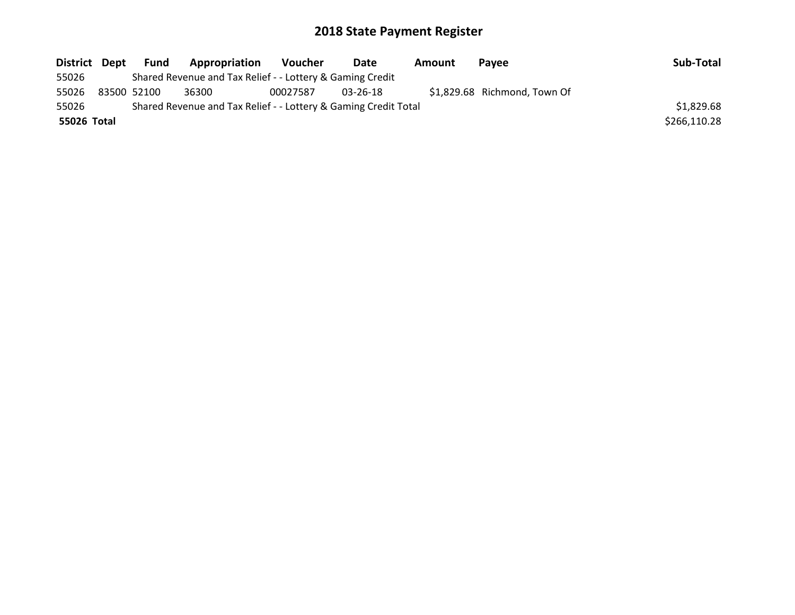| District Dept | Fund        | Appropriation                                                   | Voucher  | Date     | Amount | <b>Pavee</b>                 | Sub-Total    |
|---------------|-------------|-----------------------------------------------------------------|----------|----------|--------|------------------------------|--------------|
| 55026         |             | Shared Revenue and Tax Relief - - Lottery & Gaming Credit       |          |          |        |                              |              |
| 55026         | 83500 52100 | 36300                                                           | 00027587 | 03-26-18 |        | \$1,829.68 Richmond, Town Of |              |
| 55026         |             | Shared Revenue and Tax Relief - - Lottery & Gaming Credit Total |          |          |        |                              | \$1,829.68   |
| 55026 Total   |             |                                                                 |          |          |        |                              | \$266,110.28 |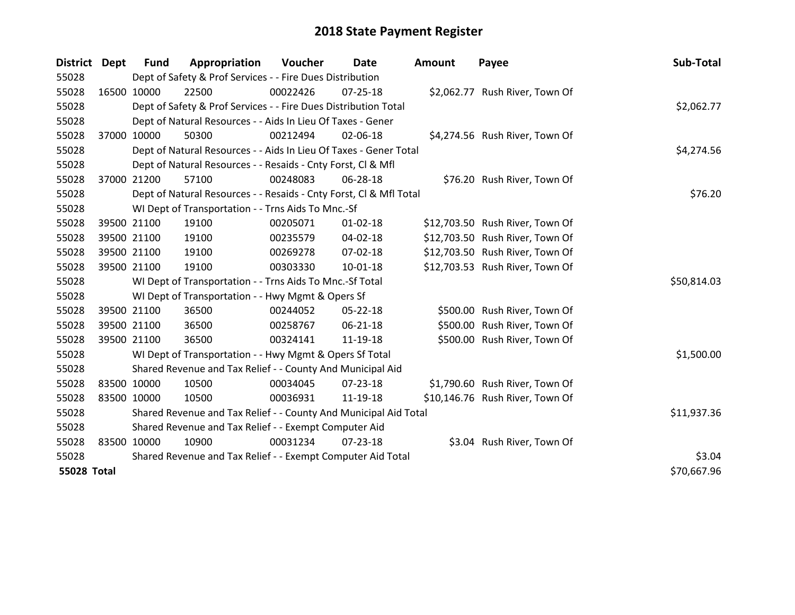| <b>District</b>    | <b>Dept</b> | <b>Fund</b> | Appropriation                                                      | Voucher     | Date           | <b>Amount</b> | Payee                           | Sub-Total   |
|--------------------|-------------|-------------|--------------------------------------------------------------------|-------------|----------------|---------------|---------------------------------|-------------|
| 55028              |             |             | Dept of Safety & Prof Services - - Fire Dues Distribution          |             |                |               |                                 |             |
| 55028              | 16500 10000 |             | 22500                                                              | 00022426    | 07-25-18       |               | \$2,062.77 Rush River, Town Of  |             |
| 55028              |             |             | Dept of Safety & Prof Services - - Fire Dues Distribution Total    |             |                |               |                                 | \$2,062.77  |
| 55028              |             |             | Dept of Natural Resources - - Aids In Lieu Of Taxes - Gener        |             |                |               |                                 |             |
| 55028              | 37000       | 10000       | 50300                                                              | 00212494    | 02-06-18       |               | \$4,274.56 Rush River, Town Of  |             |
| 55028              |             |             | Dept of Natural Resources - - Aids In Lieu Of Taxes - Gener Total  |             | \$4,274.56     |               |                                 |             |
| 55028              |             |             | Dept of Natural Resources - - Resaids - Cnty Forst, Cl & Mfl       |             |                |               |                                 |             |
| 55028              | 37000 21200 |             | 57100                                                              | 00248083    | 06-28-18       |               | \$76.20 Rush River, Town Of     |             |
| 55028              |             |             | Dept of Natural Resources - - Resaids - Cnty Forst, Cl & Mfl Total |             |                | \$76.20       |                                 |             |
| 55028              |             |             | WI Dept of Transportation - - Trns Aids To Mnc.-Sf                 |             |                |               |                                 |             |
| 55028              |             | 39500 21100 | 19100                                                              | 00205071    | $01 - 02 - 18$ |               | \$12,703.50 Rush River, Town Of |             |
| 55028              |             | 39500 21100 | 19100                                                              | 00235579    | 04-02-18       |               | \$12,703.50 Rush River, Town Of |             |
| 55028              | 39500 21100 |             | 19100                                                              | 00269278    | 07-02-18       |               | \$12,703.50 Rush River, Town Of |             |
| 55028              | 39500 21100 |             | 19100                                                              | 00303330    | $10-01-18$     |               | \$12,703.53 Rush River, Town Of |             |
| 55028              |             |             | WI Dept of Transportation - - Trns Aids To Mnc.-Sf Total           |             |                |               |                                 | \$50,814.03 |
| 55028              |             |             | WI Dept of Transportation - - Hwy Mgmt & Opers Sf                  |             |                |               |                                 |             |
| 55028              |             | 39500 21100 | 36500                                                              | 00244052    | $05 - 22 - 18$ |               | \$500.00 Rush River, Town Of    |             |
| 55028              | 39500 21100 |             | 36500                                                              | 00258767    | 06-21-18       |               | \$500.00 Rush River, Town Of    |             |
| 55028              | 39500 21100 |             | 36500                                                              | 00324141    | 11-19-18       |               | \$500.00 Rush River, Town Of    |             |
| 55028              |             |             | WI Dept of Transportation - - Hwy Mgmt & Opers Sf Total            |             |                |               |                                 | \$1,500.00  |
| 55028              |             |             | Shared Revenue and Tax Relief - - County And Municipal Aid         |             |                |               |                                 |             |
| 55028              | 83500 10000 |             | 10500                                                              | 00034045    | 07-23-18       |               | \$1,790.60 Rush River, Town Of  |             |
| 55028              | 83500 10000 |             | 10500                                                              | 00036931    | 11-19-18       |               | \$10,146.76 Rush River, Town Of |             |
| 55028              |             |             | Shared Revenue and Tax Relief - - County And Municipal Aid Total   | \$11,937.36 |                |               |                                 |             |
| 55028              |             |             | Shared Revenue and Tax Relief - - Exempt Computer Aid              |             |                |               |                                 |             |
| 55028              | 83500 10000 |             | 10900                                                              | 00031234    | $07 - 23 - 18$ |               | \$3.04 Rush River, Town Of      |             |
| 55028              |             |             | Shared Revenue and Tax Relief - - Exempt Computer Aid Total        |             | \$3.04         |               |                                 |             |
| <b>55028 Total</b> |             |             |                                                                    |             |                |               |                                 | \$70,667.96 |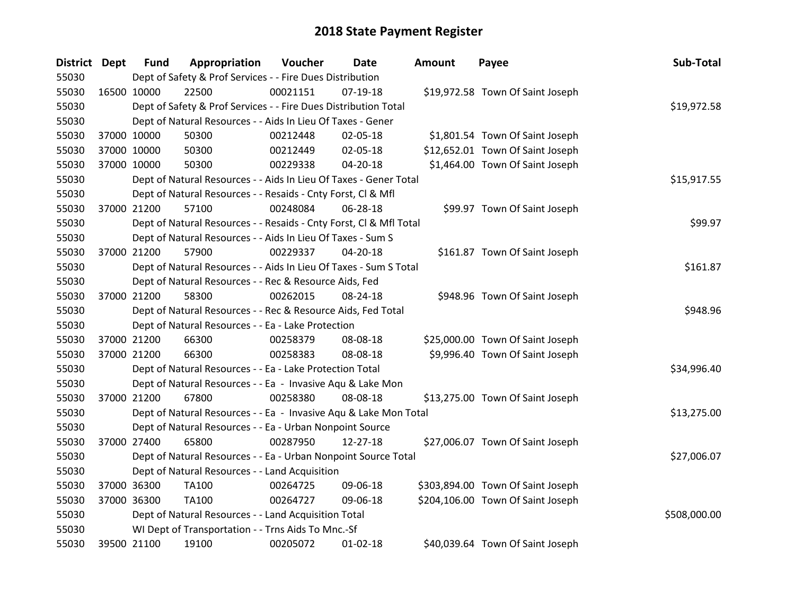| District Dept |             | <b>Fund</b>                                        | Appropriation                                                      | Voucher  | Date           | <b>Amount</b> | Payee                             | Sub-Total    |
|---------------|-------------|----------------------------------------------------|--------------------------------------------------------------------|----------|----------------|---------------|-----------------------------------|--------------|
| 55030         |             |                                                    | Dept of Safety & Prof Services - - Fire Dues Distribution          |          |                |               |                                   |              |
| 55030         | 16500 10000 |                                                    | 22500                                                              | 00021151 | $07-19-18$     |               | \$19,972.58 Town Of Saint Joseph  |              |
| 55030         |             |                                                    | Dept of Safety & Prof Services - - Fire Dues Distribution Total    |          |                |               |                                   | \$19,972.58  |
| 55030         |             |                                                    | Dept of Natural Resources - - Aids In Lieu Of Taxes - Gener        |          |                |               |                                   |              |
| 55030         |             | 37000 10000                                        | 50300                                                              | 00212448 | 02-05-18       |               | \$1,801.54 Town Of Saint Joseph   |              |
| 55030         |             | 37000 10000                                        | 50300                                                              | 00212449 | 02-05-18       |               | \$12,652.01 Town Of Saint Joseph  |              |
| 55030         |             | 37000 10000                                        | 50300                                                              | 00229338 | $04 - 20 - 18$ |               | \$1,464.00 Town Of Saint Joseph   |              |
| 55030         |             |                                                    | Dept of Natural Resources - - Aids In Lieu Of Taxes - Gener Total  |          |                |               |                                   | \$15,917.55  |
| 55030         |             |                                                    | Dept of Natural Resources - - Resaids - Cnty Forst, CI & Mfl       |          |                |               |                                   |              |
| 55030         | 37000 21200 |                                                    | 57100                                                              | 00248084 | 06-28-18       |               | \$99.97 Town Of Saint Joseph      |              |
| 55030         |             |                                                    | Dept of Natural Resources - - Resaids - Cnty Forst, CI & Mfl Total |          |                |               |                                   | \$99.97      |
| 55030         |             |                                                    | Dept of Natural Resources - - Aids In Lieu Of Taxes - Sum S        |          |                |               |                                   |              |
| 55030         |             | 37000 21200                                        | 57900                                                              | 00229337 | 04-20-18       |               | \$161.87 Town Of Saint Joseph     |              |
| 55030         |             |                                                    | Dept of Natural Resources - - Aids In Lieu Of Taxes - Sum S Total  |          |                |               |                                   | \$161.87     |
| 55030         |             |                                                    | Dept of Natural Resources - - Rec & Resource Aids, Fed             |          |                |               |                                   |              |
| 55030         |             | 37000 21200                                        | 58300                                                              | 00262015 | 08-24-18       |               | \$948.96 Town Of Saint Joseph     |              |
| 55030         |             |                                                    | Dept of Natural Resources - - Rec & Resource Aids, Fed Total       |          |                |               |                                   | \$948.96     |
| 55030         |             |                                                    | Dept of Natural Resources - - Ea - Lake Protection                 |          |                |               |                                   |              |
| 55030         |             | 37000 21200                                        | 66300                                                              | 00258379 | 08-08-18       |               | \$25,000.00 Town Of Saint Joseph  |              |
| 55030         |             | 37000 21200                                        | 66300                                                              | 00258383 | 08-08-18       |               | \$9,996.40 Town Of Saint Joseph   |              |
| 55030         |             |                                                    | Dept of Natural Resources - - Ea - Lake Protection Total           |          |                |               |                                   | \$34,996.40  |
| 55030         |             |                                                    | Dept of Natural Resources - - Ea - Invasive Aqu & Lake Mon         |          |                |               |                                   |              |
| 55030         |             | 37000 21200                                        | 67800                                                              | 00258380 | 08-08-18       |               | \$13,275.00 Town Of Saint Joseph  |              |
| 55030         |             |                                                    | Dept of Natural Resources - - Ea - Invasive Aqu & Lake Mon Total   |          |                |               |                                   | \$13,275.00  |
| 55030         |             |                                                    | Dept of Natural Resources - - Ea - Urban Nonpoint Source           |          |                |               |                                   |              |
| 55030         |             | 37000 27400                                        | 65800                                                              | 00287950 | 12-27-18       |               | \$27,006.07 Town Of Saint Joseph  |              |
| 55030         |             |                                                    | Dept of Natural Resources - - Ea - Urban Nonpoint Source Total     |          |                |               |                                   | \$27,006.07  |
| 55030         |             |                                                    | Dept of Natural Resources - - Land Acquisition                     |          |                |               |                                   |              |
| 55030         |             | 37000 36300                                        | TA100                                                              | 00264725 | 09-06-18       |               | \$303,894.00 Town Of Saint Joseph |              |
| 55030         | 37000 36300 |                                                    | TA100                                                              | 00264727 | 09-06-18       |               | \$204,106.00 Town Of Saint Joseph |              |
| 55030         |             |                                                    | Dept of Natural Resources - - Land Acquisition Total               |          |                |               |                                   | \$508,000.00 |
| 55030         |             | WI Dept of Transportation - - Trns Aids To Mnc.-Sf |                                                                    |          |                |               |                                   |              |
| 55030         | 39500 21100 |                                                    | 19100                                                              | 00205072 | $01 - 02 - 18$ |               | \$40,039.64 Town Of Saint Joseph  |              |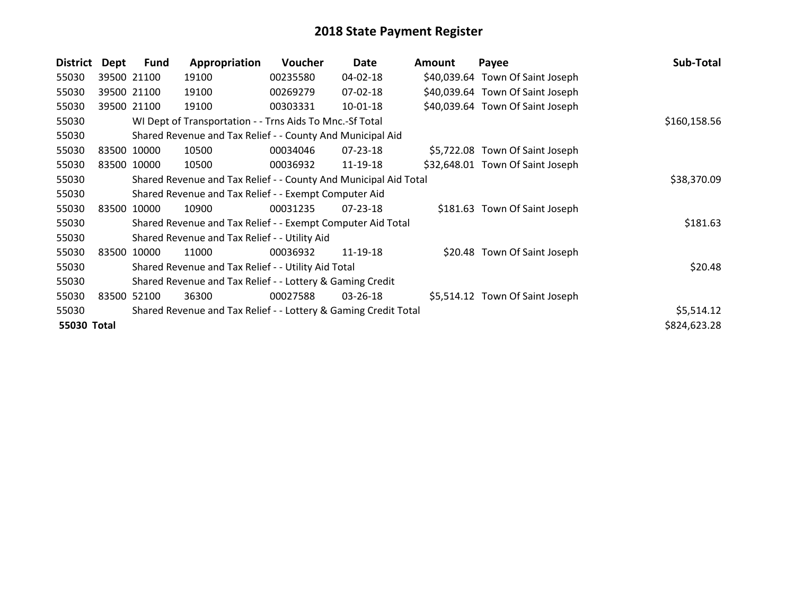| <b>District</b> | Dept  | <b>Fund</b> | Appropriation                                                    | <b>Voucher</b> | Date           | <b>Amount</b> | Payee                            | Sub-Total    |
|-----------------|-------|-------------|------------------------------------------------------------------|----------------|----------------|---------------|----------------------------------|--------------|
| 55030           |       | 39500 21100 | 19100                                                            | 00235580       | 04-02-18       |               | \$40,039.64 Town Of Saint Joseph |              |
| 55030           |       | 39500 21100 | 19100                                                            | 00269279       | 07-02-18       |               | \$40,039.64 Town Of Saint Joseph |              |
| 55030           |       | 39500 21100 | 19100                                                            | 00303331       | 10-01-18       |               | \$40,039.64 Town Of Saint Joseph |              |
| 55030           |       |             | WI Dept of Transportation - - Trns Aids To Mnc.-Sf Total         |                |                |               |                                  | \$160,158.56 |
| 55030           |       |             | Shared Revenue and Tax Relief - - County And Municipal Aid       |                |                |               |                                  |              |
| 55030           |       | 83500 10000 | 10500                                                            | 00034046       | 07-23-18       |               | \$5,722.08 Town Of Saint Joseph  |              |
| 55030           |       | 83500 10000 | 10500                                                            | 00036932       | 11-19-18       |               | \$32,648.01 Town Of Saint Joseph |              |
| 55030           |       |             | Shared Revenue and Tax Relief - - County And Municipal Aid Total |                |                |               |                                  | \$38,370.09  |
| 55030           |       |             | Shared Revenue and Tax Relief - - Exempt Computer Aid            |                |                |               |                                  |              |
| 55030           | 83500 | 10000       | 10900                                                            | 00031235       | $07 - 23 - 18$ |               | \$181.63 Town Of Saint Joseph    |              |
| 55030           |       |             | Shared Revenue and Tax Relief - - Exempt Computer Aid Total      |                |                |               |                                  | \$181.63     |
| 55030           |       |             | Shared Revenue and Tax Relief - - Utility Aid                    |                |                |               |                                  |              |
| 55030           | 83500 | 10000       | 11000                                                            | 00036932       | 11-19-18       |               | \$20.48 Town Of Saint Joseph     |              |
| 55030           |       |             | Shared Revenue and Tax Relief - - Utility Aid Total              |                |                |               |                                  | \$20.48      |
| 55030           |       |             | Shared Revenue and Tax Relief - - Lottery & Gaming Credit        |                |                |               |                                  |              |
| 55030           | 83500 | 52100       | 36300                                                            | 00027588       | $03 - 26 - 18$ |               | \$5,514.12 Town Of Saint Joseph  |              |
| 55030           |       |             | Shared Revenue and Tax Relief - - Lottery & Gaming Credit Total  |                |                |               |                                  | \$5,514.12   |
| 55030 Total     |       |             |                                                                  |                |                |               |                                  | \$824,623.28 |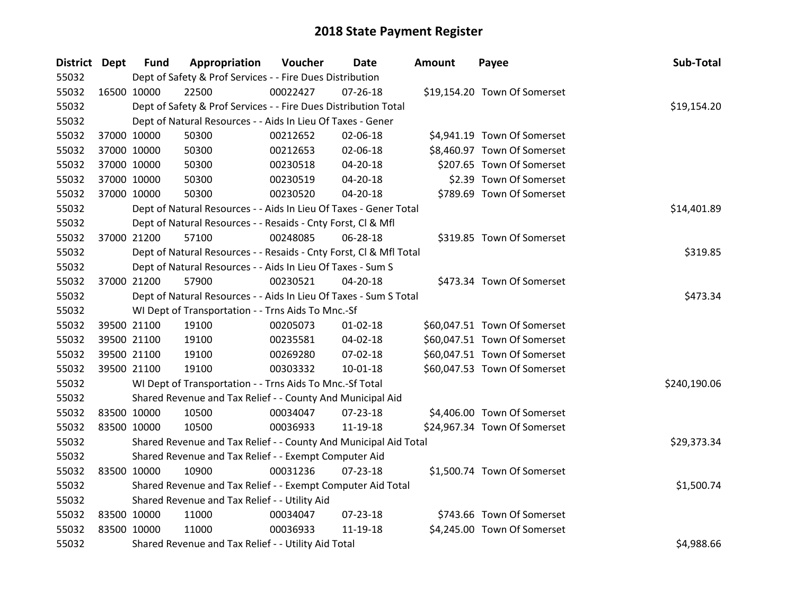| District Dept |             | <b>Fund</b> | Appropriation                                                      | Voucher  | Date           | <b>Amount</b> | Payee                        | Sub-Total    |
|---------------|-------------|-------------|--------------------------------------------------------------------|----------|----------------|---------------|------------------------------|--------------|
| 55032         |             |             | Dept of Safety & Prof Services - - Fire Dues Distribution          |          |                |               |                              |              |
| 55032         | 16500 10000 |             | 22500                                                              | 00022427 | $07 - 26 - 18$ |               | \$19,154.20 Town Of Somerset |              |
| 55032         |             |             | Dept of Safety & Prof Services - - Fire Dues Distribution Total    |          |                |               |                              | \$19,154.20  |
| 55032         |             |             | Dept of Natural Resources - - Aids In Lieu Of Taxes - Gener        |          |                |               |                              |              |
| 55032         |             | 37000 10000 | 50300                                                              | 00212652 | 02-06-18       |               | \$4,941.19 Town Of Somerset  |              |
| 55032         |             | 37000 10000 | 50300                                                              | 00212653 | 02-06-18       |               | \$8,460.97 Town Of Somerset  |              |
| 55032         |             | 37000 10000 | 50300                                                              | 00230518 | 04-20-18       |               | \$207.65 Town Of Somerset    |              |
| 55032         |             | 37000 10000 | 50300                                                              | 00230519 | 04-20-18       |               | \$2.39 Town Of Somerset      |              |
| 55032         |             | 37000 10000 | 50300                                                              | 00230520 | 04-20-18       |               | \$789.69 Town Of Somerset    |              |
| 55032         |             |             | Dept of Natural Resources - - Aids In Lieu Of Taxes - Gener Total  |          |                |               |                              | \$14,401.89  |
| 55032         |             |             | Dept of Natural Resources - - Resaids - Cnty Forst, Cl & Mfl       |          |                |               |                              |              |
| 55032         |             | 37000 21200 | 57100                                                              | 00248085 | 06-28-18       |               | \$319.85 Town Of Somerset    |              |
| 55032         |             |             | Dept of Natural Resources - - Resaids - Cnty Forst, Cl & Mfl Total |          |                |               |                              | \$319.85     |
| 55032         |             |             | Dept of Natural Resources - - Aids In Lieu Of Taxes - Sum S        |          |                |               |                              |              |
| 55032         |             | 37000 21200 | 57900                                                              | 00230521 | 04-20-18       |               | \$473.34 Town Of Somerset    |              |
| 55032         |             |             | Dept of Natural Resources - - Aids In Lieu Of Taxes - Sum S Total  |          |                |               |                              | \$473.34     |
| 55032         |             |             | WI Dept of Transportation - - Trns Aids To Mnc.-Sf                 |          |                |               |                              |              |
| 55032         |             | 39500 21100 | 19100                                                              | 00205073 | $01 - 02 - 18$ |               | \$60,047.51 Town Of Somerset |              |
| 55032         |             | 39500 21100 | 19100                                                              | 00235581 | 04-02-18       |               | \$60,047.51 Town Of Somerset |              |
| 55032         |             | 39500 21100 | 19100                                                              | 00269280 | 07-02-18       |               | \$60,047.51 Town Of Somerset |              |
| 55032         |             | 39500 21100 | 19100                                                              | 00303332 | $10 - 01 - 18$ |               | \$60,047.53 Town Of Somerset |              |
| 55032         |             |             | WI Dept of Transportation - - Trns Aids To Mnc.-Sf Total           |          |                |               |                              | \$240,190.06 |
| 55032         |             |             | Shared Revenue and Tax Relief - - County And Municipal Aid         |          |                |               |                              |              |
| 55032         |             | 83500 10000 | 10500                                                              | 00034047 | 07-23-18       |               | \$4,406.00 Town Of Somerset  |              |
| 55032         | 83500 10000 |             | 10500                                                              | 00036933 | 11-19-18       |               | \$24,967.34 Town Of Somerset |              |
| 55032         |             |             | Shared Revenue and Tax Relief - - County And Municipal Aid Total   |          |                |               |                              | \$29,373.34  |
| 55032         |             |             | Shared Revenue and Tax Relief - - Exempt Computer Aid              |          |                |               |                              |              |
| 55032         | 83500 10000 |             | 10900                                                              | 00031236 | 07-23-18       |               | \$1,500.74 Town Of Somerset  |              |
| 55032         |             |             | Shared Revenue and Tax Relief - - Exempt Computer Aid Total        |          |                |               |                              | \$1,500.74   |
| 55032         |             |             | Shared Revenue and Tax Relief - - Utility Aid                      |          |                |               |                              |              |
| 55032         | 83500 10000 |             | 11000                                                              | 00034047 | $07 - 23 - 18$ |               | \$743.66 Town Of Somerset    |              |
| 55032         | 83500 10000 |             | 11000                                                              | 00036933 | 11-19-18       |               | \$4,245.00 Town Of Somerset  |              |
| 55032         |             |             | Shared Revenue and Tax Relief - - Utility Aid Total                |          |                |               |                              | \$4,988.66   |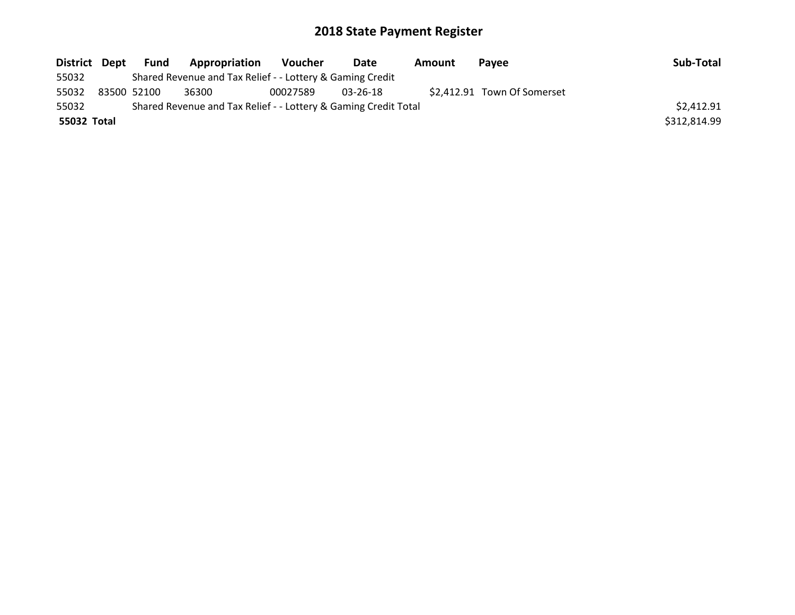| District Dept | Fund        | Appropriation                                                   | Voucher  | Date     | Amount | <b>Pavee</b>                | Sub-Total    |
|---------------|-------------|-----------------------------------------------------------------|----------|----------|--------|-----------------------------|--------------|
| 55032         |             | Shared Revenue and Tax Relief - - Lottery & Gaming Credit       |          |          |        |                             |              |
| 55032         | 83500 52100 | 36300                                                           | 00027589 | 03-26-18 |        | \$2,412.91 Town Of Somerset |              |
| 55032         |             | Shared Revenue and Tax Relief - - Lottery & Gaming Credit Total |          |          |        |                             | \$2,412.91   |
| 55032 Total   |             |                                                                 |          |          |        |                             | \$312,814.99 |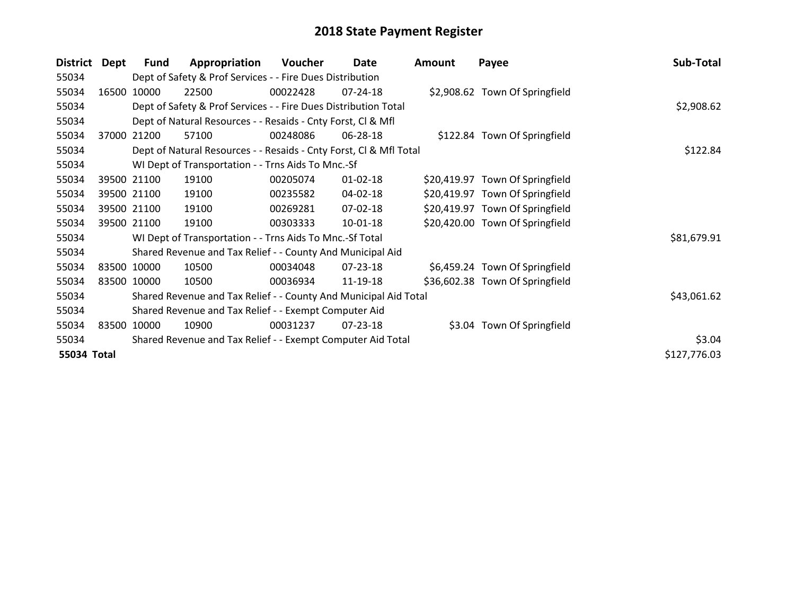| <b>District</b> | Dept        | Fund        | Appropriation                                                      | Voucher  | Date           | <b>Amount</b> | Payee                           | Sub-Total    |
|-----------------|-------------|-------------|--------------------------------------------------------------------|----------|----------------|---------------|---------------------------------|--------------|
| 55034           |             |             | Dept of Safety & Prof Services - - Fire Dues Distribution          |          |                |               |                                 |              |
| 55034           | 16500       | 10000       | 22500                                                              | 00022428 | 07-24-18       |               | \$2,908.62 Town Of Springfield  |              |
| 55034           |             |             | Dept of Safety & Prof Services - - Fire Dues Distribution Total    |          |                |               |                                 | \$2,908.62   |
| 55034           |             |             | Dept of Natural Resources - - Resaids - Cnty Forst, Cl & Mfl       |          |                |               |                                 |              |
| 55034           | 37000       | 21200       | 57100                                                              | 00248086 | 06-28-18       |               | \$122.84 Town Of Springfield    |              |
| 55034           |             |             | Dept of Natural Resources - - Resaids - Cnty Forst, Cl & Mfl Total |          |                |               |                                 | \$122.84     |
| 55034           |             |             | WI Dept of Transportation - - Trns Aids To Mnc.-Sf                 |          |                |               |                                 |              |
| 55034           |             | 39500 21100 | 19100                                                              | 00205074 | $01 - 02 - 18$ |               | \$20,419.97 Town Of Springfield |              |
| 55034           |             | 39500 21100 | 19100                                                              | 00235582 | 04-02-18       |               | \$20,419.97 Town Of Springfield |              |
| 55034           |             | 39500 21100 | 19100                                                              | 00269281 | 07-02-18       |               | \$20,419.97 Town Of Springfield |              |
| 55034           |             | 39500 21100 | 19100                                                              | 00303333 | 10-01-18       |               | \$20,420.00 Town Of Springfield |              |
| 55034           |             |             | WI Dept of Transportation - - Trns Aids To Mnc.-Sf Total           |          |                |               |                                 | \$81,679.91  |
| 55034           |             |             | Shared Revenue and Tax Relief - - County And Municipal Aid         |          |                |               |                                 |              |
| 55034           |             | 83500 10000 | 10500                                                              | 00034048 | $07 - 23 - 18$ |               | \$6,459.24 Town Of Springfield  |              |
| 55034           | 83500 10000 |             | 10500                                                              | 00036934 | 11-19-18       |               | \$36,602.38 Town Of Springfield |              |
| 55034           |             |             | Shared Revenue and Tax Relief - - County And Municipal Aid Total   |          |                |               |                                 | \$43,061.62  |
| 55034           |             |             | Shared Revenue and Tax Relief - - Exempt Computer Aid              |          |                |               |                                 |              |
| 55034           |             | 83500 10000 | 10900                                                              | 00031237 | $07 - 23 - 18$ |               | \$3.04 Town Of Springfield      |              |
| 55034           |             |             | Shared Revenue and Tax Relief - - Exempt Computer Aid Total        | \$3.04   |                |               |                                 |              |
| 55034 Total     |             |             |                                                                    |          |                |               |                                 | \$127,776.03 |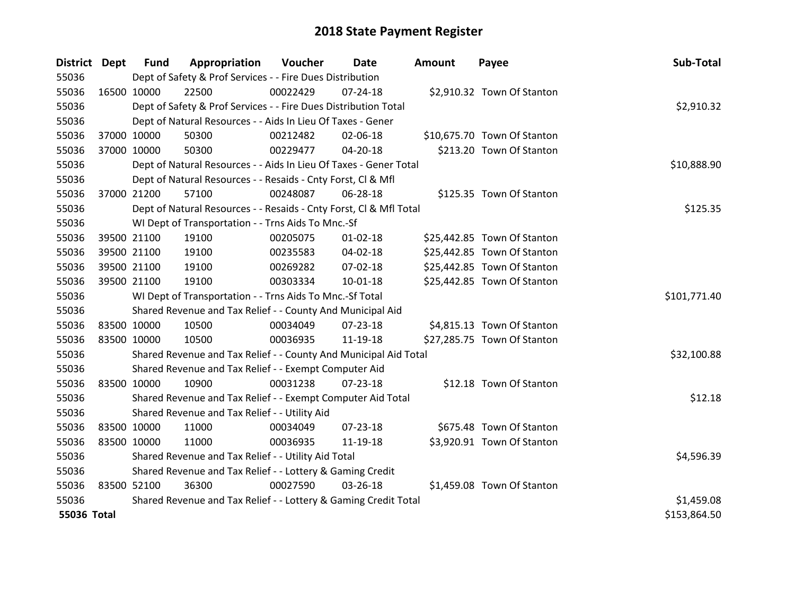| District Dept |             | <b>Fund</b>                                         | Appropriation                                                      | <b>Voucher</b> | <b>Date</b>    | <b>Amount</b> | Payee                       | Sub-Total    |
|---------------|-------------|-----------------------------------------------------|--------------------------------------------------------------------|----------------|----------------|---------------|-----------------------------|--------------|
| 55036         |             |                                                     | Dept of Safety & Prof Services - - Fire Dues Distribution          |                |                |               |                             |              |
| 55036         | 16500 10000 |                                                     | 22500                                                              | 00022429       | 07-24-18       |               | \$2,910.32 Town Of Stanton  |              |
| 55036         |             |                                                     | Dept of Safety & Prof Services - - Fire Dues Distribution Total    |                |                |               |                             | \$2,910.32   |
| 55036         |             |                                                     | Dept of Natural Resources - - Aids In Lieu Of Taxes - Gener        |                |                |               |                             |              |
| 55036         | 37000 10000 |                                                     | 50300                                                              | 00212482       | 02-06-18       |               | \$10,675.70 Town Of Stanton |              |
| 55036         |             | 37000 10000                                         | 50300                                                              | 00229477       | $04 - 20 - 18$ |               | \$213.20 Town Of Stanton    |              |
| 55036         |             |                                                     | Dept of Natural Resources - - Aids In Lieu Of Taxes - Gener Total  |                |                |               |                             | \$10,888.90  |
| 55036         |             |                                                     | Dept of Natural Resources - - Resaids - Cnty Forst, CI & Mfl       |                |                |               |                             |              |
| 55036         | 37000 21200 |                                                     | 57100                                                              | 00248087       | 06-28-18       |               | \$125.35 Town Of Stanton    |              |
| 55036         |             |                                                     | Dept of Natural Resources - - Resaids - Cnty Forst, Cl & Mfl Total | \$125.35       |                |               |                             |              |
| 55036         |             |                                                     | WI Dept of Transportation - - Trns Aids To Mnc.-Sf                 |                |                |               |                             |              |
| 55036         |             | 39500 21100                                         | 19100                                                              | 00205075       | $01 - 02 - 18$ |               | \$25,442.85 Town Of Stanton |              |
| 55036         |             | 39500 21100                                         | 19100                                                              | 00235583       | 04-02-18       |               | \$25,442.85 Town Of Stanton |              |
| 55036         |             | 39500 21100                                         | 19100                                                              | 00269282       | 07-02-18       |               | \$25,442.85 Town Of Stanton |              |
| 55036         | 39500 21100 |                                                     | 19100                                                              | 00303334       | $10 - 01 - 18$ |               | \$25,442.85 Town Of Stanton |              |
| 55036         |             |                                                     | WI Dept of Transportation - - Trns Aids To Mnc.-Sf Total           |                |                |               |                             | \$101,771.40 |
| 55036         |             |                                                     | Shared Revenue and Tax Relief - - County And Municipal Aid         |                |                |               |                             |              |
| 55036         |             | 83500 10000                                         | 10500                                                              | 00034049       | 07-23-18       |               | \$4,815.13 Town Of Stanton  |              |
| 55036         | 83500 10000 |                                                     | 10500                                                              | 00036935       | 11-19-18       |               | \$27,285.75 Town Of Stanton |              |
| 55036         |             |                                                     | Shared Revenue and Tax Relief - - County And Municipal Aid Total   |                |                |               |                             | \$32,100.88  |
| 55036         |             |                                                     | Shared Revenue and Tax Relief - - Exempt Computer Aid              |                |                |               |                             |              |
| 55036         | 83500 10000 |                                                     | 10900                                                              | 00031238       | $07 - 23 - 18$ |               | \$12.18 Town Of Stanton     |              |
| 55036         |             |                                                     | Shared Revenue and Tax Relief - - Exempt Computer Aid Total        |                |                |               |                             | \$12.18      |
| 55036         |             |                                                     | Shared Revenue and Tax Relief - - Utility Aid                      |                |                |               |                             |              |
| 55036         |             | 83500 10000                                         | 11000                                                              | 00034049       | 07-23-18       |               | \$675.48 Town Of Stanton    |              |
| 55036         | 83500 10000 |                                                     | 11000                                                              | 00036935       | 11-19-18       |               | \$3,920.91 Town Of Stanton  |              |
| 55036         |             | Shared Revenue and Tax Relief - - Utility Aid Total |                                                                    |                |                |               |                             | \$4,596.39   |
| 55036         |             |                                                     | Shared Revenue and Tax Relief - - Lottery & Gaming Credit          |                |                |               |                             |              |
| 55036         | 83500 52100 |                                                     | 36300                                                              | 00027590       | 03-26-18       |               | \$1,459.08 Town Of Stanton  |              |
| 55036         |             |                                                     | Shared Revenue and Tax Relief - - Lottery & Gaming Credit Total    |                |                |               |                             | \$1,459.08   |
| 55036 Total   |             |                                                     |                                                                    |                |                |               |                             | \$153,864.50 |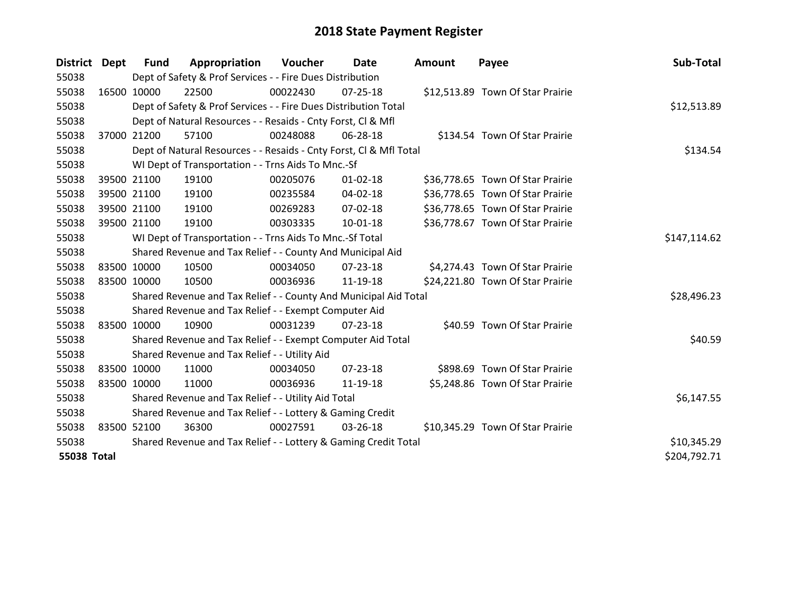| District    | Dept        | <b>Fund</b>                                               | Appropriation                                                      | Voucher  | Date           | <b>Amount</b> | Payee                            | Sub-Total    |
|-------------|-------------|-----------------------------------------------------------|--------------------------------------------------------------------|----------|----------------|---------------|----------------------------------|--------------|
| 55038       |             |                                                           | Dept of Safety & Prof Services - - Fire Dues Distribution          |          |                |               |                                  |              |
| 55038       |             | 16500 10000                                               | 22500                                                              | 00022430 | $07 - 25 - 18$ |               | \$12,513.89 Town Of Star Prairie |              |
| 55038       |             |                                                           | Dept of Safety & Prof Services - - Fire Dues Distribution Total    |          |                |               |                                  | \$12,513.89  |
| 55038       |             |                                                           | Dept of Natural Resources - - Resaids - Cnty Forst, CI & Mfl       |          |                |               |                                  |              |
| 55038       |             | 37000 21200                                               | 57100                                                              | 00248088 | 06-28-18       |               | \$134.54 Town Of Star Prairie    |              |
| 55038       |             |                                                           | Dept of Natural Resources - - Resaids - Cnty Forst, Cl & Mfl Total |          | \$134.54       |               |                                  |              |
| 55038       |             |                                                           | WI Dept of Transportation - - Trns Aids To Mnc.-Sf                 |          |                |               |                                  |              |
| 55038       |             | 39500 21100                                               | 19100                                                              | 00205076 | $01 - 02 - 18$ |               | \$36,778.65 Town Of Star Prairie |              |
| 55038       |             | 39500 21100                                               | 19100                                                              | 00235584 | $04 - 02 - 18$ |               | \$36,778.65 Town Of Star Prairie |              |
| 55038       |             | 39500 21100                                               | 19100                                                              | 00269283 | 07-02-18       |               | \$36,778.65 Town Of Star Prairie |              |
| 55038       | 39500 21100 |                                                           | 19100                                                              | 00303335 | $10-01-18$     |               | \$36,778.67 Town Of Star Prairie |              |
| 55038       |             |                                                           | WI Dept of Transportation - - Trns Aids To Mnc.-Sf Total           |          |                |               |                                  | \$147,114.62 |
| 55038       |             |                                                           | Shared Revenue and Tax Relief - - County And Municipal Aid         |          |                |               |                                  |              |
| 55038       |             | 83500 10000                                               | 10500                                                              | 00034050 | $07 - 23 - 18$ |               | \$4,274.43 Town Of Star Prairie  |              |
| 55038       |             | 83500 10000                                               | 10500                                                              | 00036936 | 11-19-18       |               | \$24,221.80 Town Of Star Prairie |              |
| 55038       |             |                                                           | Shared Revenue and Tax Relief - - County And Municipal Aid Total   |          |                |               |                                  | \$28,496.23  |
| 55038       |             |                                                           | Shared Revenue and Tax Relief - - Exempt Computer Aid              |          |                |               |                                  |              |
| 55038       |             | 83500 10000                                               | 10900                                                              | 00031239 | 07-23-18       |               | \$40.59 Town Of Star Prairie     |              |
| 55038       |             |                                                           | Shared Revenue and Tax Relief - - Exempt Computer Aid Total        |          |                |               |                                  | \$40.59      |
| 55038       |             |                                                           | Shared Revenue and Tax Relief - - Utility Aid                      |          |                |               |                                  |              |
| 55038       |             | 83500 10000                                               | 11000                                                              | 00034050 | $07 - 23 - 18$ |               | \$898.69 Town Of Star Prairie    |              |
| 55038       |             | 83500 10000                                               | 11000                                                              | 00036936 | 11-19-18       |               | \$5,248.86 Town Of Star Prairie  |              |
| 55038       |             |                                                           | Shared Revenue and Tax Relief - - Utility Aid Total                |          |                |               |                                  | \$6,147.55   |
| 55038       |             | Shared Revenue and Tax Relief - - Lottery & Gaming Credit |                                                                    |          |                |               |                                  |              |
| 55038       |             | 83500 52100                                               | 36300                                                              | 00027591 | 03-26-18       |               | \$10,345.29 Town Of Star Prairie |              |
| 55038       |             |                                                           | Shared Revenue and Tax Relief - - Lottery & Gaming Credit Total    |          | \$10,345.29    |               |                                  |              |
| 55038 Total |             |                                                           |                                                                    |          |                |               |                                  | \$204,792.71 |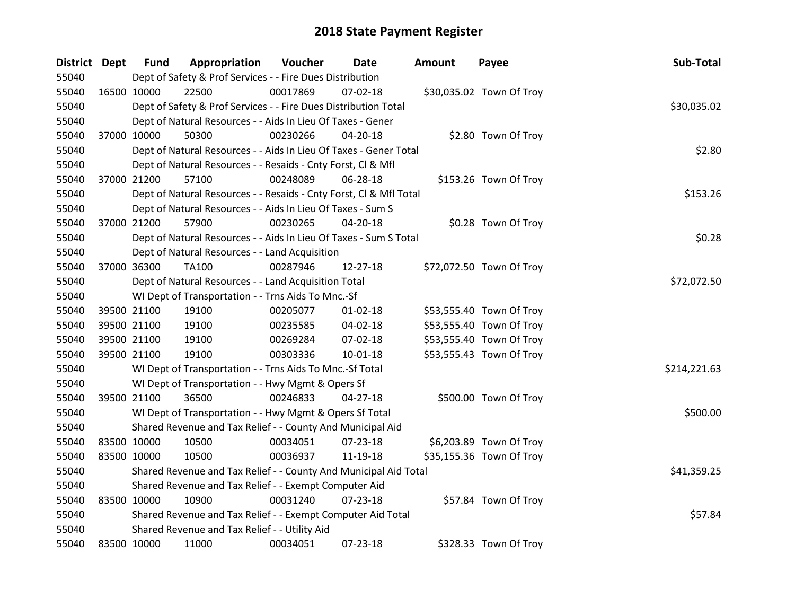| District Dept |             | <b>Fund</b>                                           | Appropriation                                                      | <b>Voucher</b> | Date           | Amount | Payee                    | Sub-Total    |  |  |
|---------------|-------------|-------------------------------------------------------|--------------------------------------------------------------------|----------------|----------------|--------|--------------------------|--------------|--|--|
| 55040         |             |                                                       | Dept of Safety & Prof Services - - Fire Dues Distribution          |                |                |        |                          |              |  |  |
| 55040         | 16500 10000 |                                                       | 22500                                                              | 00017869       | 07-02-18       |        | \$30,035.02 Town Of Troy |              |  |  |
| 55040         |             |                                                       | Dept of Safety & Prof Services - - Fire Dues Distribution Total    |                |                |        |                          | \$30,035.02  |  |  |
| 55040         |             |                                                       | Dept of Natural Resources - - Aids In Lieu Of Taxes - Gener        |                |                |        |                          |              |  |  |
| 55040         | 37000 10000 |                                                       | 50300                                                              | 00230266       | 04-20-18       |        | \$2.80 Town Of Troy      |              |  |  |
| 55040         |             |                                                       | Dept of Natural Resources - - Aids In Lieu Of Taxes - Gener Total  |                |                |        |                          | \$2.80       |  |  |
| 55040         |             |                                                       | Dept of Natural Resources - - Resaids - Cnty Forst, Cl & Mfl       |                |                |        |                          |              |  |  |
| 55040         |             | 37000 21200                                           | 57100                                                              | 00248089       | 06-28-18       |        | \$153.26 Town Of Troy    |              |  |  |
| 55040         |             |                                                       | Dept of Natural Resources - - Resaids - Cnty Forst, CI & Mfl Total |                |                |        |                          | \$153.26     |  |  |
| 55040         |             |                                                       | Dept of Natural Resources - - Aids In Lieu Of Taxes - Sum S        |                |                |        |                          |              |  |  |
| 55040         | 37000 21200 |                                                       | 57900                                                              | 00230265       | 04-20-18       |        | \$0.28 Town Of Troy      |              |  |  |
| 55040         |             |                                                       | Dept of Natural Resources - - Aids In Lieu Of Taxes - Sum S Total  |                |                |        |                          | \$0.28       |  |  |
| 55040         |             |                                                       | Dept of Natural Resources - - Land Acquisition                     |                |                |        |                          |              |  |  |
| 55040         | 37000 36300 |                                                       | TA100                                                              | 00287946       | 12-27-18       |        | \$72,072.50 Town Of Troy |              |  |  |
| 55040         |             |                                                       | Dept of Natural Resources - - Land Acquisition Total               |                |                |        |                          |              |  |  |
| 55040         |             |                                                       | WI Dept of Transportation - - Trns Aids To Mnc.-Sf                 |                |                |        |                          |              |  |  |
| 55040         |             | 39500 21100                                           | 19100                                                              | 00205077       | $01 - 02 - 18$ |        | \$53,555.40 Town Of Troy |              |  |  |
| 55040         |             | 39500 21100                                           | 19100                                                              | 00235585       | 04-02-18       |        | \$53,555.40 Town Of Troy |              |  |  |
| 55040         |             | 39500 21100                                           | 19100                                                              | 00269284       | 07-02-18       |        | \$53,555.40 Town Of Troy |              |  |  |
| 55040         | 39500 21100 |                                                       | 19100                                                              | 00303336       | $10 - 01 - 18$ |        | \$53,555.43 Town Of Troy |              |  |  |
| 55040         |             |                                                       | WI Dept of Transportation - - Trns Aids To Mnc.-Sf Total           |                |                |        |                          | \$214,221.63 |  |  |
| 55040         |             |                                                       | WI Dept of Transportation - - Hwy Mgmt & Opers Sf                  |                |                |        |                          |              |  |  |
| 55040         |             | 39500 21100                                           | 36500                                                              | 00246833       | 04-27-18       |        | \$500.00 Town Of Troy    |              |  |  |
| 55040         |             |                                                       | WI Dept of Transportation - - Hwy Mgmt & Opers Sf Total            |                |                |        |                          | \$500.00     |  |  |
| 55040         |             |                                                       | Shared Revenue and Tax Relief - - County And Municipal Aid         |                |                |        |                          |              |  |  |
| 55040         |             | 83500 10000                                           | 10500                                                              | 00034051       | 07-23-18       |        | \$6,203.89 Town Of Troy  |              |  |  |
| 55040         | 83500 10000 |                                                       | 10500                                                              | 00036937       | 11-19-18       |        | \$35,155.36 Town Of Troy |              |  |  |
| 55040         |             |                                                       | Shared Revenue and Tax Relief - - County And Municipal Aid Total   |                |                |        |                          | \$41,359.25  |  |  |
| 55040         |             | Shared Revenue and Tax Relief - - Exempt Computer Aid |                                                                    |                |                |        |                          |              |  |  |
| 55040         | 83500 10000 |                                                       | 10900                                                              | 00031240       | $07 - 23 - 18$ |        | \$57.84 Town Of Troy     |              |  |  |
| 55040         |             |                                                       | Shared Revenue and Tax Relief - - Exempt Computer Aid Total        |                |                |        |                          | \$57.84      |  |  |
| 55040         |             |                                                       | Shared Revenue and Tax Relief - - Utility Aid                      |                |                |        |                          |              |  |  |
| 55040         | 83500 10000 |                                                       | 11000                                                              | 00034051       | 07-23-18       |        | \$328.33 Town Of Troy    |              |  |  |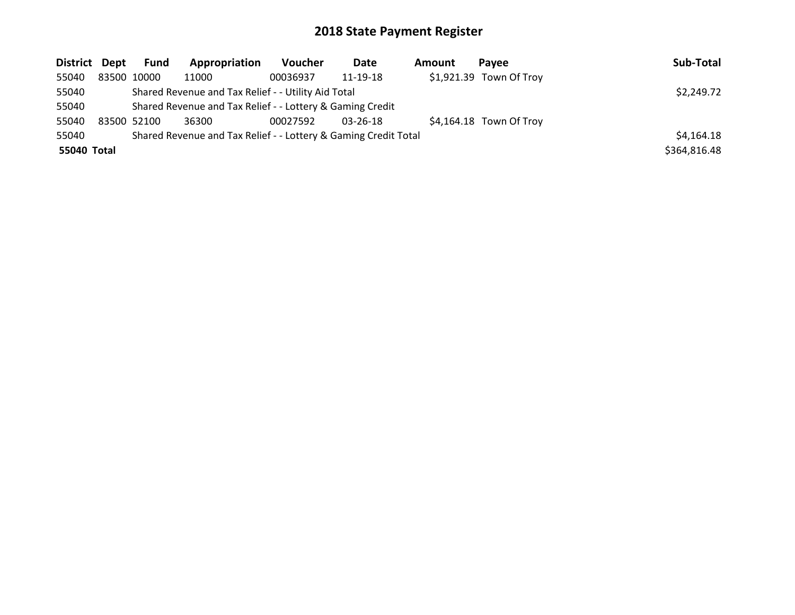| District Dept | Fund                                                      | Appropriation                                                   | Voucher    | Date           | Amount | Pavee                    | Sub-Total    |
|---------------|-----------------------------------------------------------|-----------------------------------------------------------------|------------|----------------|--------|--------------------------|--------------|
| 55040         | 83500 10000                                               | 11000                                                           | 00036937   | 11-19-18       |        | \$1,921.39 Town Of Troy  |              |
| 55040         | Shared Revenue and Tax Relief - - Utility Aid Total       | \$2,249.72                                                      |            |                |        |                          |              |
| 55040         | Shared Revenue and Tax Relief - - Lottery & Gaming Credit |                                                                 |            |                |        |                          |              |
| 55040         | 83500 52100                                               | 36300                                                           | 00027592   | $03 - 26 - 18$ |        | $$4,164.18$ Town Of Troy |              |
| 55040         |                                                           | Shared Revenue and Tax Relief - - Lottery & Gaming Credit Total | \$4,164.18 |                |        |                          |              |
| 55040 Total   |                                                           |                                                                 |            |                |        |                          | \$364,816.48 |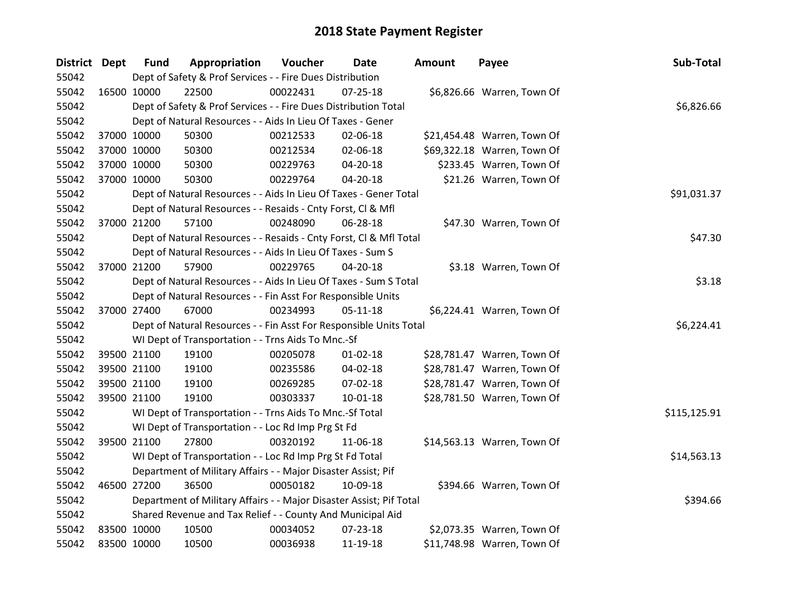| District Dept |             | <b>Fund</b> | Appropriation                                                       | Voucher  | Date           | <b>Amount</b> | Payee                       | Sub-Total    |
|---------------|-------------|-------------|---------------------------------------------------------------------|----------|----------------|---------------|-----------------------------|--------------|
| 55042         |             |             | Dept of Safety & Prof Services - - Fire Dues Distribution           |          |                |               |                             |              |
| 55042         | 16500 10000 |             | 22500                                                               | 00022431 | $07 - 25 - 18$ |               | \$6,826.66 Warren, Town Of  |              |
| 55042         |             |             | Dept of Safety & Prof Services - - Fire Dues Distribution Total     |          |                |               |                             | \$6,826.66   |
| 55042         |             |             | Dept of Natural Resources - - Aids In Lieu Of Taxes - Gener         |          |                |               |                             |              |
| 55042         | 37000 10000 |             | 50300                                                               | 00212533 | 02-06-18       |               | \$21,454.48 Warren, Town Of |              |
| 55042         | 37000 10000 |             | 50300                                                               | 00212534 | 02-06-18       |               | \$69,322.18 Warren, Town Of |              |
| 55042         | 37000 10000 |             | 50300                                                               | 00229763 | 04-20-18       |               | \$233.45 Warren, Town Of    |              |
| 55042         | 37000 10000 |             | 50300                                                               | 00229764 | 04-20-18       |               | \$21.26 Warren, Town Of     |              |
| 55042         |             |             | Dept of Natural Resources - - Aids In Lieu Of Taxes - Gener Total   |          | \$91,031.37    |               |                             |              |
| 55042         |             |             | Dept of Natural Resources - - Resaids - Cnty Forst, Cl & Mfl        |          |                |               |                             |              |
| 55042         | 37000 21200 |             | 57100                                                               | 00248090 | 06-28-18       |               | \$47.30 Warren, Town Of     |              |
| 55042         |             |             | Dept of Natural Resources - - Resaids - Cnty Forst, Cl & Mfl Total  |          |                |               |                             | \$47.30      |
| 55042         |             |             | Dept of Natural Resources - - Aids In Lieu Of Taxes - Sum S         |          |                |               |                             |              |
| 55042         | 37000 21200 |             | 57900                                                               | 00229765 | 04-20-18       |               | \$3.18 Warren, Town Of      |              |
| 55042         |             |             | Dept of Natural Resources - - Aids In Lieu Of Taxes - Sum S Total   | \$3.18   |                |               |                             |              |
| 55042         |             |             | Dept of Natural Resources - - Fin Asst For Responsible Units        |          |                |               |                             |              |
| 55042         | 37000 27400 |             | 67000                                                               | 00234993 | $05 - 11 - 18$ |               | \$6,224.41 Warren, Town Of  |              |
| 55042         |             |             | Dept of Natural Resources - - Fin Asst For Responsible Units Total  |          |                |               |                             | \$6,224.41   |
| 55042         |             |             | WI Dept of Transportation - - Trns Aids To Mnc.-Sf                  |          |                |               |                             |              |
| 55042         | 39500 21100 |             | 19100                                                               | 00205078 | $01 - 02 - 18$ |               | \$28,781.47 Warren, Town Of |              |
| 55042         | 39500 21100 |             | 19100                                                               | 00235586 | 04-02-18       |               | \$28,781.47 Warren, Town Of |              |
| 55042         | 39500 21100 |             | 19100                                                               | 00269285 | 07-02-18       |               | \$28,781.47 Warren, Town Of |              |
| 55042         | 39500 21100 |             | 19100                                                               | 00303337 | 10-01-18       |               | \$28,781.50 Warren, Town Of |              |
| 55042         |             |             | WI Dept of Transportation - - Trns Aids To Mnc.-Sf Total            |          |                |               |                             | \$115,125.91 |
| 55042         |             |             | WI Dept of Transportation - - Loc Rd Imp Prg St Fd                  |          |                |               |                             |              |
| 55042         | 39500 21100 |             | 27800                                                               | 00320192 | 11-06-18       |               | \$14,563.13 Warren, Town Of |              |
| 55042         |             |             | WI Dept of Transportation - - Loc Rd Imp Prg St Fd Total            |          |                |               |                             | \$14,563.13  |
| 55042         |             |             | Department of Military Affairs - - Major Disaster Assist; Pif       |          |                |               |                             |              |
| 55042         | 46500 27200 |             | 36500                                                               | 00050182 | 10-09-18       |               | \$394.66 Warren, Town Of    |              |
| 55042         |             |             | Department of Military Affairs - - Major Disaster Assist; Pif Total |          |                |               |                             | \$394.66     |
| 55042         |             |             | Shared Revenue and Tax Relief - - County And Municipal Aid          |          |                |               |                             |              |
| 55042         | 83500 10000 |             | 10500                                                               | 00034052 | 07-23-18       |               | \$2,073.35 Warren, Town Of  |              |
| 55042         | 83500 10000 |             | 10500                                                               | 00036938 | 11-19-18       |               | \$11,748.98 Warren, Town Of |              |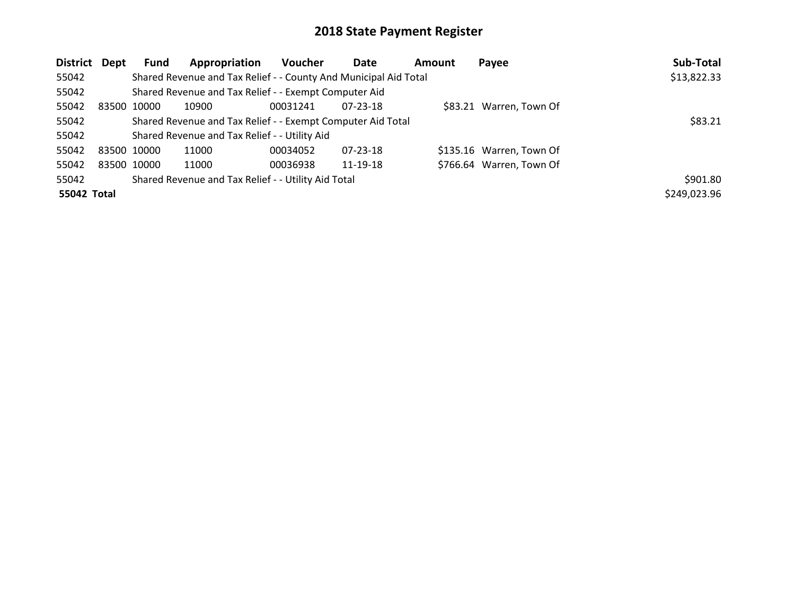| District Dept | Fund        | Appropriation                                                    | Voucher  | <b>Date</b>    | <b>Amount</b> | Payee                    | Sub-Total    |
|---------------|-------------|------------------------------------------------------------------|----------|----------------|---------------|--------------------------|--------------|
| 55042         |             | Shared Revenue and Tax Relief - - County And Municipal Aid Total |          |                |               |                          | \$13,822.33  |
| 55042         |             | Shared Revenue and Tax Relief - - Exempt Computer Aid            |          |                |               |                          |              |
| 55042         | 83500 10000 | 10900                                                            | 00031241 | $07 - 23 - 18$ |               | \$83.21 Warren, Town Of  |              |
| 55042         |             | Shared Revenue and Tax Relief - - Exempt Computer Aid Total      |          | \$83.21        |               |                          |              |
| 55042         |             | Shared Revenue and Tax Relief - - Utility Aid                    |          |                |               |                          |              |
| 55042         | 83500 10000 | 11000                                                            | 00034052 | $07 - 23 - 18$ |               | \$135.16 Warren, Town Of |              |
| 55042         | 83500 10000 | 11000                                                            | 00036938 | 11-19-18       |               | \$766.64 Warren, Town Of |              |
| 55042         |             | Shared Revenue and Tax Relief - - Utility Aid Total              |          |                |               |                          | \$901.80     |
| 55042 Total   |             |                                                                  |          |                |               |                          | \$249,023.96 |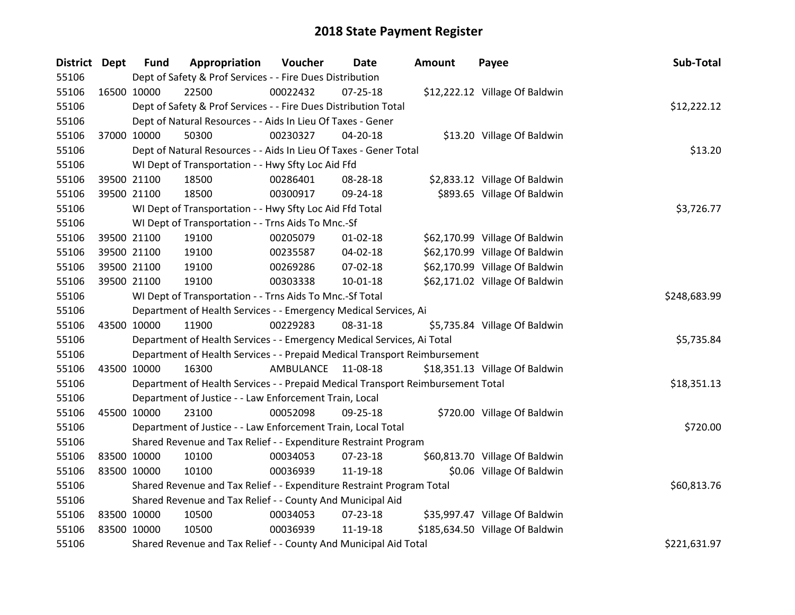| District Dept |             | <b>Fund</b>                                                           | Appropriation                                                                   | Voucher      | Date           | <b>Amount</b> | Payee                           | Sub-Total    |
|---------------|-------------|-----------------------------------------------------------------------|---------------------------------------------------------------------------------|--------------|----------------|---------------|---------------------------------|--------------|
| 55106         |             |                                                                       | Dept of Safety & Prof Services - - Fire Dues Distribution                       |              |                |               |                                 |              |
| 55106         | 16500 10000 |                                                                       | 22500                                                                           | 00022432     | $07 - 25 - 18$ |               | \$12,222.12 Village Of Baldwin  |              |
| 55106         |             |                                                                       | Dept of Safety & Prof Services - - Fire Dues Distribution Total                 |              |                |               |                                 | \$12,222.12  |
| 55106         |             |                                                                       | Dept of Natural Resources - - Aids In Lieu Of Taxes - Gener                     |              |                |               |                                 |              |
| 55106         | 37000 10000 |                                                                       | 50300                                                                           | 00230327     | 04-20-18       |               | \$13.20 Village Of Baldwin      |              |
| 55106         |             |                                                                       | Dept of Natural Resources - - Aids In Lieu Of Taxes - Gener Total               |              |                |               |                                 | \$13.20      |
| 55106         |             |                                                                       | WI Dept of Transportation - - Hwy Sfty Loc Aid Ffd                              |              |                |               |                                 |              |
| 55106         | 39500 21100 |                                                                       | 18500                                                                           | 00286401     | 08-28-18       |               | \$2,833.12 Village Of Baldwin   |              |
| 55106         | 39500 21100 |                                                                       | 18500                                                                           | 00300917     | 09-24-18       |               | \$893.65 Village Of Baldwin     |              |
| 55106         |             |                                                                       | WI Dept of Transportation - - Hwy Sfty Loc Aid Ffd Total                        |              |                |               |                                 | \$3,726.77   |
| 55106         |             |                                                                       | WI Dept of Transportation - - Trns Aids To Mnc.-Sf                              |              |                |               |                                 |              |
| 55106         | 39500 21100 |                                                                       | 19100                                                                           | 00205079     | $01 - 02 - 18$ |               | \$62,170.99 Village Of Baldwin  |              |
| 55106         | 39500 21100 |                                                                       | 19100                                                                           | 00235587     | 04-02-18       |               | \$62,170.99 Village Of Baldwin  |              |
| 55106         | 39500 21100 |                                                                       | 19100                                                                           | 00269286     | 07-02-18       |               | \$62,170.99 Village Of Baldwin  |              |
| 55106         | 39500 21100 |                                                                       | 19100                                                                           | 00303338     | $10 - 01 - 18$ |               | \$62,171.02 Village Of Baldwin  |              |
| 55106         |             |                                                                       | WI Dept of Transportation - - Trns Aids To Mnc.-Sf Total                        | \$248,683.99 |                |               |                                 |              |
| 55106         |             |                                                                       | Department of Health Services - - Emergency Medical Services, Ai                |              |                |               |                                 |              |
| 55106         | 43500 10000 |                                                                       | 11900                                                                           | 00229283     | 08-31-18       |               | \$5,735.84 Village Of Baldwin   |              |
| 55106         |             |                                                                       | Department of Health Services - - Emergency Medical Services, Ai Total          |              |                |               |                                 | \$5,735.84   |
| 55106         |             |                                                                       | Department of Health Services - - Prepaid Medical Transport Reimbursement       |              |                |               |                                 |              |
| 55106         | 43500 10000 |                                                                       | 16300                                                                           | AMBULANCE    | 11-08-18       |               | \$18,351.13 Village Of Baldwin  |              |
| 55106         |             |                                                                       | Department of Health Services - - Prepaid Medical Transport Reimbursement Total |              |                |               |                                 | \$18,351.13  |
| 55106         |             |                                                                       | Department of Justice - - Law Enforcement Train, Local                          |              |                |               |                                 |              |
| 55106         | 45500 10000 |                                                                       | 23100                                                                           | 00052098     | 09-25-18       |               | \$720.00 Village Of Baldwin     |              |
| 55106         |             |                                                                       | Department of Justice - - Law Enforcement Train, Local Total                    |              |                |               |                                 | \$720.00     |
| 55106         |             |                                                                       | Shared Revenue and Tax Relief - - Expenditure Restraint Program                 |              |                |               |                                 |              |
| 55106         | 83500 10000 |                                                                       | 10100                                                                           | 00034053     | 07-23-18       |               | \$60,813.70 Village Of Baldwin  |              |
| 55106         | 83500 10000 |                                                                       | 10100                                                                           | 00036939     | 11-19-18       |               | \$0.06 Village Of Baldwin       |              |
| 55106         |             | Shared Revenue and Tax Relief - - Expenditure Restraint Program Total |                                                                                 |              |                |               |                                 | \$60,813.76  |
| 55106         |             |                                                                       | Shared Revenue and Tax Relief - - County And Municipal Aid                      |              |                |               |                                 |              |
| 55106         | 83500 10000 |                                                                       | 10500                                                                           | 00034053     | 07-23-18       |               | \$35,997.47 Village Of Baldwin  |              |
| 55106         | 83500 10000 |                                                                       | 10500                                                                           | 00036939     | 11-19-18       |               | \$185,634.50 Village Of Baldwin |              |
| 55106         |             |                                                                       | Shared Revenue and Tax Relief - - County And Municipal Aid Total                |              |                |               |                                 | \$221,631.97 |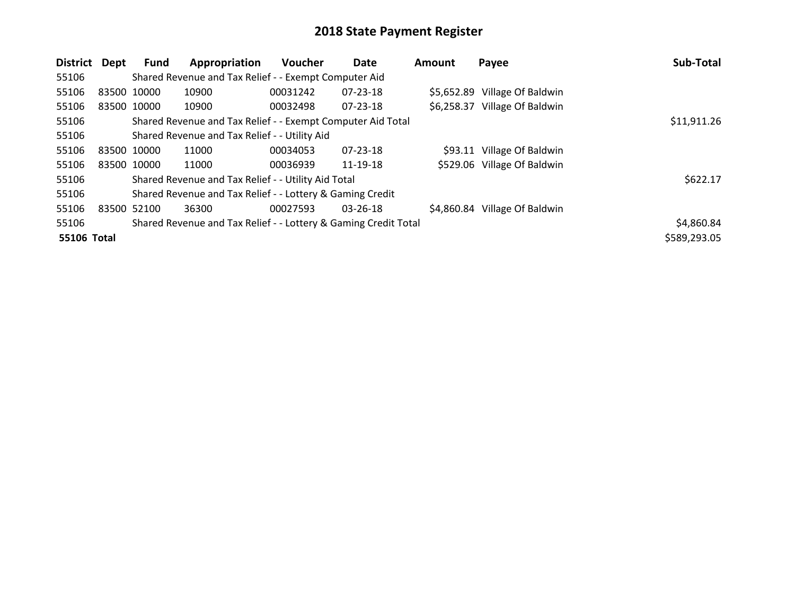| District    | Dept        | Fund | Appropriation                                                   | <b>Voucher</b> | Date           | <b>Amount</b> | Payee                         | Sub-Total    |
|-------------|-------------|------|-----------------------------------------------------------------|----------------|----------------|---------------|-------------------------------|--------------|
| 55106       |             |      | Shared Revenue and Tax Relief - - Exempt Computer Aid           |                |                |               |                               |              |
| 55106       | 83500 10000 |      | 10900                                                           | 00031242       | 07-23-18       |               | \$5,652.89 Village Of Baldwin |              |
| 55106       | 83500 10000 |      | 10900                                                           | 00032498       | $07 - 23 - 18$ |               | \$6,258.37 Village Of Baldwin |              |
| 55106       |             |      | Shared Revenue and Tax Relief - - Exempt Computer Aid Total     |                |                |               |                               | \$11,911.26  |
| 55106       |             |      | Shared Revenue and Tax Relief - - Utility Aid                   |                |                |               |                               |              |
| 55106       | 83500 10000 |      | 11000                                                           | 00034053       | 07-23-18       |               | \$93.11 Village Of Baldwin    |              |
| 55106       | 83500 10000 |      | 11000                                                           | 00036939       | 11-19-18       |               | \$529.06 Village Of Baldwin   |              |
| 55106       |             |      | Shared Revenue and Tax Relief - - Utility Aid Total             |                |                |               |                               | \$622.17     |
| 55106       |             |      | Shared Revenue and Tax Relief - - Lottery & Gaming Credit       |                |                |               |                               |              |
| 55106       | 83500 52100 |      | 36300                                                           | 00027593       | 03-26-18       | \$4,860.84    | Village Of Baldwin            |              |
| 55106       |             |      | Shared Revenue and Tax Relief - - Lottery & Gaming Credit Total |                |                |               |                               | \$4,860.84   |
| 55106 Total |             |      |                                                                 |                |                |               |                               | \$589,293.05 |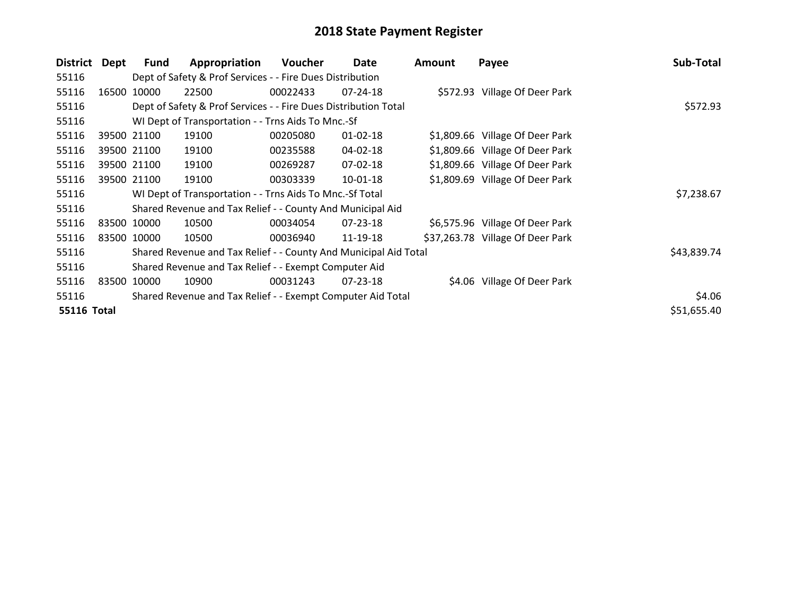| <b>District</b>    | Dept  | <b>Fund</b> | Appropriation                                                    | Voucher  | Date           | Amount | Payee                            | Sub-Total   |
|--------------------|-------|-------------|------------------------------------------------------------------|----------|----------------|--------|----------------------------------|-------------|
| 55116              |       |             | Dept of Safety & Prof Services - - Fire Dues Distribution        |          |                |        |                                  |             |
| 55116              | 16500 | 10000       | 22500                                                            | 00022433 | $07 - 24 - 18$ |        | \$572.93 Village Of Deer Park    |             |
| 55116              |       |             | Dept of Safety & Prof Services - - Fire Dues Distribution Total  |          |                |        |                                  | \$572.93    |
| 55116              |       |             | WI Dept of Transportation - - Trns Aids To Mnc.-Sf               |          |                |        |                                  |             |
| 55116              |       | 39500 21100 | 19100                                                            | 00205080 | $01 - 02 - 18$ |        | \$1,809.66 Village Of Deer Park  |             |
| 55116              |       | 39500 21100 | 19100                                                            | 00235588 | 04-02-18       |        | \$1,809.66 Village Of Deer Park  |             |
| 55116              |       | 39500 21100 | 19100                                                            | 00269287 | 07-02-18       |        | \$1,809.66 Village Of Deer Park  |             |
| 55116              |       | 39500 21100 | 19100                                                            | 00303339 | 10-01-18       |        | \$1,809.69 Village Of Deer Park  |             |
| 55116              |       |             | WI Dept of Transportation - - Trns Aids To Mnc.-Sf Total         |          |                |        |                                  | \$7,238.67  |
| 55116              |       |             | Shared Revenue and Tax Relief - - County And Municipal Aid       |          |                |        |                                  |             |
| 55116              |       | 83500 10000 | 10500                                                            | 00034054 | $07 - 23 - 18$ |        | \$6,575.96 Village Of Deer Park  |             |
| 55116              |       | 83500 10000 | 10500                                                            | 00036940 | 11-19-18       |        | \$37,263.78 Village Of Deer Park |             |
| 55116              |       |             | Shared Revenue and Tax Relief - - County And Municipal Aid Total |          |                |        |                                  | \$43,839.74 |
| 55116              |       |             | Shared Revenue and Tax Relief - - Exempt Computer Aid            |          |                |        |                                  |             |
| 55116              | 83500 | 10000       | 10900                                                            | 00031243 | $07 - 23 - 18$ |        | \$4.06 Village Of Deer Park      |             |
| 55116              |       |             | Shared Revenue and Tax Relief - - Exempt Computer Aid Total      |          |                |        |                                  | \$4.06      |
| <b>55116 Total</b> |       |             |                                                                  |          |                |        |                                  | \$51,655.40 |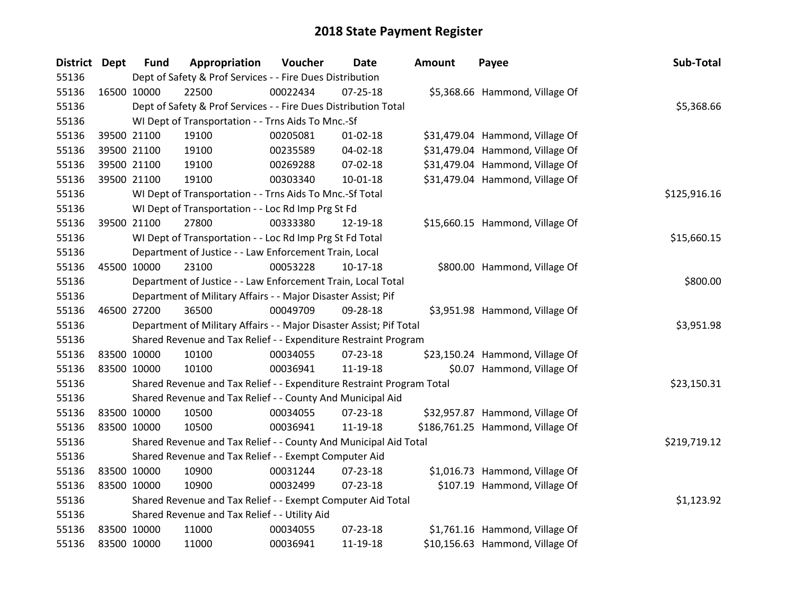| District Dept |             | <b>Fund</b> | Appropriation                                                         | Voucher  | Date           | <b>Amount</b> | Payee                            | Sub-Total    |
|---------------|-------------|-------------|-----------------------------------------------------------------------|----------|----------------|---------------|----------------------------------|--------------|
| 55136         |             |             | Dept of Safety & Prof Services - - Fire Dues Distribution             |          |                |               |                                  |              |
| 55136         | 16500 10000 |             | 22500                                                                 | 00022434 | $07 - 25 - 18$ |               | \$5,368.66 Hammond, Village Of   |              |
| 55136         |             |             | Dept of Safety & Prof Services - - Fire Dues Distribution Total       |          |                |               |                                  | \$5,368.66   |
| 55136         |             |             | WI Dept of Transportation - - Trns Aids To Mnc.-Sf                    |          |                |               |                                  |              |
| 55136         |             | 39500 21100 | 19100                                                                 | 00205081 | $01 - 02 - 18$ |               | \$31,479.04 Hammond, Village Of  |              |
| 55136         |             | 39500 21100 | 19100                                                                 | 00235589 | 04-02-18       |               | \$31,479.04 Hammond, Village Of  |              |
| 55136         |             | 39500 21100 | 19100                                                                 | 00269288 | 07-02-18       |               | \$31,479.04 Hammond, Village Of  |              |
| 55136         |             | 39500 21100 | 19100                                                                 | 00303340 | $10-01-18$     |               | \$31,479.04 Hammond, Village Of  |              |
| 55136         |             |             | WI Dept of Transportation - - Trns Aids To Mnc.-Sf Total              |          |                |               |                                  | \$125,916.16 |
| 55136         |             |             | WI Dept of Transportation - - Loc Rd Imp Prg St Fd                    |          |                |               |                                  |              |
| 55136         |             | 39500 21100 | 27800                                                                 | 00333380 | 12-19-18       |               | \$15,660.15 Hammond, Village Of  |              |
| 55136         |             |             | WI Dept of Transportation - - Loc Rd Imp Prg St Fd Total              |          |                |               |                                  | \$15,660.15  |
| 55136         |             |             | Department of Justice - - Law Enforcement Train, Local                |          |                |               |                                  |              |
| 55136         | 45500 10000 |             | 23100                                                                 | 00053228 | 10-17-18       |               | \$800.00 Hammond, Village Of     |              |
| 55136         |             |             | Department of Justice - - Law Enforcement Train, Local Total          |          |                |               |                                  | \$800.00     |
| 55136         |             |             | Department of Military Affairs - - Major Disaster Assist; Pif         |          |                |               |                                  |              |
| 55136         | 46500 27200 |             | 36500                                                                 | 00049709 | 09-28-18       |               | \$3,951.98 Hammond, Village Of   |              |
| 55136         |             |             | Department of Military Affairs - - Major Disaster Assist; Pif Total   |          |                |               |                                  | \$3,951.98   |
| 55136         |             |             | Shared Revenue and Tax Relief - - Expenditure Restraint Program       |          |                |               |                                  |              |
| 55136         | 83500 10000 |             | 10100                                                                 | 00034055 | 07-23-18       |               | \$23,150.24 Hammond, Village Of  |              |
| 55136         | 83500 10000 |             | 10100                                                                 | 00036941 | 11-19-18       |               | \$0.07 Hammond, Village Of       |              |
| 55136         |             |             | Shared Revenue and Tax Relief - - Expenditure Restraint Program Total |          |                |               |                                  | \$23,150.31  |
| 55136         |             |             | Shared Revenue and Tax Relief - - County And Municipal Aid            |          |                |               |                                  |              |
| 55136         | 83500 10000 |             | 10500                                                                 | 00034055 | 07-23-18       |               | \$32,957.87 Hammond, Village Of  |              |
| 55136         | 83500 10000 |             | 10500                                                                 | 00036941 | 11-19-18       |               | \$186,761.25 Hammond, Village Of |              |
| 55136         |             |             | Shared Revenue and Tax Relief - - County And Municipal Aid Total      |          |                |               |                                  | \$219,719.12 |
| 55136         |             |             | Shared Revenue and Tax Relief - - Exempt Computer Aid                 |          |                |               |                                  |              |
| 55136         | 83500 10000 |             | 10900                                                                 | 00031244 | 07-23-18       |               | \$1,016.73 Hammond, Village Of   |              |
| 55136         | 83500 10000 |             | 10900                                                                 | 00032499 | 07-23-18       |               | \$107.19 Hammond, Village Of     |              |
| 55136         |             |             | Shared Revenue and Tax Relief - - Exempt Computer Aid Total           |          |                |               |                                  | \$1,123.92   |
| 55136         |             |             | Shared Revenue and Tax Relief - - Utility Aid                         |          |                |               |                                  |              |
| 55136         | 83500 10000 |             | 11000                                                                 | 00034055 | 07-23-18       |               | \$1,761.16 Hammond, Village Of   |              |
| 55136         | 83500 10000 |             | 11000                                                                 | 00036941 | 11-19-18       |               | \$10,156.63 Hammond, Village Of  |              |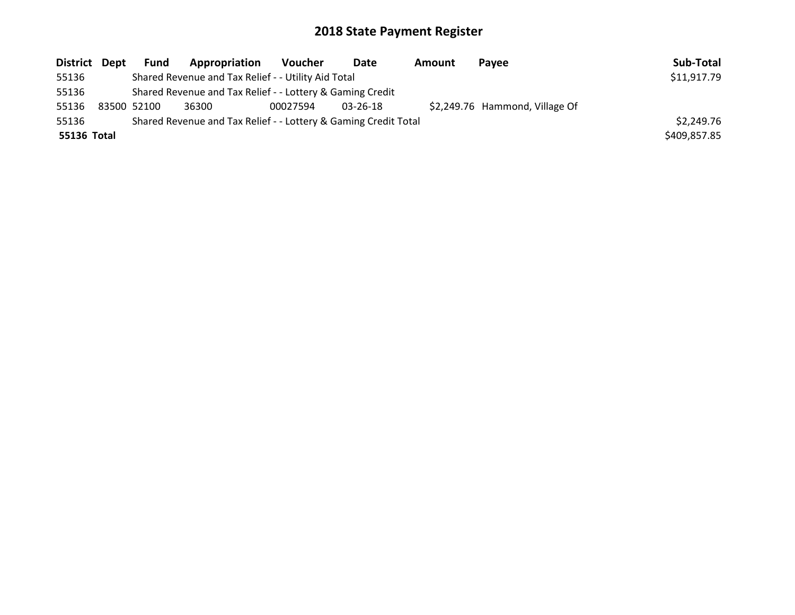| District Dept | Fund        | Appropriation                                                   | <b>Voucher</b> | Date           | Amount | Pavee                          | Sub-Total    |
|---------------|-------------|-----------------------------------------------------------------|----------------|----------------|--------|--------------------------------|--------------|
| 55136         |             | Shared Revenue and Tax Relief - - Utility Aid Total             |                |                |        |                                | \$11,917.79  |
| 55136         |             | Shared Revenue and Tax Relief - - Lottery & Gaming Credit       |                |                |        |                                |              |
| 55136         | 83500 52100 | 36300                                                           | 00027594       | $03 - 26 - 18$ |        | \$2,249.76 Hammond, Village Of |              |
| 55136         |             | Shared Revenue and Tax Relief - - Lottery & Gaming Credit Total |                |                |        |                                | \$2,249.76   |
| 55136 Total   |             |                                                                 |                |                |        |                                | \$409,857.85 |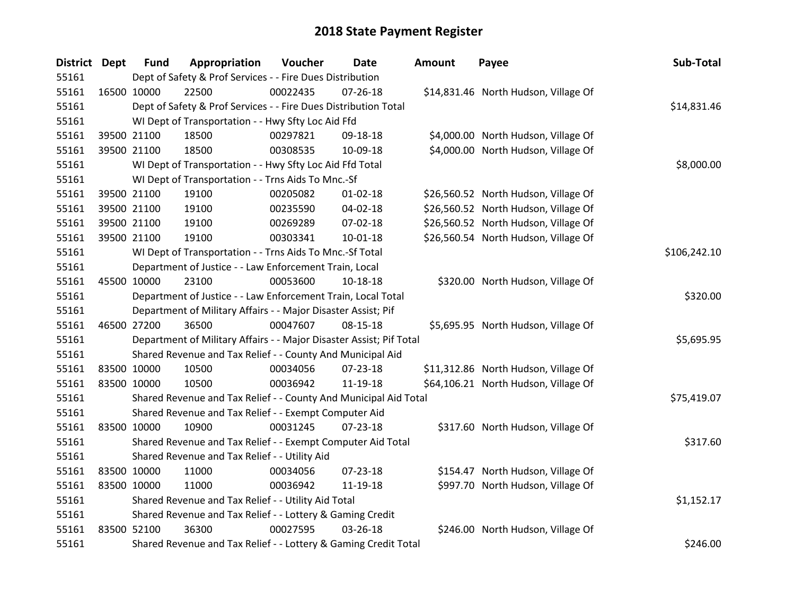| District Dept |             | <b>Fund</b> | Appropriation                                                       | Voucher  | <b>Date</b>    | Amount | Payee                                | Sub-Total    |
|---------------|-------------|-------------|---------------------------------------------------------------------|----------|----------------|--------|--------------------------------------|--------------|
| 55161         |             |             | Dept of Safety & Prof Services - - Fire Dues Distribution           |          |                |        |                                      |              |
| 55161         |             | 16500 10000 | 22500                                                               | 00022435 | $07 - 26 - 18$ |        | \$14,831.46 North Hudson, Village Of |              |
| 55161         |             |             | Dept of Safety & Prof Services - - Fire Dues Distribution Total     |          |                |        |                                      | \$14,831.46  |
| 55161         |             |             | WI Dept of Transportation - - Hwy Sfty Loc Aid Ffd                  |          |                |        |                                      |              |
| 55161         |             | 39500 21100 | 18500                                                               | 00297821 | 09-18-18       |        | \$4,000.00 North Hudson, Village Of  |              |
| 55161         |             | 39500 21100 | 18500                                                               | 00308535 | 10-09-18       |        | \$4,000.00 North Hudson, Village Of  |              |
| 55161         |             |             | WI Dept of Transportation - - Hwy Sfty Loc Aid Ffd Total            |          |                |        |                                      | \$8,000.00   |
| 55161         |             |             | WI Dept of Transportation - - Trns Aids To Mnc.-Sf                  |          |                |        |                                      |              |
| 55161         |             | 39500 21100 | 19100                                                               | 00205082 | $01 - 02 - 18$ |        | \$26,560.52 North Hudson, Village Of |              |
| 55161         |             | 39500 21100 | 19100                                                               | 00235590 | 04-02-18       |        | \$26,560.52 North Hudson, Village Of |              |
| 55161         |             | 39500 21100 | 19100                                                               | 00269289 | 07-02-18       |        | \$26,560.52 North Hudson, Village Of |              |
| 55161         |             | 39500 21100 | 19100                                                               | 00303341 | $10 - 01 - 18$ |        | \$26,560.54 North Hudson, Village Of |              |
| 55161         |             |             | WI Dept of Transportation - - Trns Aids To Mnc.-Sf Total            |          |                |        |                                      | \$106,242.10 |
| 55161         |             |             | Department of Justice - - Law Enforcement Train, Local              |          |                |        |                                      |              |
| 55161         |             | 45500 10000 | 23100                                                               | 00053600 | 10-18-18       |        | \$320.00 North Hudson, Village Of    |              |
| 55161         |             |             | Department of Justice - - Law Enforcement Train, Local Total        |          |                |        |                                      | \$320.00     |
| 55161         |             |             | Department of Military Affairs - - Major Disaster Assist; Pif       |          |                |        |                                      |              |
| 55161         |             | 46500 27200 | 36500                                                               | 00047607 | 08-15-18       |        | \$5,695.95 North Hudson, Village Of  |              |
| 55161         |             |             | Department of Military Affairs - - Major Disaster Assist; Pif Total |          |                |        |                                      | \$5,695.95   |
| 55161         |             |             | Shared Revenue and Tax Relief - - County And Municipal Aid          |          |                |        |                                      |              |
| 55161         | 83500 10000 |             | 10500                                                               | 00034056 | 07-23-18       |        | \$11,312.86 North Hudson, Village Of |              |
| 55161         | 83500 10000 |             | 10500                                                               | 00036942 | 11-19-18       |        | \$64,106.21 North Hudson, Village Of |              |
| 55161         |             |             | Shared Revenue and Tax Relief - - County And Municipal Aid Total    |          |                |        |                                      | \$75,419.07  |
| 55161         |             |             | Shared Revenue and Tax Relief - - Exempt Computer Aid               |          |                |        |                                      |              |
| 55161         |             | 83500 10000 | 10900                                                               | 00031245 | 07-23-18       |        | \$317.60 North Hudson, Village Of    |              |
| 55161         |             |             | Shared Revenue and Tax Relief - - Exempt Computer Aid Total         |          |                |        |                                      | \$317.60     |
| 55161         |             |             | Shared Revenue and Tax Relief - - Utility Aid                       |          |                |        |                                      |              |
| 55161         |             | 83500 10000 | 11000                                                               | 00034056 | 07-23-18       |        | \$154.47 North Hudson, Village Of    |              |
| 55161         |             | 83500 10000 | 11000                                                               | 00036942 | 11-19-18       |        | \$997.70 North Hudson, Village Of    |              |
| 55161         |             |             | Shared Revenue and Tax Relief - - Utility Aid Total                 |          |                |        |                                      | \$1,152.17   |
| 55161         |             |             | Shared Revenue and Tax Relief - - Lottery & Gaming Credit           |          |                |        |                                      |              |
| 55161         | 83500 52100 |             | 36300                                                               | 00027595 | 03-26-18       |        | \$246.00 North Hudson, Village Of    |              |
| 55161         |             |             | Shared Revenue and Tax Relief - - Lottery & Gaming Credit Total     |          |                |        |                                      | \$246.00     |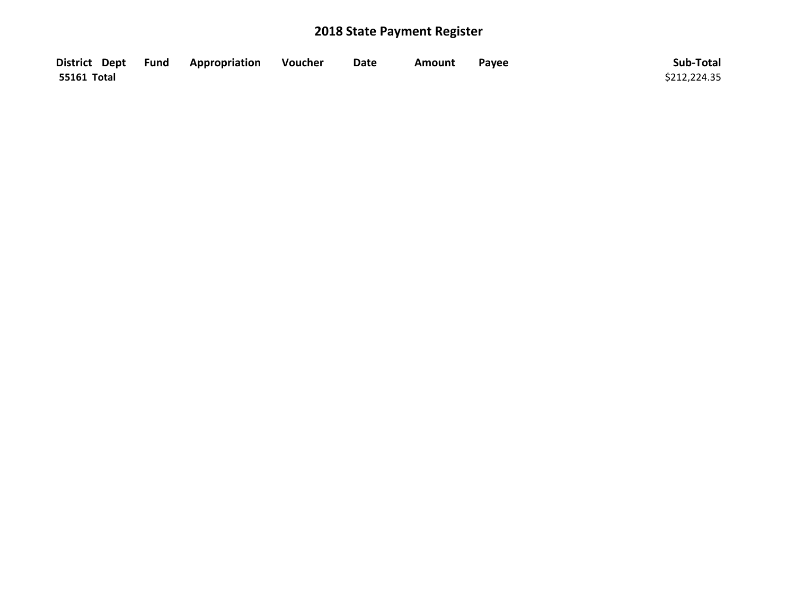|             | District Dept Fund Appropriation | Voucher | <b>Date</b> | Amount | Pavee | Sub-Total    |
|-------------|----------------------------------|---------|-------------|--------|-------|--------------|
| 55161 Total |                                  |         |             |        |       | \$212,224.35 |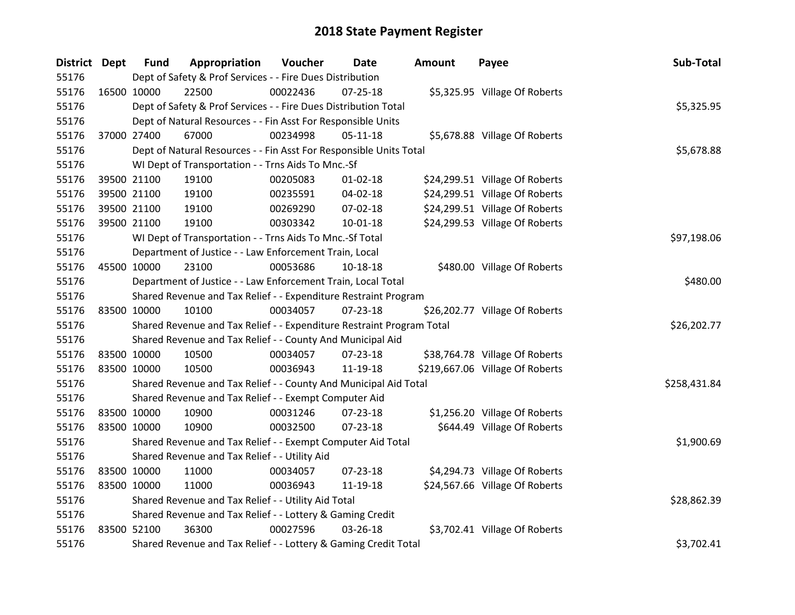| <b>District Dept</b> |             | <b>Fund</b> | Appropriation                                                         | Voucher  | <b>Date</b>    | <b>Amount</b> | Payee                           | Sub-Total    |
|----------------------|-------------|-------------|-----------------------------------------------------------------------|----------|----------------|---------------|---------------------------------|--------------|
| 55176                |             |             | Dept of Safety & Prof Services - - Fire Dues Distribution             |          |                |               |                                 |              |
| 55176                |             | 16500 10000 | 22500                                                                 | 00022436 | 07-25-18       |               | \$5,325.95 Village Of Roberts   |              |
| 55176                |             |             | Dept of Safety & Prof Services - - Fire Dues Distribution Total       |          |                |               |                                 | \$5,325.95   |
| 55176                |             |             | Dept of Natural Resources - - Fin Asst For Responsible Units          |          |                |               |                                 |              |
| 55176                |             | 37000 27400 | 67000                                                                 | 00234998 | $05 - 11 - 18$ |               | \$5,678.88 Village Of Roberts   |              |
| 55176                |             |             | Dept of Natural Resources - - Fin Asst For Responsible Units Total    |          |                |               |                                 | \$5,678.88   |
| 55176                |             |             | WI Dept of Transportation - - Trns Aids To Mnc.-Sf                    |          |                |               |                                 |              |
| 55176                |             | 39500 21100 | 19100                                                                 | 00205083 | $01 - 02 - 18$ |               | \$24,299.51 Village Of Roberts  |              |
| 55176                |             | 39500 21100 | 19100                                                                 | 00235591 | 04-02-18       |               | \$24,299.51 Village Of Roberts  |              |
| 55176                |             | 39500 21100 | 19100                                                                 | 00269290 | 07-02-18       |               | \$24,299.51 Village Of Roberts  |              |
| 55176                |             | 39500 21100 | 19100                                                                 | 00303342 | $10 - 01 - 18$ |               | \$24,299.53 Village Of Roberts  |              |
| 55176                |             |             | WI Dept of Transportation - - Trns Aids To Mnc.-Sf Total              |          |                |               |                                 | \$97,198.06  |
| 55176                |             |             | Department of Justice - - Law Enforcement Train, Local                |          |                |               |                                 |              |
| 55176                |             | 45500 10000 | 23100                                                                 | 00053686 | 10-18-18       |               | \$480.00 Village Of Roberts     |              |
| 55176                |             |             | Department of Justice - - Law Enforcement Train, Local Total          |          |                |               |                                 | \$480.00     |
| 55176                |             |             | Shared Revenue and Tax Relief - - Expenditure Restraint Program       |          |                |               |                                 |              |
| 55176                |             | 83500 10000 | 10100                                                                 | 00034057 | 07-23-18       |               | \$26,202.77 Village Of Roberts  |              |
| 55176                |             |             | Shared Revenue and Tax Relief - - Expenditure Restraint Program Total |          |                |               |                                 | \$26,202.77  |
| 55176                |             |             | Shared Revenue and Tax Relief - - County And Municipal Aid            |          |                |               |                                 |              |
| 55176                | 83500 10000 |             | 10500                                                                 | 00034057 | 07-23-18       |               | \$38,764.78 Village Of Roberts  |              |
| 55176                |             | 83500 10000 | 10500                                                                 | 00036943 | 11-19-18       |               | \$219,667.06 Village Of Roberts |              |
| 55176                |             |             | Shared Revenue and Tax Relief - - County And Municipal Aid Total      |          |                |               |                                 | \$258,431.84 |
| 55176                |             |             | Shared Revenue and Tax Relief - - Exempt Computer Aid                 |          |                |               |                                 |              |
| 55176                |             | 83500 10000 | 10900                                                                 | 00031246 | 07-23-18       |               | \$1,256.20 Village Of Roberts   |              |
| 55176                |             | 83500 10000 | 10900                                                                 | 00032500 | 07-23-18       |               | \$644.49 Village Of Roberts     |              |
| 55176                |             |             | Shared Revenue and Tax Relief - - Exempt Computer Aid Total           |          |                |               |                                 | \$1,900.69   |
| 55176                |             |             | Shared Revenue and Tax Relief - - Utility Aid                         |          |                |               |                                 |              |
| 55176                |             | 83500 10000 | 11000                                                                 | 00034057 | 07-23-18       |               | \$4,294.73 Village Of Roberts   |              |
| 55176                |             | 83500 10000 | 11000                                                                 | 00036943 | 11-19-18       |               | \$24,567.66 Village Of Roberts  |              |
| 55176                |             |             | Shared Revenue and Tax Relief - - Utility Aid Total                   |          |                |               |                                 | \$28,862.39  |
| 55176                |             |             | Shared Revenue and Tax Relief - - Lottery & Gaming Credit             |          |                |               |                                 |              |
| 55176                |             | 83500 52100 | 36300                                                                 | 00027596 | 03-26-18       |               | \$3,702.41 Village Of Roberts   |              |
| 55176                |             |             | Shared Revenue and Tax Relief - - Lottery & Gaming Credit Total       |          |                |               |                                 | \$3,702.41   |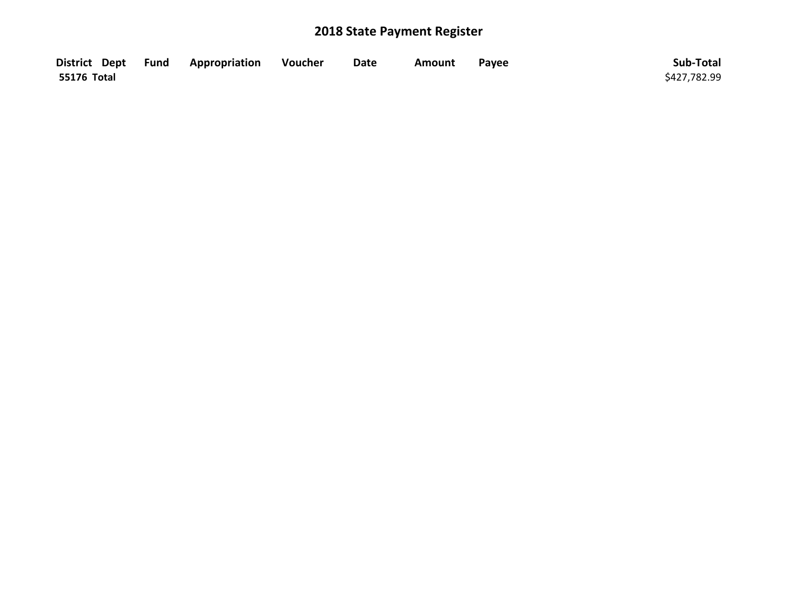|                    | District Dept Fund Appropriation | <b>Souther</b> | <b>Date</b> | Amount | Payee | Sub-Total    |
|--------------------|----------------------------------|----------------|-------------|--------|-------|--------------|
| <b>55176 Total</b> |                                  |                |             |        |       | \$427,782.99 |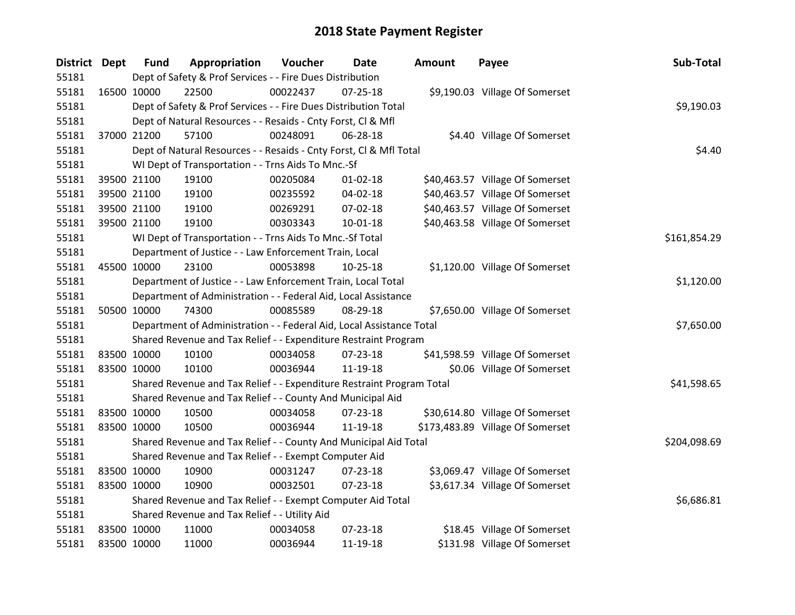| District Dept |             | <b>Fund</b> | Appropriation                                                         | Voucher  | Date           | <b>Amount</b> | Payee                            | Sub-Total    |
|---------------|-------------|-------------|-----------------------------------------------------------------------|----------|----------------|---------------|----------------------------------|--------------|
| 55181         |             |             | Dept of Safety & Prof Services - - Fire Dues Distribution             |          |                |               |                                  |              |
| 55181         | 16500 10000 |             | 22500                                                                 | 00022437 | $07 - 25 - 18$ |               | \$9,190.03 Village Of Somerset   |              |
| 55181         |             |             | Dept of Safety & Prof Services - - Fire Dues Distribution Total       |          |                |               |                                  | \$9,190.03   |
| 55181         |             |             | Dept of Natural Resources - - Resaids - Cnty Forst, Cl & Mfl          |          |                |               |                                  |              |
| 55181         | 37000 21200 |             | 57100                                                                 | 00248091 | 06-28-18       |               | \$4.40 Village Of Somerset       |              |
| 55181         |             |             | Dept of Natural Resources - - Resaids - Cnty Forst, CI & Mfl Total    |          |                |               |                                  | \$4.40       |
| 55181         |             |             | WI Dept of Transportation - - Trns Aids To Mnc.-Sf                    |          |                |               |                                  |              |
| 55181         |             | 39500 21100 | 19100                                                                 | 00205084 | $01 - 02 - 18$ |               | \$40,463.57 Village Of Somerset  |              |
| 55181         |             | 39500 21100 | 19100                                                                 | 00235592 | 04-02-18       |               | \$40,463.57 Village Of Somerset  |              |
| 55181         |             | 39500 21100 | 19100                                                                 | 00269291 | 07-02-18       |               | \$40,463.57 Village Of Somerset  |              |
| 55181         | 39500 21100 |             | 19100                                                                 | 00303343 | 10-01-18       |               | \$40,463.58 Village Of Somerset  |              |
| 55181         |             |             | WI Dept of Transportation - - Trns Aids To Mnc.-Sf Total              |          |                |               |                                  | \$161,854.29 |
| 55181         |             |             | Department of Justice - - Law Enforcement Train, Local                |          |                |               |                                  |              |
| 55181         | 45500 10000 |             | 23100                                                                 | 00053898 | $10-25-18$     |               | \$1,120.00 Village Of Somerset   |              |
| 55181         |             |             | Department of Justice - - Law Enforcement Train, Local Total          |          |                |               |                                  | \$1,120.00   |
| 55181         |             |             | Department of Administration - - Federal Aid, Local Assistance        |          |                |               |                                  |              |
| 55181         | 50500 10000 |             | 74300                                                                 | 00085589 | 08-29-18       |               | \$7,650.00 Village Of Somerset   |              |
| 55181         |             |             | Department of Administration - - Federal Aid, Local Assistance Total  |          |                |               |                                  | \$7,650.00   |
| 55181         |             |             | Shared Revenue and Tax Relief - - Expenditure Restraint Program       |          |                |               |                                  |              |
| 55181         | 83500 10000 |             | 10100                                                                 | 00034058 | 07-23-18       |               | \$41,598.59 Village Of Somerset  |              |
| 55181         | 83500 10000 |             | 10100                                                                 | 00036944 | 11-19-18       |               | \$0.06 Village Of Somerset       |              |
| 55181         |             |             | Shared Revenue and Tax Relief - - Expenditure Restraint Program Total |          |                |               |                                  | \$41,598.65  |
| 55181         |             |             | Shared Revenue and Tax Relief - - County And Municipal Aid            |          |                |               |                                  |              |
| 55181         | 83500 10000 |             | 10500                                                                 | 00034058 | 07-23-18       |               | \$30,614.80 Village Of Somerset  |              |
| 55181         | 83500 10000 |             | 10500                                                                 | 00036944 | 11-19-18       |               | \$173,483.89 Village Of Somerset |              |
| 55181         |             |             | Shared Revenue and Tax Relief - - County And Municipal Aid Total      |          |                |               |                                  | \$204,098.69 |
| 55181         |             |             | Shared Revenue and Tax Relief - - Exempt Computer Aid                 |          |                |               |                                  |              |
| 55181         | 83500 10000 |             | 10900                                                                 | 00031247 | 07-23-18       |               | \$3,069.47 Village Of Somerset   |              |
| 55181         | 83500 10000 |             | 10900                                                                 | 00032501 | $07 - 23 - 18$ |               | \$3,617.34 Village Of Somerset   |              |
| 55181         |             |             | Shared Revenue and Tax Relief - - Exempt Computer Aid Total           |          |                |               |                                  | \$6,686.81   |
| 55181         |             |             | Shared Revenue and Tax Relief - - Utility Aid                         |          |                |               |                                  |              |
| 55181         | 83500 10000 |             | 11000                                                                 | 00034058 | 07-23-18       |               | \$18.45 Village Of Somerset      |              |
| 55181         | 83500 10000 |             | 11000                                                                 | 00036944 | 11-19-18       |               | \$131.98 Village Of Somerset     |              |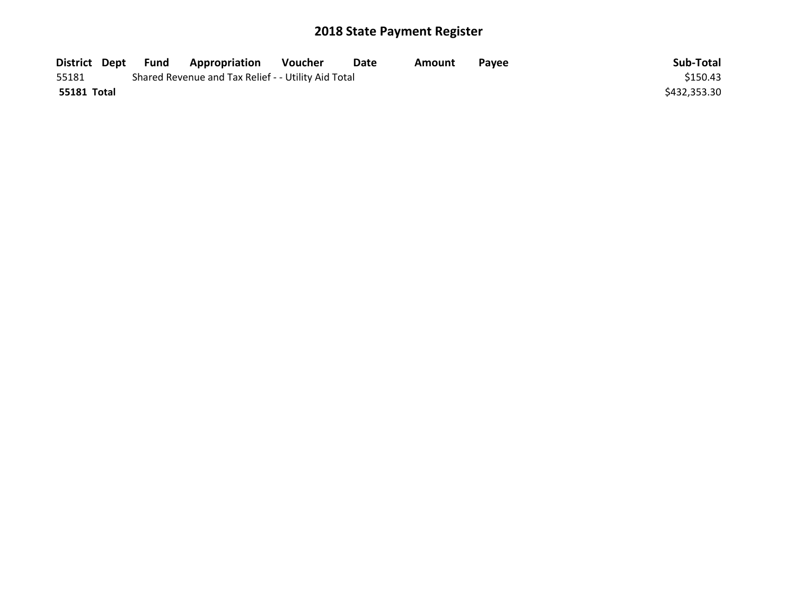| Fund          | Appropriation | Voucher | Date | Amount                                              | <b>Pavee</b> | Sub-Total    |
|---------------|---------------|---------|------|-----------------------------------------------------|--------------|--------------|
|               |               |         |      |                                                     |              | \$150.43     |
|               |               |         |      |                                                     |              | \$432,353.30 |
| District Dept |               |         |      | Shared Revenue and Tax Relief - - Utility Aid Total |              |              |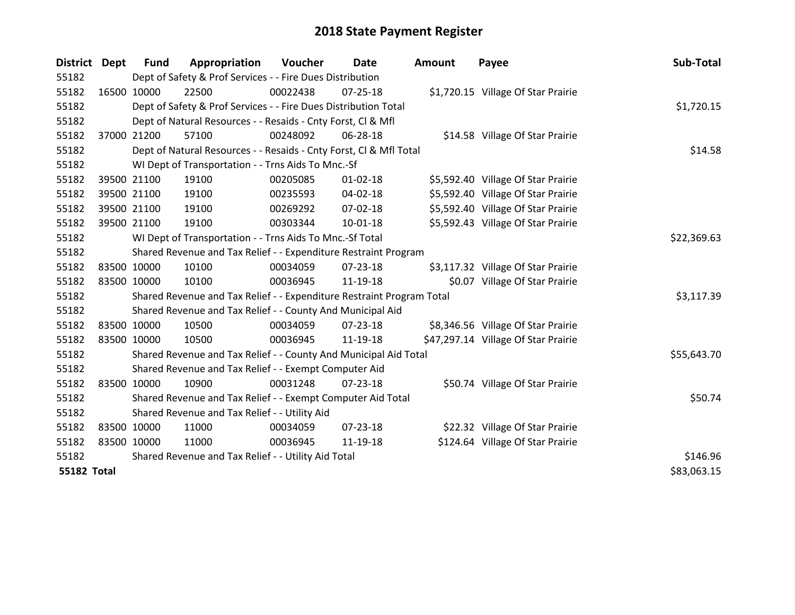| District           | Dept        | <b>Fund</b> | Appropriation                                                         | <b>Voucher</b> | Date           | <b>Amount</b> | Payee                               | Sub-Total   |
|--------------------|-------------|-------------|-----------------------------------------------------------------------|----------------|----------------|---------------|-------------------------------------|-------------|
| 55182              |             |             | Dept of Safety & Prof Services - - Fire Dues Distribution             |                |                |               |                                     |             |
| 55182              | 16500 10000 |             | 22500                                                                 | 00022438       | $07 - 25 - 18$ |               | \$1,720.15 Village Of Star Prairie  |             |
| 55182              |             |             | Dept of Safety & Prof Services - - Fire Dues Distribution Total       |                |                |               |                                     | \$1,720.15  |
| 55182              |             |             | Dept of Natural Resources - - Resaids - Cnty Forst, CI & Mfl          |                |                |               |                                     |             |
| 55182              | 37000 21200 |             | 57100                                                                 | 00248092       | 06-28-18       |               | \$14.58 Village Of Star Prairie     |             |
| 55182              |             |             | Dept of Natural Resources - - Resaids - Cnty Forst, Cl & Mfl Total    |                |                |               |                                     | \$14.58     |
| 55182              |             |             | WI Dept of Transportation - - Trns Aids To Mnc.-Sf                    |                |                |               |                                     |             |
| 55182              | 39500 21100 |             | 19100                                                                 | 00205085       | $01 - 02 - 18$ |               | \$5,592.40 Village Of Star Prairie  |             |
| 55182              | 39500 21100 |             | 19100                                                                 | 00235593       | 04-02-18       |               | \$5,592.40 Village Of Star Prairie  |             |
| 55182              | 39500 21100 |             | 19100                                                                 | 00269292       | $07 - 02 - 18$ |               | \$5,592.40 Village Of Star Prairie  |             |
| 55182              | 39500 21100 |             | 19100                                                                 | 00303344       | 10-01-18       |               | \$5,592.43 Village Of Star Prairie  |             |
| 55182              |             |             | WI Dept of Transportation - - Trns Aids To Mnc.-Sf Total              |                |                |               |                                     | \$22,369.63 |
| 55182              |             |             | Shared Revenue and Tax Relief - - Expenditure Restraint Program       |                |                |               |                                     |             |
| 55182              | 83500 10000 |             | 10100                                                                 | 00034059       | 07-23-18       |               | \$3,117.32 Village Of Star Prairie  |             |
| 55182              | 83500 10000 |             | 10100                                                                 | 00036945       | 11-19-18       |               | \$0.07 Village Of Star Prairie      |             |
| 55182              |             |             | Shared Revenue and Tax Relief - - Expenditure Restraint Program Total |                |                |               |                                     | \$3,117.39  |
| 55182              |             |             | Shared Revenue and Tax Relief - - County And Municipal Aid            |                |                |               |                                     |             |
| 55182              | 83500 10000 |             | 10500                                                                 | 00034059       | 07-23-18       |               | \$8,346.56 Village Of Star Prairie  |             |
| 55182              | 83500 10000 |             | 10500                                                                 | 00036945       | 11-19-18       |               | \$47,297.14 Village Of Star Prairie |             |
| 55182              |             |             | Shared Revenue and Tax Relief - - County And Municipal Aid Total      |                |                |               |                                     | \$55,643.70 |
| 55182              |             |             | Shared Revenue and Tax Relief - - Exempt Computer Aid                 |                |                |               |                                     |             |
| 55182              | 83500 10000 |             | 10900                                                                 | 00031248       | $07 - 23 - 18$ |               | \$50.74 Village Of Star Prairie     |             |
| 55182              |             |             | Shared Revenue and Tax Relief - - Exempt Computer Aid Total           |                |                |               |                                     | \$50.74     |
| 55182              |             |             | Shared Revenue and Tax Relief - - Utility Aid                         |                |                |               |                                     |             |
| 55182              | 83500 10000 |             | 11000                                                                 | 00034059       | 07-23-18       |               | \$22.32 Village Of Star Prairie     |             |
| 55182              | 83500 10000 |             | 11000                                                                 | 00036945       | 11-19-18       |               | \$124.64 Village Of Star Prairie    |             |
| 55182              |             |             | Shared Revenue and Tax Relief - - Utility Aid Total                   |                | \$146.96       |               |                                     |             |
| <b>55182 Total</b> |             |             |                                                                       |                |                |               |                                     | \$83,063.15 |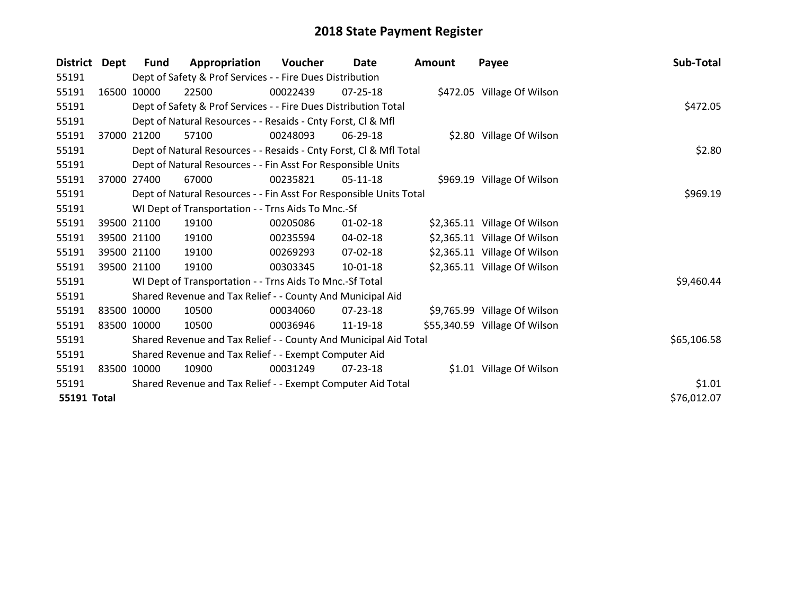| <b>District</b>    | Dept        | <b>Fund</b> | Appropriation                                                      | Voucher  | Date           | <b>Amount</b> | Payee                         | Sub-Total   |
|--------------------|-------------|-------------|--------------------------------------------------------------------|----------|----------------|---------------|-------------------------------|-------------|
| 55191              |             |             | Dept of Safety & Prof Services - - Fire Dues Distribution          |          |                |               |                               |             |
| 55191              |             | 16500 10000 | 22500                                                              | 00022439 | $07 - 25 - 18$ |               | \$472.05 Village Of Wilson    |             |
| 55191              |             |             | Dept of Safety & Prof Services - - Fire Dues Distribution Total    |          |                |               |                               | \$472.05    |
| 55191              |             |             | Dept of Natural Resources - - Resaids - Cnty Forst, CI & Mfl       |          |                |               |                               |             |
| 55191              |             | 37000 21200 | 57100                                                              | 00248093 | $06-29-18$     |               | \$2.80 Village Of Wilson      |             |
| 55191              |             |             | Dept of Natural Resources - - Resaids - Cnty Forst, CI & Mfl Total |          |                |               |                               | \$2.80      |
| 55191              |             |             | Dept of Natural Resources - - Fin Asst For Responsible Units       |          |                |               |                               |             |
| 55191              | 37000       | 27400       | 67000                                                              | 00235821 | $05-11-18$     |               | \$969.19 Village Of Wilson    |             |
| 55191              |             |             | Dept of Natural Resources - - Fin Asst For Responsible Units Total |          |                |               |                               | \$969.19    |
| 55191              |             |             | WI Dept of Transportation - - Trns Aids To Mnc.-Sf                 |          |                |               |                               |             |
| 55191              |             | 39500 21100 | 19100                                                              | 00205086 | $01 - 02 - 18$ |               | \$2,365.11 Village Of Wilson  |             |
| 55191              |             | 39500 21100 | 19100                                                              | 00235594 | $04 - 02 - 18$ |               | \$2,365.11 Village Of Wilson  |             |
| 55191              |             | 39500 21100 | 19100                                                              | 00269293 | 07-02-18       |               | \$2,365.11 Village Of Wilson  |             |
| 55191              |             | 39500 21100 | 19100                                                              | 00303345 | $10 - 01 - 18$ |               | \$2,365.11 Village Of Wilson  |             |
| 55191              |             |             | WI Dept of Transportation - - Trns Aids To Mnc.-Sf Total           |          |                |               |                               | \$9,460.44  |
| 55191              |             |             | Shared Revenue and Tax Relief - - County And Municipal Aid         |          |                |               |                               |             |
| 55191              |             | 83500 10000 | 10500                                                              | 00034060 | $07 - 23 - 18$ |               | \$9,765.99 Village Of Wilson  |             |
| 55191              |             | 83500 10000 | 10500                                                              | 00036946 | 11-19-18       |               | \$55,340.59 Village Of Wilson |             |
| 55191              |             |             | Shared Revenue and Tax Relief - - County And Municipal Aid Total   |          |                |               |                               | \$65,106.58 |
| 55191              |             |             | Shared Revenue and Tax Relief - - Exempt Computer Aid              |          |                |               |                               |             |
| 55191              | 83500 10000 |             | 10900                                                              | 00031249 | $07 - 23 - 18$ |               | \$1.01 Village Of Wilson      |             |
| 55191              |             |             | Shared Revenue and Tax Relief - - Exempt Computer Aid Total        |          |                |               |                               | \$1.01      |
| <b>55191 Total</b> |             |             |                                                                    |          |                |               |                               | \$76,012.07 |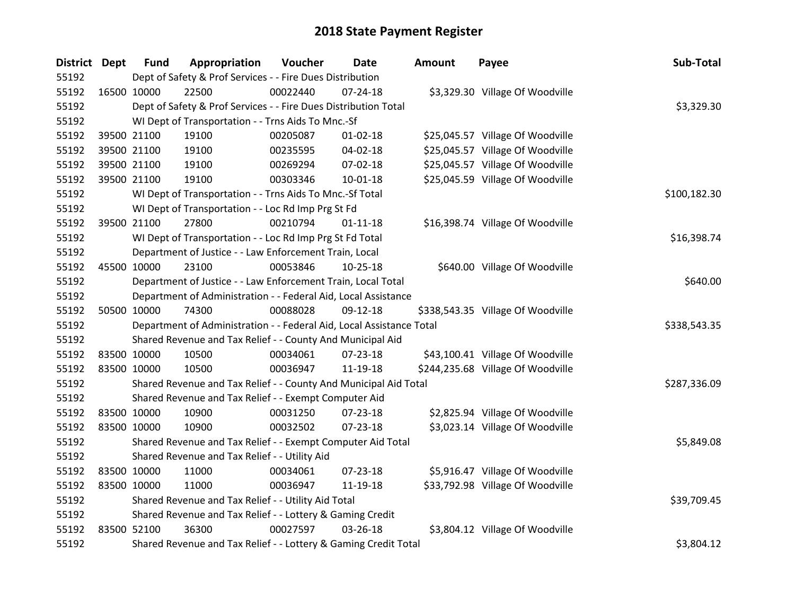| District Dept |             | <b>Fund</b> | Appropriation                                                        | Voucher      | Date           | <b>Amount</b> | Payee                             | Sub-Total    |
|---------------|-------------|-------------|----------------------------------------------------------------------|--------------|----------------|---------------|-----------------------------------|--------------|
| 55192         |             |             | Dept of Safety & Prof Services - - Fire Dues Distribution            |              |                |               |                                   |              |
| 55192         | 16500 10000 |             | 22500                                                                | 00022440     | $07 - 24 - 18$ |               | \$3,329.30 Village Of Woodville   |              |
| 55192         |             |             | Dept of Safety & Prof Services - - Fire Dues Distribution Total      |              |                |               |                                   | \$3,329.30   |
| 55192         |             |             | WI Dept of Transportation - - Trns Aids To Mnc.-Sf                   |              |                |               |                                   |              |
| 55192         |             | 39500 21100 | 19100                                                                | 00205087     | $01 - 02 - 18$ |               | \$25,045.57 Village Of Woodville  |              |
| 55192         |             | 39500 21100 | 19100                                                                | 00235595     | 04-02-18       |               | \$25,045.57 Village Of Woodville  |              |
| 55192         |             | 39500 21100 | 19100                                                                | 00269294     | 07-02-18       |               | \$25,045.57 Village Of Woodville  |              |
| 55192         |             | 39500 21100 | 19100                                                                | 00303346     | 10-01-18       |               | \$25,045.59 Village Of Woodville  |              |
| 55192         |             |             | WI Dept of Transportation - - Trns Aids To Mnc.-Sf Total             | \$100,182.30 |                |               |                                   |              |
| 55192         |             |             | WI Dept of Transportation - - Loc Rd Imp Prg St Fd                   |              |                |               |                                   |              |
| 55192         |             | 39500 21100 | 27800                                                                | 00210794     | $01 - 11 - 18$ |               | \$16,398.74 Village Of Woodville  |              |
| 55192         |             |             | WI Dept of Transportation - - Loc Rd Imp Prg St Fd Total             |              |                |               |                                   | \$16,398.74  |
| 55192         |             |             | Department of Justice - - Law Enforcement Train, Local               |              |                |               |                                   |              |
| 55192         | 45500 10000 |             | 23100                                                                | 00053846     | 10-25-18       |               | \$640.00 Village Of Woodville     |              |
| 55192         |             |             | Department of Justice - - Law Enforcement Train, Local Total         |              |                |               |                                   | \$640.00     |
| 55192         |             |             | Department of Administration - - Federal Aid, Local Assistance       |              |                |               |                                   |              |
| 55192         |             | 50500 10000 | 74300                                                                | 00088028     | 09-12-18       |               | \$338,543.35 Village Of Woodville |              |
| 55192         |             |             | Department of Administration - - Federal Aid, Local Assistance Total |              |                |               |                                   | \$338,543.35 |
| 55192         |             |             | Shared Revenue and Tax Relief - - County And Municipal Aid           |              |                |               |                                   |              |
| 55192         | 83500 10000 |             | 10500                                                                | 00034061     | $07 - 23 - 18$ |               | \$43,100.41 Village Of Woodville  |              |
| 55192         | 83500 10000 |             | 10500                                                                | 00036947     | 11-19-18       |               | \$244,235.68 Village Of Woodville |              |
| 55192         |             |             | Shared Revenue and Tax Relief - - County And Municipal Aid Total     |              |                |               |                                   | \$287,336.09 |
| 55192         |             |             | Shared Revenue and Tax Relief - - Exempt Computer Aid                |              |                |               |                                   |              |
| 55192         | 83500 10000 |             | 10900                                                                | 00031250     | 07-23-18       |               | \$2,825.94 Village Of Woodville   |              |
| 55192         | 83500 10000 |             | 10900                                                                | 00032502     | 07-23-18       |               | \$3,023.14 Village Of Woodville   |              |
| 55192         |             |             | Shared Revenue and Tax Relief - - Exempt Computer Aid Total          |              |                |               |                                   | \$5,849.08   |
| 55192         |             |             | Shared Revenue and Tax Relief - - Utility Aid                        |              |                |               |                                   |              |
| 55192         | 83500 10000 |             | 11000                                                                | 00034061     | 07-23-18       |               | \$5,916.47 Village Of Woodville   |              |
| 55192         | 83500 10000 |             | 11000                                                                | 00036947     | 11-19-18       |               | \$33,792.98 Village Of Woodville  |              |
| 55192         |             |             | Shared Revenue and Tax Relief - - Utility Aid Total                  |              |                |               |                                   | \$39,709.45  |
| 55192         |             |             | Shared Revenue and Tax Relief - - Lottery & Gaming Credit            |              |                |               |                                   |              |
| 55192         | 83500 52100 |             | 36300                                                                | 00027597     | 03-26-18       |               | \$3,804.12 Village Of Woodville   |              |
| 55192         |             |             | Shared Revenue and Tax Relief - - Lottery & Gaming Credit Total      |              |                |               |                                   | \$3,804.12   |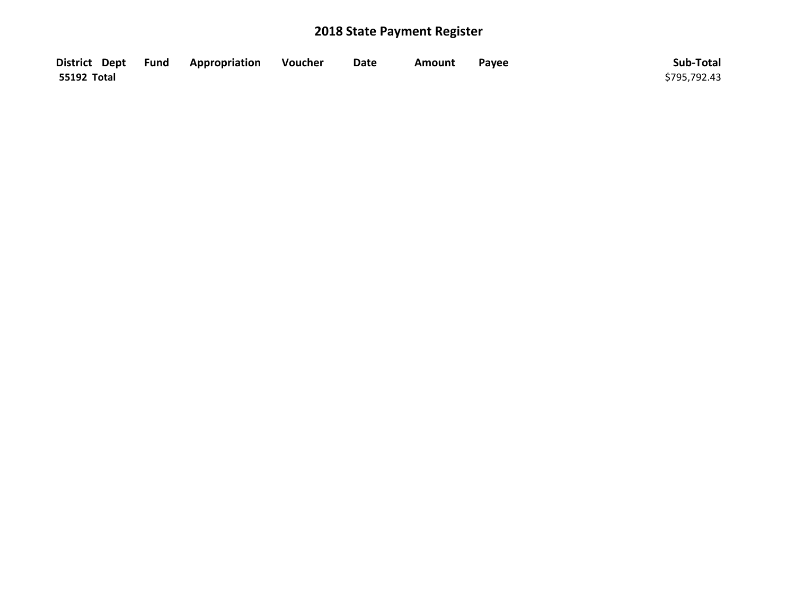|             | District Dept Fund Appropriation | Voucher | <b>Date</b> | Amount | Payee | Sub-Total    |
|-------------|----------------------------------|---------|-------------|--------|-------|--------------|
| 55192 Total |                                  |         |             |        |       | \$795,792.43 |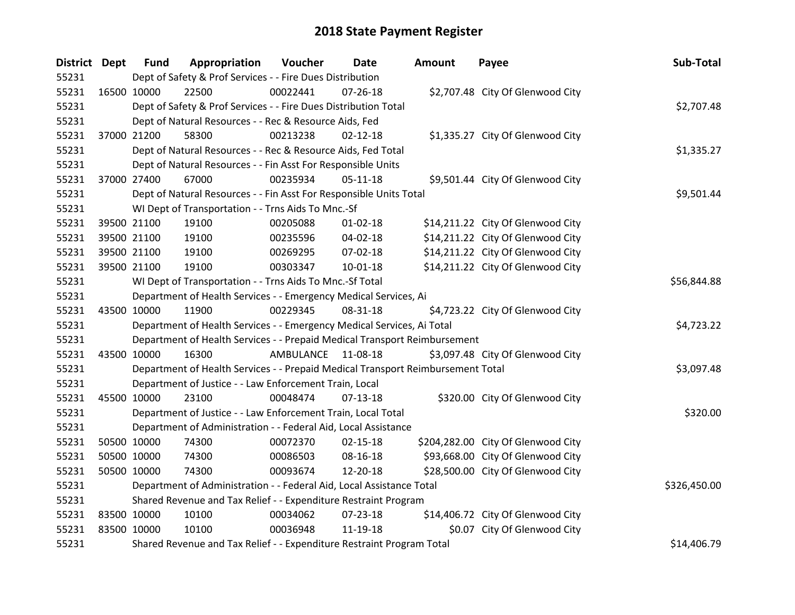| <b>District Dept</b> |             | <b>Fund</b> | Appropriation                                                                   | Voucher     | <b>Date</b>    | <b>Amount</b> | Payee                              | Sub-Total    |
|----------------------|-------------|-------------|---------------------------------------------------------------------------------|-------------|----------------|---------------|------------------------------------|--------------|
| 55231                |             |             | Dept of Safety & Prof Services - - Fire Dues Distribution                       |             |                |               |                                    |              |
| 55231                | 16500 10000 |             | 22500                                                                           | 00022441    | $07 - 26 - 18$ |               | \$2,707.48 City Of Glenwood City   |              |
| 55231                |             |             | Dept of Safety & Prof Services - - Fire Dues Distribution Total                 |             |                |               |                                    | \$2,707.48   |
| 55231                |             |             | Dept of Natural Resources - - Rec & Resource Aids, Fed                          |             |                |               |                                    |              |
| 55231                | 37000 21200 |             | 58300                                                                           | 00213238    | $02 - 12 - 18$ |               | \$1,335.27 City Of Glenwood City   |              |
| 55231                |             |             | Dept of Natural Resources - - Rec & Resource Aids, Fed Total                    |             |                |               |                                    | \$1,335.27   |
| 55231                |             |             | Dept of Natural Resources - - Fin Asst For Responsible Units                    |             |                |               |                                    |              |
| 55231                | 37000 27400 |             | 67000                                                                           | 00235934    | $05-11-18$     |               | \$9,501.44 City Of Glenwood City   |              |
| 55231                |             |             | Dept of Natural Resources - - Fin Asst For Responsible Units Total              |             |                |               |                                    | \$9,501.44   |
| 55231                |             |             | WI Dept of Transportation - - Trns Aids To Mnc.-Sf                              |             |                |               |                                    |              |
| 55231                |             | 39500 21100 | 19100                                                                           | 00205088    | $01 - 02 - 18$ |               | \$14,211.22 City Of Glenwood City  |              |
| 55231                | 39500 21100 |             | 19100                                                                           | 00235596    | 04-02-18       |               | \$14,211.22 City Of Glenwood City  |              |
| 55231                | 39500 21100 |             | 19100                                                                           | 00269295    | 07-02-18       |               | \$14,211.22 City Of Glenwood City  |              |
| 55231                | 39500 21100 |             | 19100                                                                           | 00303347    | 10-01-18       |               | \$14,211.22 City Of Glenwood City  |              |
| 55231                |             |             | WI Dept of Transportation - - Trns Aids To Mnc.-Sf Total                        | \$56,844.88 |                |               |                                    |              |
| 55231                |             |             | Department of Health Services - - Emergency Medical Services, Ai                |             |                |               |                                    |              |
| 55231                | 43500 10000 |             | 11900                                                                           | 00229345    | 08-31-18       |               | \$4,723.22 City Of Glenwood City   |              |
| 55231                |             |             | Department of Health Services - - Emergency Medical Services, Ai Total          |             |                |               |                                    | \$4,723.22   |
| 55231                |             |             | Department of Health Services - - Prepaid Medical Transport Reimbursement       |             |                |               |                                    |              |
| 55231                | 43500 10000 |             | 16300                                                                           | AMBULANCE   | 11-08-18       |               | \$3,097.48 City Of Glenwood City   |              |
| 55231                |             |             | Department of Health Services - - Prepaid Medical Transport Reimbursement Total |             |                |               |                                    | \$3,097.48   |
| 55231                |             |             | Department of Justice - - Law Enforcement Train, Local                          |             |                |               |                                    |              |
| 55231                | 45500 10000 |             | 23100                                                                           | 00048474    | 07-13-18       |               | \$320.00 City Of Glenwood City     |              |
| 55231                |             |             | Department of Justice - - Law Enforcement Train, Local Total                    |             |                |               |                                    | \$320.00     |
| 55231                |             |             | Department of Administration - - Federal Aid, Local Assistance                  |             |                |               |                                    |              |
| 55231                | 50500 10000 |             | 74300                                                                           | 00072370    | $02 - 15 - 18$ |               | \$204,282.00 City Of Glenwood City |              |
| 55231                | 50500 10000 |             | 74300                                                                           | 00086503    | 08-16-18       |               | \$93,668.00 City Of Glenwood City  |              |
| 55231                | 50500 10000 |             | 74300                                                                           | 00093674    | 12-20-18       |               | \$28,500.00 City Of Glenwood City  |              |
| 55231                |             |             | Department of Administration - - Federal Aid, Local Assistance Total            |             |                |               |                                    | \$326,450.00 |
| 55231                |             |             | Shared Revenue and Tax Relief - - Expenditure Restraint Program                 |             |                |               |                                    |              |
| 55231                | 83500 10000 |             | 10100                                                                           | 00034062    | 07-23-18       |               | \$14,406.72 City Of Glenwood City  |              |
| 55231                | 83500 10000 |             | 10100                                                                           | 00036948    | 11-19-18       |               | \$0.07 City Of Glenwood City       |              |
| 55231                |             |             | Shared Revenue and Tax Relief - - Expenditure Restraint Program Total           |             |                |               |                                    | \$14,406.79  |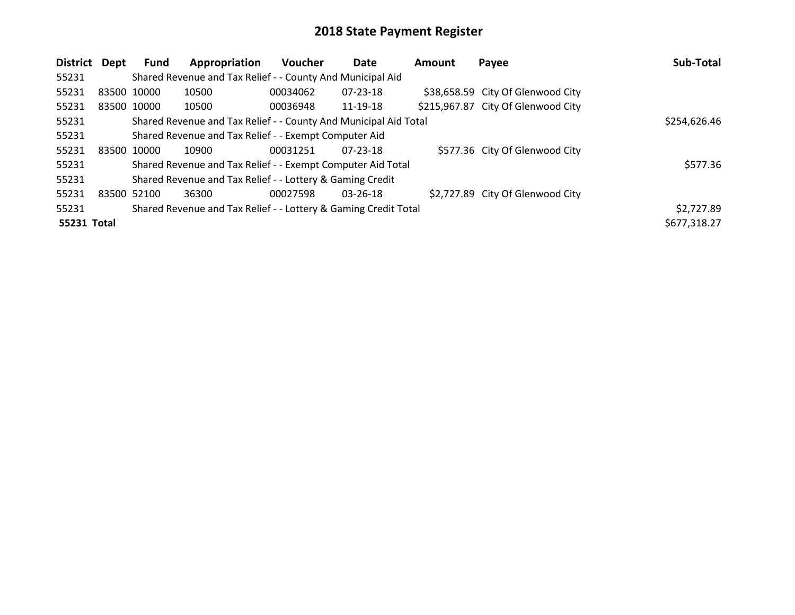| <b>District</b> | Dept        | Fund | Appropriation                                                    | Voucher  | <b>Date</b>    | <b>Amount</b> | Payee                              | Sub-Total    |
|-----------------|-------------|------|------------------------------------------------------------------|----------|----------------|---------------|------------------------------------|--------------|
| 55231           |             |      | Shared Revenue and Tax Relief - - County And Municipal Aid       |          |                |               |                                    |              |
| 55231           | 83500 10000 |      | 10500                                                            | 00034062 | $07 - 23 - 18$ |               | \$38,658.59 City Of Glenwood City  |              |
| 55231           | 83500 10000 |      | 10500                                                            | 00036948 | 11-19-18       |               | \$215,967.87 City Of Glenwood City |              |
| 55231           |             |      | Shared Revenue and Tax Relief - - County And Municipal Aid Total |          |                |               |                                    | \$254,626.46 |
| 55231           |             |      | Shared Revenue and Tax Relief - - Exempt Computer Aid            |          |                |               |                                    |              |
| 55231           | 83500 10000 |      | 10900                                                            | 00031251 | 07-23-18       |               | \$577.36 City Of Glenwood City     |              |
| 55231           |             |      | Shared Revenue and Tax Relief - - Exempt Computer Aid Total      |          |                |               |                                    | \$577.36     |
| 55231           |             |      | Shared Revenue and Tax Relief - - Lottery & Gaming Credit        |          |                |               |                                    |              |
| 55231           | 83500 52100 |      | 36300                                                            | 00027598 | 03-26-18       |               | \$2,727.89 City Of Glenwood City   |              |
| 55231           |             |      | Shared Revenue and Tax Relief - - Lottery & Gaming Credit Total  |          |                |               |                                    | \$2,727.89   |
| 55231 Total     |             |      |                                                                  |          |                |               |                                    | \$677,318.27 |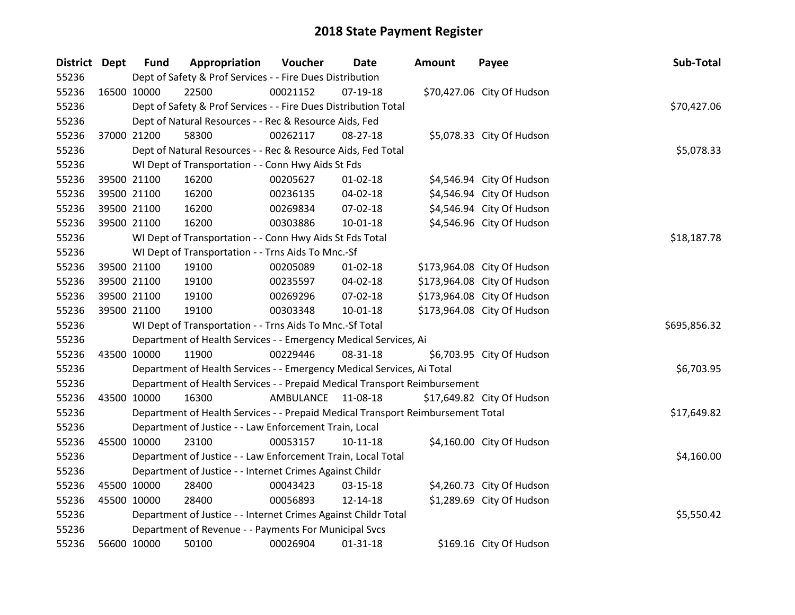| <b>District Dept</b> |             | <b>Fund</b> | Appropriation                                                                   | Voucher   | Date           | <b>Amount</b> | Payee                       | Sub-Total    |
|----------------------|-------------|-------------|---------------------------------------------------------------------------------|-----------|----------------|---------------|-----------------------------|--------------|
| 55236                |             |             | Dept of Safety & Prof Services - - Fire Dues Distribution                       |           |                |               |                             |              |
| 55236                | 16500 10000 |             | 22500                                                                           | 00021152  | 07-19-18       |               | \$70,427.06 City Of Hudson  |              |
| 55236                |             |             | Dept of Safety & Prof Services - - Fire Dues Distribution Total                 |           |                |               |                             | \$70,427.06  |
| 55236                |             |             | Dept of Natural Resources - - Rec & Resource Aids, Fed                          |           |                |               |                             |              |
| 55236                |             | 37000 21200 | 58300                                                                           | 00262117  | 08-27-18       |               | \$5,078.33 City Of Hudson   |              |
| 55236                |             |             | Dept of Natural Resources - - Rec & Resource Aids, Fed Total                    |           |                |               |                             | \$5,078.33   |
| 55236                |             |             | WI Dept of Transportation - - Conn Hwy Aids St Fds                              |           |                |               |                             |              |
| 55236                |             | 39500 21100 | 16200                                                                           | 00205627  | $01 - 02 - 18$ |               | \$4,546.94 City Of Hudson   |              |
| 55236                |             | 39500 21100 | 16200                                                                           | 00236135  | 04-02-18       |               | \$4,546.94 City Of Hudson   |              |
| 55236                |             | 39500 21100 | 16200                                                                           | 00269834  | 07-02-18       |               | \$4,546.94 City Of Hudson   |              |
| 55236                |             | 39500 21100 | 16200                                                                           | 00303886  | $10 - 01 - 18$ |               | \$4,546.96 City Of Hudson   |              |
| 55236                |             |             | WI Dept of Transportation - - Conn Hwy Aids St Fds Total                        |           |                |               |                             | \$18,187.78  |
| 55236                |             |             | WI Dept of Transportation - - Trns Aids To Mnc.-Sf                              |           |                |               |                             |              |
| 55236                |             | 39500 21100 | 19100                                                                           | 00205089  | $01 - 02 - 18$ |               | \$173,964.08 City Of Hudson |              |
| 55236                |             | 39500 21100 | 19100                                                                           | 00235597  | 04-02-18       |               | \$173,964.08 City Of Hudson |              |
| 55236                |             | 39500 21100 | 19100                                                                           | 00269296  | 07-02-18       |               | \$173,964.08 City Of Hudson |              |
| 55236                |             | 39500 21100 | 19100                                                                           | 00303348  | $10 - 01 - 18$ |               | \$173,964.08 City Of Hudson |              |
| 55236                |             |             | WI Dept of Transportation - - Trns Aids To Mnc.-Sf Total                        |           |                |               |                             | \$695,856.32 |
| 55236                |             |             | Department of Health Services - - Emergency Medical Services, Ai                |           |                |               |                             |              |
| 55236                | 43500 10000 |             | 11900                                                                           | 00229446  | 08-31-18       |               | \$6,703.95 City Of Hudson   |              |
| 55236                |             |             | Department of Health Services - - Emergency Medical Services, Ai Total          |           |                |               |                             | \$6,703.95   |
| 55236                |             |             | Department of Health Services - - Prepaid Medical Transport Reimbursement       |           |                |               |                             |              |
| 55236                | 43500 10000 |             | 16300                                                                           | AMBULANCE | 11-08-18       |               | \$17,649.82 City Of Hudson  |              |
| 55236                |             |             | Department of Health Services - - Prepaid Medical Transport Reimbursement Total |           |                |               |                             | \$17,649.82  |
| 55236                |             |             | Department of Justice - - Law Enforcement Train, Local                          |           |                |               |                             |              |
| 55236                | 45500 10000 |             | 23100                                                                           | 00053157  | $10 - 11 - 18$ |               | \$4,160.00 City Of Hudson   |              |
| 55236                |             |             | Department of Justice - - Law Enforcement Train, Local Total                    |           |                |               |                             | \$4,160.00   |
| 55236                |             |             | Department of Justice - - Internet Crimes Against Childr                        |           |                |               |                             |              |
| 55236                |             | 45500 10000 | 28400                                                                           | 00043423  | 03-15-18       |               | \$4,260.73 City Of Hudson   |              |
| 55236                | 45500 10000 |             | 28400                                                                           | 00056893  | 12-14-18       |               | \$1,289.69 City Of Hudson   |              |
| 55236                |             |             | Department of Justice - - Internet Crimes Against Childr Total                  |           |                |               |                             | \$5,550.42   |
| 55236                |             |             | Department of Revenue - - Payments For Municipal Svcs                           |           |                |               |                             |              |
| 55236                |             | 56600 10000 | 50100                                                                           | 00026904  | $01 - 31 - 18$ |               | \$169.16 City Of Hudson     |              |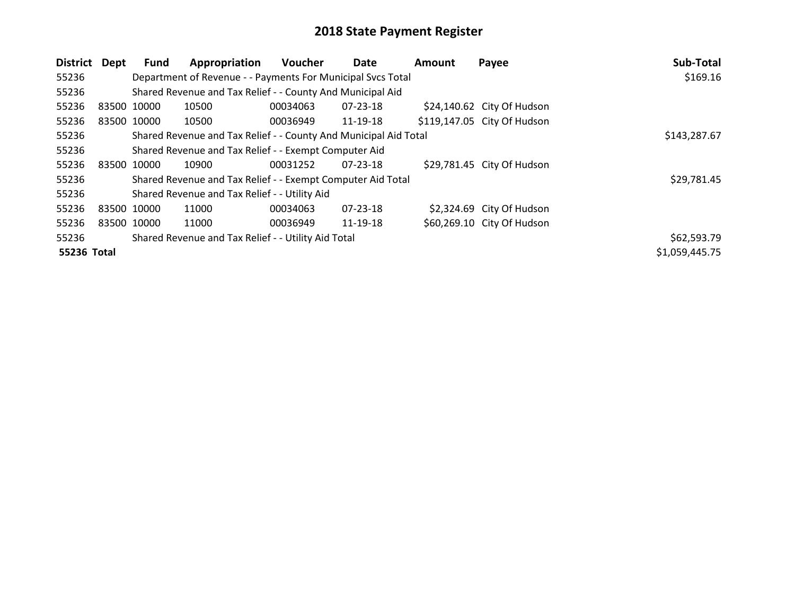| District    | Dept        | Fund | Appropriation                                                    | <b>Voucher</b> | Date           | <b>Amount</b> | Payee                       | Sub-Total      |
|-------------|-------------|------|------------------------------------------------------------------|----------------|----------------|---------------|-----------------------------|----------------|
| 55236       |             |      | Department of Revenue - - Payments For Municipal Svcs Total      |                |                |               |                             | \$169.16       |
| 55236       |             |      | Shared Revenue and Tax Relief - - County And Municipal Aid       |                |                |               |                             |                |
| 55236       | 83500 10000 |      | 10500                                                            | 00034063       | 07-23-18       |               | \$24,140.62 City Of Hudson  |                |
| 55236       | 83500 10000 |      | 10500                                                            | 00036949       | 11-19-18       |               | \$119,147.05 City Of Hudson |                |
| 55236       |             |      | Shared Revenue and Tax Relief - - County And Municipal Aid Total |                |                |               |                             | \$143,287.67   |
| 55236       |             |      | Shared Revenue and Tax Relief - - Exempt Computer Aid            |                |                |               |                             |                |
| 55236       | 83500 10000 |      | 10900                                                            | 00031252       | 07-23-18       |               | \$29,781.45 City Of Hudson  |                |
| 55236       |             |      | Shared Revenue and Tax Relief - - Exempt Computer Aid Total      |                |                |               |                             | \$29,781.45    |
| 55236       |             |      | Shared Revenue and Tax Relief - - Utility Aid                    |                |                |               |                             |                |
| 55236       | 83500 10000 |      | 11000                                                            | 00034063       | $07 - 23 - 18$ |               | \$2,324.69 City Of Hudson   |                |
| 55236       | 83500 10000 |      | 11000                                                            | 00036949       | 11-19-18       |               | \$60,269.10 City Of Hudson  |                |
| 55236       |             |      | Shared Revenue and Tax Relief - - Utility Aid Total              |                |                |               |                             | \$62,593.79    |
| 55236 Total |             |      |                                                                  |                |                |               |                             | \$1,059,445.75 |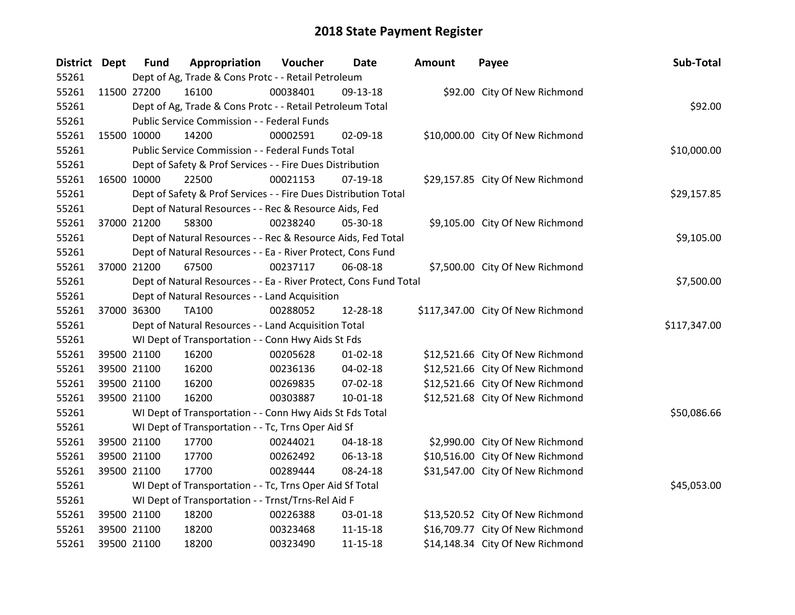| District Dept |             | <b>Fund</b> | Appropriation                                                     | Voucher  | <b>Date</b>    | Amount | Payee                             | Sub-Total    |
|---------------|-------------|-------------|-------------------------------------------------------------------|----------|----------------|--------|-----------------------------------|--------------|
| 55261         |             |             | Dept of Ag, Trade & Cons Protc - - Retail Petroleum               |          |                |        |                                   |              |
| 55261         | 11500 27200 |             | 16100                                                             | 00038401 | 09-13-18       |        | \$92.00 City Of New Richmond      |              |
| 55261         |             |             | Dept of Ag, Trade & Cons Protc - - Retail Petroleum Total         |          |                |        |                                   | \$92.00      |
| 55261         |             |             | Public Service Commission - - Federal Funds                       |          |                |        |                                   |              |
| 55261         | 15500 10000 |             | 14200                                                             | 00002591 | 02-09-18       |        | \$10,000.00 City Of New Richmond  |              |
| 55261         |             |             | Public Service Commission - - Federal Funds Total                 |          |                |        |                                   | \$10,000.00  |
| 55261         |             |             | Dept of Safety & Prof Services - - Fire Dues Distribution         |          |                |        |                                   |              |
| 55261         | 16500 10000 |             | 22500                                                             | 00021153 | 07-19-18       |        | \$29,157.85 City Of New Richmond  |              |
| 55261         |             |             | Dept of Safety & Prof Services - - Fire Dues Distribution Total   |          |                |        |                                   | \$29,157.85  |
| 55261         |             |             | Dept of Natural Resources - - Rec & Resource Aids, Fed            |          |                |        |                                   |              |
| 55261         | 37000 21200 |             | 58300                                                             | 00238240 | 05-30-18       |        | \$9,105.00 City Of New Richmond   |              |
| 55261         |             |             | Dept of Natural Resources - - Rec & Resource Aids, Fed Total      |          |                |        |                                   | \$9,105.00   |
| 55261         |             |             | Dept of Natural Resources - - Ea - River Protect, Cons Fund       |          |                |        |                                   |              |
| 55261         | 37000 21200 |             | 67500                                                             | 00237117 | 06-08-18       |        | \$7,500.00 City Of New Richmond   |              |
| 55261         |             |             | Dept of Natural Resources - - Ea - River Protect, Cons Fund Total |          |                |        |                                   | \$7,500.00   |
| 55261         |             |             | Dept of Natural Resources - - Land Acquisition                    |          |                |        |                                   |              |
| 55261         | 37000 36300 |             | TA100                                                             | 00288052 | 12-28-18       |        | \$117,347.00 City Of New Richmond |              |
| 55261         |             |             | Dept of Natural Resources - - Land Acquisition Total              |          |                |        |                                   | \$117,347.00 |
| 55261         |             |             | WI Dept of Transportation - - Conn Hwy Aids St Fds                |          |                |        |                                   |              |
| 55261         | 39500 21100 |             | 16200                                                             | 00205628 | $01 - 02 - 18$ |        | \$12,521.66 City Of New Richmond  |              |
| 55261         | 39500 21100 |             | 16200                                                             | 00236136 | 04-02-18       |        | \$12,521.66 City Of New Richmond  |              |
| 55261         | 39500 21100 |             | 16200                                                             | 00269835 | 07-02-18       |        | \$12,521.66 City Of New Richmond  |              |
| 55261         | 39500 21100 |             | 16200                                                             | 00303887 | $10-01-18$     |        | \$12,521.68 City Of New Richmond  |              |
| 55261         |             |             | WI Dept of Transportation - - Conn Hwy Aids St Fds Total          |          |                |        |                                   | \$50,086.66  |
| 55261         |             |             | WI Dept of Transportation - - Tc, Trns Oper Aid Sf                |          |                |        |                                   |              |
| 55261         | 39500 21100 |             | 17700                                                             | 00244021 | 04-18-18       |        | \$2,990.00 City Of New Richmond   |              |
| 55261         |             | 39500 21100 | 17700                                                             | 00262492 | 06-13-18       |        | \$10,516.00 City Of New Richmond  |              |
| 55261         | 39500 21100 |             | 17700                                                             | 00289444 | 08-24-18       |        | \$31,547.00 City Of New Richmond  |              |
| 55261         |             |             | WI Dept of Transportation - - Tc, Trns Oper Aid Sf Total          |          |                |        |                                   | \$45,053.00  |
| 55261         |             |             | WI Dept of Transportation - - Trnst/Trns-Rel Aid F                |          |                |        |                                   |              |
| 55261         | 39500 21100 |             | 18200                                                             | 00226388 | 03-01-18       |        | \$13,520.52 City Of New Richmond  |              |
| 55261         | 39500 21100 |             | 18200                                                             | 00323468 | 11-15-18       |        | \$16,709.77 City Of New Richmond  |              |
| 55261         | 39500 21100 |             | 18200                                                             | 00323490 | 11-15-18       |        | \$14,148.34 City Of New Richmond  |              |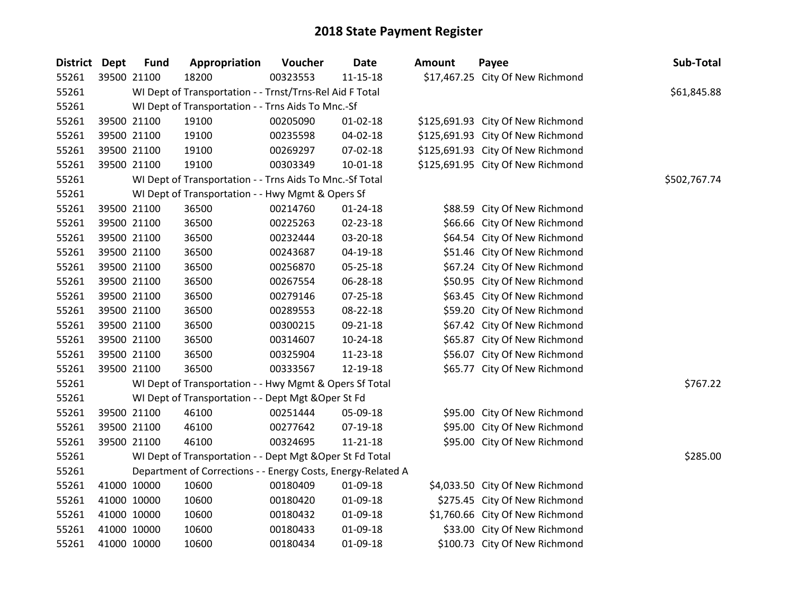| District Dept | <b>Fund</b> | Appropriation                                                | Voucher  | <b>Date</b>    | <b>Amount</b> | Payee                             | Sub-Total    |
|---------------|-------------|--------------------------------------------------------------|----------|----------------|---------------|-----------------------------------|--------------|
| 55261         | 39500 21100 | 18200                                                        | 00323553 | $11 - 15 - 18$ |               | \$17,467.25 City Of New Richmond  |              |
| 55261         |             | WI Dept of Transportation - - Trnst/Trns-Rel Aid F Total     |          |                |               |                                   | \$61,845.88  |
| 55261         |             | WI Dept of Transportation - - Trns Aids To Mnc.-Sf           |          |                |               |                                   |              |
| 55261         | 39500 21100 | 19100                                                        | 00205090 | $01 - 02 - 18$ |               | \$125,691.93 City Of New Richmond |              |
| 55261         | 39500 21100 | 19100                                                        | 00235598 | 04-02-18       |               | \$125,691.93 City Of New Richmond |              |
| 55261         | 39500 21100 | 19100                                                        | 00269297 | 07-02-18       |               | \$125,691.93 City Of New Richmond |              |
| 55261         | 39500 21100 | 19100                                                        | 00303349 | $10 - 01 - 18$ |               | \$125,691.95 City Of New Richmond |              |
| 55261         |             | WI Dept of Transportation - - Trns Aids To Mnc.-Sf Total     |          |                |               |                                   | \$502,767.74 |
| 55261         |             | WI Dept of Transportation - - Hwy Mgmt & Opers Sf            |          |                |               |                                   |              |
| 55261         | 39500 21100 | 36500                                                        | 00214760 | $01 - 24 - 18$ |               | \$88.59 City Of New Richmond      |              |
| 55261         | 39500 21100 | 36500                                                        | 00225263 | 02-23-18       |               | \$66.66 City Of New Richmond      |              |
| 55261         | 39500 21100 | 36500                                                        | 00232444 | 03-20-18       |               | \$64.54 City Of New Richmond      |              |
| 55261         | 39500 21100 | 36500                                                        | 00243687 | 04-19-18       |               | \$51.46 City Of New Richmond      |              |
| 55261         | 39500 21100 | 36500                                                        | 00256870 | 05-25-18       |               | \$67.24 City Of New Richmond      |              |
| 55261         | 39500 21100 | 36500                                                        | 00267554 | 06-28-18       |               | \$50.95 City Of New Richmond      |              |
| 55261         | 39500 21100 | 36500                                                        | 00279146 | 07-25-18       |               | \$63.45 City Of New Richmond      |              |
| 55261         | 39500 21100 | 36500                                                        | 00289553 | 08-22-18       |               | \$59.20 City Of New Richmond      |              |
| 55261         | 39500 21100 | 36500                                                        | 00300215 | 09-21-18       |               | \$67.42 City Of New Richmond      |              |
| 55261         | 39500 21100 | 36500                                                        | 00314607 | 10-24-18       |               | \$65.87 City Of New Richmond      |              |
| 55261         | 39500 21100 | 36500                                                        | 00325904 | 11-23-18       |               | \$56.07 City Of New Richmond      |              |
| 55261         | 39500 21100 | 36500                                                        | 00333567 | 12-19-18       |               | \$65.77 City Of New Richmond      |              |
| 55261         |             | WI Dept of Transportation - - Hwy Mgmt & Opers Sf Total      |          |                |               |                                   | \$767.22     |
| 55261         |             | WI Dept of Transportation - - Dept Mgt & Oper St Fd          |          |                |               |                                   |              |
| 55261         | 39500 21100 | 46100                                                        | 00251444 | 05-09-18       |               | \$95.00 City Of New Richmond      |              |
| 55261         | 39500 21100 | 46100                                                        | 00277642 | 07-19-18       |               | \$95.00 City Of New Richmond      |              |
| 55261         | 39500 21100 | 46100                                                        | 00324695 | 11-21-18       |               | \$95.00 City Of New Richmond      |              |
| 55261         |             | WI Dept of Transportation - - Dept Mgt & Oper St Fd Total    |          |                |               |                                   | \$285.00     |
| 55261         |             | Department of Corrections - - Energy Costs, Energy-Related A |          |                |               |                                   |              |
| 55261         | 41000 10000 | 10600                                                        | 00180409 | 01-09-18       |               | \$4,033.50 City Of New Richmond   |              |
| 55261         | 41000 10000 | 10600                                                        | 00180420 | 01-09-18       |               | \$275.45 City Of New Richmond     |              |
| 55261         | 41000 10000 | 10600                                                        | 00180432 | 01-09-18       |               | \$1,760.66 City Of New Richmond   |              |
| 55261         | 41000 10000 | 10600                                                        | 00180433 | 01-09-18       |               | \$33.00 City Of New Richmond      |              |
| 55261         | 41000 10000 | 10600                                                        | 00180434 | 01-09-18       |               | \$100.73 City Of New Richmond     |              |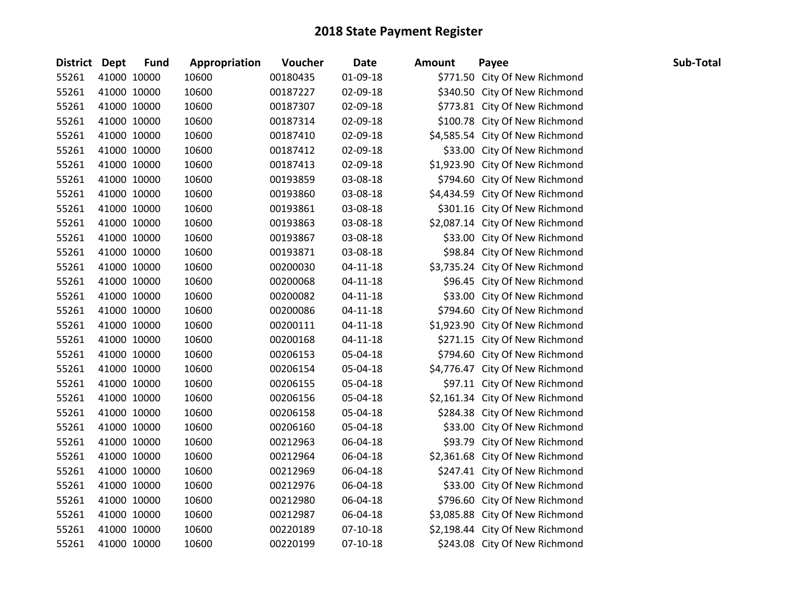| District Dept |             | <b>Fund</b> | Appropriation | Voucher  | <b>Date</b>    | <b>Amount</b> | Payee                           | Sub-Total |
|---------------|-------------|-------------|---------------|----------|----------------|---------------|---------------------------------|-----------|
| 55261         |             | 41000 10000 | 10600         | 00180435 | 01-09-18       |               | \$771.50 City Of New Richmond   |           |
| 55261         |             | 41000 10000 | 10600         | 00187227 | 02-09-18       |               | \$340.50 City Of New Richmond   |           |
| 55261         | 41000 10000 |             | 10600         | 00187307 | 02-09-18       |               | \$773.81 City Of New Richmond   |           |
| 55261         |             | 41000 10000 | 10600         | 00187314 | 02-09-18       |               | \$100.78 City Of New Richmond   |           |
| 55261         |             | 41000 10000 | 10600         | 00187410 | 02-09-18       |               | \$4,585.54 City Of New Richmond |           |
| 55261         |             | 41000 10000 | 10600         | 00187412 | 02-09-18       |               | \$33.00 City Of New Richmond    |           |
| 55261         |             | 41000 10000 | 10600         | 00187413 | 02-09-18       |               | \$1,923.90 City Of New Richmond |           |
| 55261         |             | 41000 10000 | 10600         | 00193859 | 03-08-18       |               | \$794.60 City Of New Richmond   |           |
| 55261         |             | 41000 10000 | 10600         | 00193860 | 03-08-18       |               | \$4,434.59 City Of New Richmond |           |
| 55261         |             | 41000 10000 | 10600         | 00193861 | 03-08-18       |               | \$301.16 City Of New Richmond   |           |
| 55261         | 41000 10000 |             | 10600         | 00193863 | 03-08-18       |               | \$2,087.14 City Of New Richmond |           |
| 55261         |             | 41000 10000 | 10600         | 00193867 | 03-08-18       |               | \$33.00 City Of New Richmond    |           |
| 55261         |             | 41000 10000 | 10600         | 00193871 | 03-08-18       |               | \$98.84 City Of New Richmond    |           |
| 55261         |             | 41000 10000 | 10600         | 00200030 | $04 - 11 - 18$ |               | \$3,735.24 City Of New Richmond |           |
| 55261         |             | 41000 10000 | 10600         | 00200068 | 04-11-18       |               | \$96.45 City Of New Richmond    |           |
| 55261         |             | 41000 10000 | 10600         | 00200082 | $04 - 11 - 18$ |               | \$33.00 City Of New Richmond    |           |
| 55261         |             | 41000 10000 | 10600         | 00200086 | $04 - 11 - 18$ |               | \$794.60 City Of New Richmond   |           |
| 55261         |             | 41000 10000 | 10600         | 00200111 | $04 - 11 - 18$ |               | \$1,923.90 City Of New Richmond |           |
| 55261         |             | 41000 10000 | 10600         | 00200168 | 04-11-18       |               | \$271.15 City Of New Richmond   |           |
| 55261         | 41000 10000 |             | 10600         | 00206153 | 05-04-18       |               | \$794.60 City Of New Richmond   |           |
| 55261         |             | 41000 10000 | 10600         | 00206154 | 05-04-18       |               | \$4,776.47 City Of New Richmond |           |
| 55261         |             | 41000 10000 | 10600         | 00206155 | 05-04-18       |               | \$97.11 City Of New Richmond    |           |
| 55261         | 41000 10000 |             | 10600         | 00206156 | 05-04-18       |               | \$2,161.34 City Of New Richmond |           |
| 55261         |             | 41000 10000 | 10600         | 00206158 | 05-04-18       |               | \$284.38 City Of New Richmond   |           |
| 55261         |             | 41000 10000 | 10600         | 00206160 | 05-04-18       |               | \$33.00 City Of New Richmond    |           |
| 55261         |             | 41000 10000 | 10600         | 00212963 | 06-04-18       |               | \$93.79 City Of New Richmond    |           |
| 55261         |             | 41000 10000 | 10600         | 00212964 | 06-04-18       |               | \$2,361.68 City Of New Richmond |           |
| 55261         |             | 41000 10000 | 10600         | 00212969 | 06-04-18       |               | \$247.41 City Of New Richmond   |           |
| 55261         |             | 41000 10000 | 10600         | 00212976 | 06-04-18       |               | \$33.00 City Of New Richmond    |           |
| 55261         |             | 41000 10000 | 10600         | 00212980 | 06-04-18       |               | \$796.60 City Of New Richmond   |           |
| 55261         |             | 41000 10000 | 10600         | 00212987 | 06-04-18       |               | \$3,085.88 City Of New Richmond |           |
| 55261         |             | 41000 10000 | 10600         | 00220189 | $07-10-18$     |               | \$2,198.44 City Of New Richmond |           |
| 55261         | 41000 10000 |             | 10600         | 00220199 | $07-10-18$     |               | \$243.08 City Of New Richmond   |           |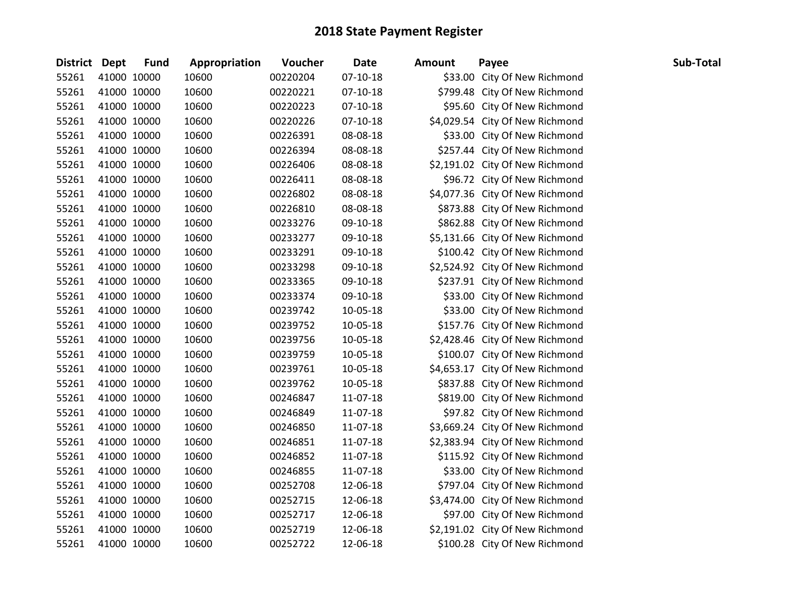| <b>District Dept</b> |             | <b>Fund</b> | Appropriation | Voucher  | <b>Date</b> | <b>Amount</b> | Payee                           | Sub-Total |
|----------------------|-------------|-------------|---------------|----------|-------------|---------------|---------------------------------|-----------|
| 55261                | 41000 10000 |             | 10600         | 00220204 | 07-10-18    |               | \$33.00 City Of New Richmond    |           |
| 55261                | 41000 10000 |             | 10600         | 00220221 | $07-10-18$  |               | \$799.48 City Of New Richmond   |           |
| 55261                | 41000 10000 |             | 10600         | 00220223 | $07-10-18$  |               | \$95.60 City Of New Richmond    |           |
| 55261                | 41000 10000 |             | 10600         | 00220226 | $07-10-18$  |               | \$4,029.54 City Of New Richmond |           |
| 55261                | 41000 10000 |             | 10600         | 00226391 | 08-08-18    |               | \$33.00 City Of New Richmond    |           |
| 55261                | 41000 10000 |             | 10600         | 00226394 | 08-08-18    |               | \$257.44 City Of New Richmond   |           |
| 55261                | 41000 10000 |             | 10600         | 00226406 | 08-08-18    |               | \$2,191.02 City Of New Richmond |           |
| 55261                | 41000 10000 |             | 10600         | 00226411 | 08-08-18    |               | \$96.72 City Of New Richmond    |           |
| 55261                | 41000 10000 |             | 10600         | 00226802 | 08-08-18    |               | \$4,077.36 City Of New Richmond |           |
| 55261                | 41000 10000 |             | 10600         | 00226810 | 08-08-18    |               | \$873.88 City Of New Richmond   |           |
| 55261                | 41000 10000 |             | 10600         | 00233276 | 09-10-18    |               | \$862.88 City Of New Richmond   |           |
| 55261                | 41000 10000 |             | 10600         | 00233277 | 09-10-18    |               | \$5,131.66 City Of New Richmond |           |
| 55261                | 41000 10000 |             | 10600         | 00233291 | 09-10-18    |               | \$100.42 City Of New Richmond   |           |
| 55261                | 41000 10000 |             | 10600         | 00233298 | 09-10-18    |               | \$2,524.92 City Of New Richmond |           |
| 55261                | 41000 10000 |             | 10600         | 00233365 | 09-10-18    |               | \$237.91 City Of New Richmond   |           |
| 55261                | 41000 10000 |             | 10600         | 00233374 | 09-10-18    |               | \$33.00 City Of New Richmond    |           |
| 55261                | 41000 10000 |             | 10600         | 00239742 | 10-05-18    |               | \$33.00 City Of New Richmond    |           |
| 55261                | 41000 10000 |             | 10600         | 00239752 | 10-05-18    |               | \$157.76 City Of New Richmond   |           |
| 55261                | 41000 10000 |             | 10600         | 00239756 | 10-05-18    |               | \$2,428.46 City Of New Richmond |           |
| 55261                | 41000 10000 |             | 10600         | 00239759 | 10-05-18    |               | \$100.07 City Of New Richmond   |           |
| 55261                | 41000 10000 |             | 10600         | 00239761 | 10-05-18    |               | \$4,653.17 City Of New Richmond |           |
| 55261                | 41000 10000 |             | 10600         | 00239762 | 10-05-18    |               | \$837.88 City Of New Richmond   |           |
| 55261                | 41000 10000 |             | 10600         | 00246847 | 11-07-18    |               | \$819.00 City Of New Richmond   |           |
| 55261                | 41000 10000 |             | 10600         | 00246849 | 11-07-18    |               | \$97.82 City Of New Richmond    |           |
| 55261                | 41000 10000 |             | 10600         | 00246850 | 11-07-18    |               | \$3,669.24 City Of New Richmond |           |
| 55261                | 41000 10000 |             | 10600         | 00246851 | 11-07-18    |               | \$2,383.94 City Of New Richmond |           |
| 55261                | 41000 10000 |             | 10600         | 00246852 | 11-07-18    |               | \$115.92 City Of New Richmond   |           |
| 55261                | 41000 10000 |             | 10600         | 00246855 | 11-07-18    |               | \$33.00 City Of New Richmond    |           |
| 55261                | 41000 10000 |             | 10600         | 00252708 | 12-06-18    |               | \$797.04 City Of New Richmond   |           |
| 55261                | 41000 10000 |             | 10600         | 00252715 | 12-06-18    |               | \$3,474.00 City Of New Richmond |           |
| 55261                | 41000 10000 |             | 10600         | 00252717 | 12-06-18    |               | \$97.00 City Of New Richmond    |           |
| 55261                | 41000 10000 |             | 10600         | 00252719 | 12-06-18    |               | \$2,191.02 City Of New Richmond |           |
| 55261                | 41000 10000 |             | 10600         | 00252722 | 12-06-18    |               | \$100.28 City Of New Richmond   |           |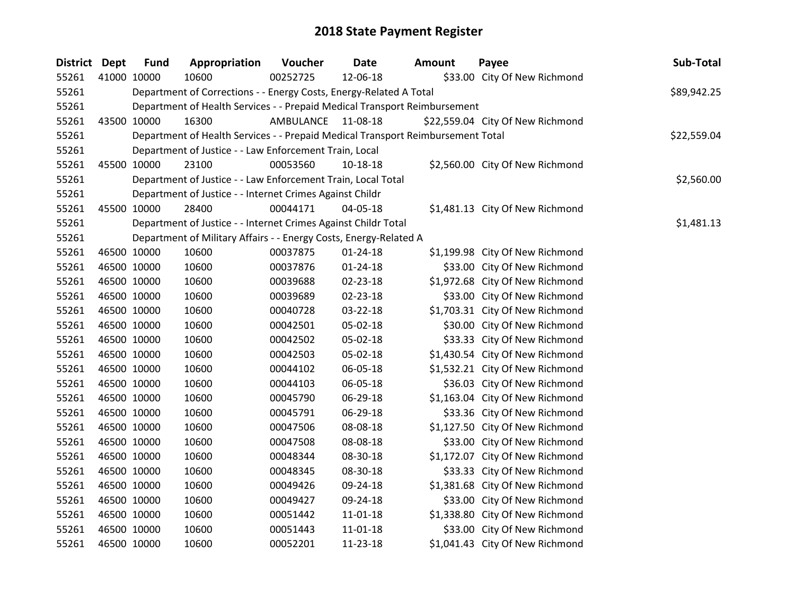| <b>District Dept</b> |             | <b>Fund</b> | Appropriation                                                                   | Voucher            | <b>Date</b>    | <b>Amount</b> | Payee                            | Sub-Total   |
|----------------------|-------------|-------------|---------------------------------------------------------------------------------|--------------------|----------------|---------------|----------------------------------|-------------|
| 55261                |             | 41000 10000 | 10600                                                                           | 00252725           | 12-06-18       |               | \$33.00 City Of New Richmond     |             |
| 55261                |             |             | Department of Corrections - - Energy Costs, Energy-Related A Total              |                    |                |               |                                  | \$89,942.25 |
| 55261                |             |             | Department of Health Services - - Prepaid Medical Transport Reimbursement       |                    |                |               |                                  |             |
| 55261                |             | 43500 10000 | 16300                                                                           | AMBULANCE 11-08-18 |                |               | \$22,559.04 City Of New Richmond |             |
| 55261                |             |             | Department of Health Services - - Prepaid Medical Transport Reimbursement Total |                    |                |               |                                  | \$22,559.04 |
| 55261                |             |             | Department of Justice - - Law Enforcement Train, Local                          |                    |                |               |                                  |             |
| 55261                |             | 45500 10000 | 23100                                                                           | 00053560           | 10-18-18       |               | \$2,560.00 City Of New Richmond  |             |
| 55261                |             |             | Department of Justice - - Law Enforcement Train, Local Total                    |                    |                |               |                                  | \$2,560.00  |
| 55261                |             |             | Department of Justice - - Internet Crimes Against Childr                        |                    |                |               |                                  |             |
| 55261                |             | 45500 10000 | 28400                                                                           | 00044171           | 04-05-18       |               | \$1,481.13 City Of New Richmond  |             |
| 55261                |             |             | Department of Justice - - Internet Crimes Against Childr Total                  |                    |                |               |                                  | \$1,481.13  |
| 55261                |             |             | Department of Military Affairs - - Energy Costs, Energy-Related A               |                    |                |               |                                  |             |
| 55261                |             | 46500 10000 | 10600                                                                           | 00037875           | $01 - 24 - 18$ |               | \$1,199.98 City Of New Richmond  |             |
| 55261                |             | 46500 10000 | 10600                                                                           | 00037876           | $01 - 24 - 18$ |               | \$33.00 City Of New Richmond     |             |
| 55261                |             | 46500 10000 | 10600                                                                           | 00039688           | 02-23-18       |               | \$1,972.68 City Of New Richmond  |             |
| 55261                |             | 46500 10000 | 10600                                                                           | 00039689           | 02-23-18       |               | \$33.00 City Of New Richmond     |             |
| 55261                |             | 46500 10000 | 10600                                                                           | 00040728           | 03-22-18       |               | \$1,703.31 City Of New Richmond  |             |
| 55261                |             | 46500 10000 | 10600                                                                           | 00042501           | 05-02-18       |               | \$30.00 City Of New Richmond     |             |
| 55261                |             | 46500 10000 | 10600                                                                           | 00042502           | 05-02-18       |               | \$33.33 City Of New Richmond     |             |
| 55261                |             | 46500 10000 | 10600                                                                           | 00042503           | 05-02-18       |               | \$1,430.54 City Of New Richmond  |             |
| 55261                |             | 46500 10000 | 10600                                                                           | 00044102           | 06-05-18       |               | \$1,532.21 City Of New Richmond  |             |
| 55261                |             | 46500 10000 | 10600                                                                           | 00044103           | 06-05-18       |               | \$36.03 City Of New Richmond     |             |
| 55261                | 46500 10000 |             | 10600                                                                           | 00045790           | 06-29-18       |               | \$1,163.04 City Of New Richmond  |             |
| 55261                |             | 46500 10000 | 10600                                                                           | 00045791           | 06-29-18       |               | \$33.36 City Of New Richmond     |             |
| 55261                |             | 46500 10000 | 10600                                                                           | 00047506           | 08-08-18       |               | \$1,127.50 City Of New Richmond  |             |
| 55261                |             | 46500 10000 | 10600                                                                           | 00047508           | 08-08-18       |               | \$33.00 City Of New Richmond     |             |
| 55261                |             | 46500 10000 | 10600                                                                           | 00048344           | 08-30-18       |               | \$1,172.07 City Of New Richmond  |             |
| 55261                | 46500 10000 |             | 10600                                                                           | 00048345           | 08-30-18       |               | \$33.33 City Of New Richmond     |             |
| 55261                |             | 46500 10000 | 10600                                                                           | 00049426           | 09-24-18       |               | \$1,381.68 City Of New Richmond  |             |
| 55261                |             | 46500 10000 | 10600                                                                           | 00049427           | 09-24-18       |               | \$33.00 City Of New Richmond     |             |
| 55261                |             | 46500 10000 | 10600                                                                           | 00051442           | 11-01-18       |               | \$1,338.80 City Of New Richmond  |             |
| 55261                |             | 46500 10000 | 10600                                                                           | 00051443           | $11 - 01 - 18$ |               | \$33.00 City Of New Richmond     |             |
| 55261                |             | 46500 10000 | 10600                                                                           | 00052201           | 11-23-18       |               | \$1,041.43 City Of New Richmond  |             |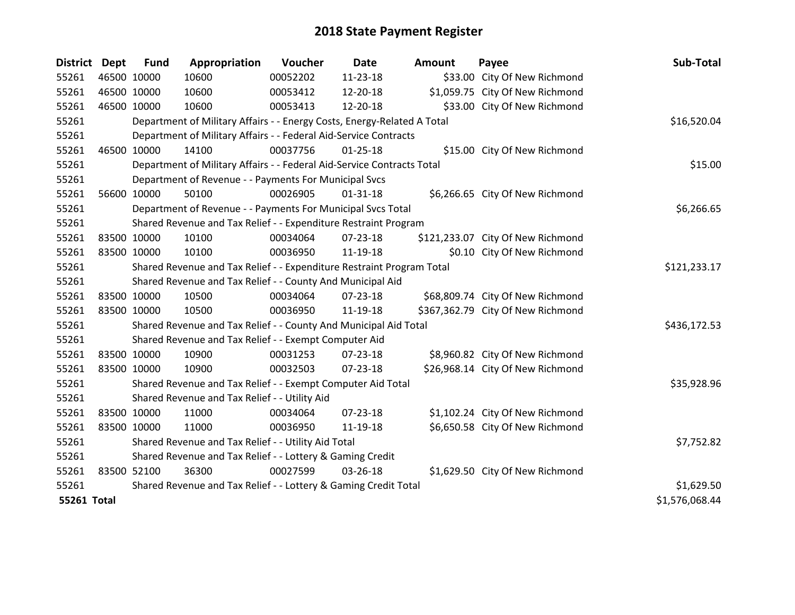| District Dept      | <b>Fund</b> | Appropriation                                                           | Voucher  | Date           | <b>Amount</b> | Payee                             | Sub-Total      |
|--------------------|-------------|-------------------------------------------------------------------------|----------|----------------|---------------|-----------------------------------|----------------|
| 55261              | 46500 10000 | 10600                                                                   | 00052202 | 11-23-18       |               | \$33.00 City Of New Richmond      |                |
| 55261              | 46500 10000 | 10600                                                                   | 00053412 | 12-20-18       |               | \$1,059.75 City Of New Richmond   |                |
| 55261              | 46500 10000 | 10600                                                                   | 00053413 | 12-20-18       |               | \$33.00 City Of New Richmond      |                |
| 55261              |             | Department of Military Affairs - - Energy Costs, Energy-Related A Total |          |                |               |                                   | \$16,520.04    |
| 55261              |             | Department of Military Affairs - - Federal Aid-Service Contracts        |          |                |               |                                   |                |
| 55261              | 46500 10000 | 14100                                                                   | 00037756 | $01 - 25 - 18$ |               | \$15.00 City Of New Richmond      |                |
| 55261              |             | Department of Military Affairs - - Federal Aid-Service Contracts Total  |          |                |               |                                   | \$15.00        |
| 55261              |             | Department of Revenue - - Payments For Municipal Svcs                   |          |                |               |                                   |                |
| 55261              | 56600 10000 | 50100                                                                   | 00026905 | $01 - 31 - 18$ |               | \$6,266.65 City Of New Richmond   |                |
| 55261              |             | Department of Revenue - - Payments For Municipal Svcs Total             |          |                |               |                                   | \$6,266.65     |
| 55261              |             | Shared Revenue and Tax Relief - - Expenditure Restraint Program         |          |                |               |                                   |                |
| 55261              | 83500 10000 | 10100                                                                   | 00034064 | $07 - 23 - 18$ |               | \$121,233.07 City Of New Richmond |                |
| 55261              | 83500 10000 | 10100                                                                   | 00036950 | 11-19-18       |               | \$0.10 City Of New Richmond       |                |
| 55261              |             | Shared Revenue and Tax Relief - - Expenditure Restraint Program Total   |          |                |               |                                   | \$121,233.17   |
| 55261              |             | Shared Revenue and Tax Relief - - County And Municipal Aid              |          |                |               |                                   |                |
| 55261              | 83500 10000 | 10500                                                                   | 00034064 | 07-23-18       |               | \$68,809.74 City Of New Richmond  |                |
| 55261              | 83500 10000 | 10500                                                                   | 00036950 | 11-19-18       |               | \$367,362.79 City Of New Richmond |                |
| 55261              |             | Shared Revenue and Tax Relief - - County And Municipal Aid Total        |          |                |               |                                   | \$436,172.53   |
| 55261              |             | Shared Revenue and Tax Relief - - Exempt Computer Aid                   |          |                |               |                                   |                |
| 55261              | 83500 10000 | 10900                                                                   | 00031253 | $07 - 23 - 18$ |               | \$8,960.82 City Of New Richmond   |                |
| 55261              | 83500 10000 | 10900                                                                   | 00032503 | $07 - 23 - 18$ |               | \$26,968.14 City Of New Richmond  |                |
| 55261              |             | Shared Revenue and Tax Relief - - Exempt Computer Aid Total             |          |                |               |                                   | \$35,928.96    |
| 55261              |             | Shared Revenue and Tax Relief - - Utility Aid                           |          |                |               |                                   |                |
| 55261              | 83500 10000 | 11000                                                                   | 00034064 | $07 - 23 - 18$ |               | \$1,102.24 City Of New Richmond   |                |
| 55261              | 83500 10000 | 11000                                                                   | 00036950 | 11-19-18       |               | \$6,650.58 City Of New Richmond   |                |
| 55261              |             | Shared Revenue and Tax Relief - - Utility Aid Total                     |          |                |               |                                   | \$7,752.82     |
| 55261              |             | Shared Revenue and Tax Relief - - Lottery & Gaming Credit               |          |                |               |                                   |                |
| 55261              | 83500 52100 | 36300                                                                   | 00027599 | 03-26-18       |               | \$1,629.50 City Of New Richmond   |                |
| 55261              |             | Shared Revenue and Tax Relief - - Lottery & Gaming Credit Total         |          |                |               |                                   | \$1,629.50     |
| <b>55261 Total</b> |             |                                                                         |          |                |               |                                   | \$1,576,068.44 |